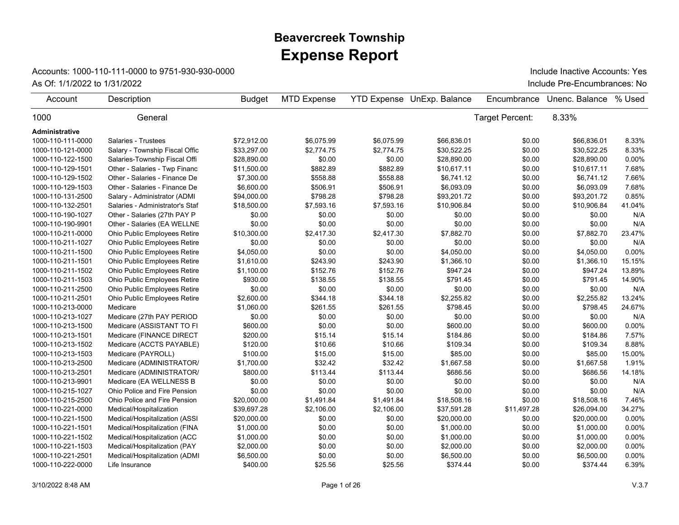## **Expense Report Beavercreek Township**

## Accounts: 1000-110-111-0000 to 9751-930-930-0000

As Of: 1/1/2022 to 1/31/2022 Include Pre-Encumbrances: No Include Inactive Accounts: Yes

| Account           | Description                     | <b>Budget</b> | <b>MTD Expense</b> |            | <b>YTD Expense UnExp. Balance</b> | Encumbrance     | Unenc. Balance | % Used |
|-------------------|---------------------------------|---------------|--------------------|------------|-----------------------------------|-----------------|----------------|--------|
| 1000              | General                         |               |                    |            |                                   | Target Percent: | 8.33%          |        |
| Administrative    |                                 |               |                    |            |                                   |                 |                |        |
| 1000-110-111-0000 | Salaries - Trustees             | \$72.912.00   | \$6,075.99         | \$6,075.99 | \$66,836.01                       | \$0.00          | \$66.836.01    | 8.33%  |
| 1000-110-121-0000 | Salary - Township Fiscal Offic  | \$33,297.00   | \$2,774.75         | \$2,774.75 | \$30,522.25                       | \$0.00          | \$30,522.25    | 8.33%  |
| 1000-110-122-1500 | Salaries-Township Fiscal Offi   | \$28,890.00   | \$0.00             | \$0.00     | \$28,890.00                       | \$0.00          | \$28,890.00    | 0.00%  |
| 1000-110-129-1501 | Other - Salaries - Twp Financ   | \$11,500.00   | \$882.89           | \$882.89   | \$10,617.11                       | \$0.00          | \$10,617.11    | 7.68%  |
| 1000-110-129-1502 | Other - Salaries - Finance De   | \$7,300.00    | \$558.88           | \$558.88   | \$6,741.12                        | \$0.00          | \$6,741.12     | 7.66%  |
| 1000-110-129-1503 | Other - Salaries - Finance De   | \$6,600.00    | \$506.91           | \$506.91   | \$6,093.09                        | \$0.00          | \$6,093.09     | 7.68%  |
| 1000-110-131-2500 | Salary - Administrator (ADMI    | \$94,000.00   | \$798.28           | \$798.28   | \$93,201.72                       | \$0.00          | \$93,201.72    | 0.85%  |
| 1000-110-132-2501 | Salaries - Administrator's Staf | \$18,500.00   | \$7,593.16         | \$7,593.16 | \$10,906.84                       | \$0.00          | \$10,906.84    | 41.04% |
| 1000-110-190-1027 | Other - Salaries (27th PAY P    | \$0.00        | \$0.00             | \$0.00     | \$0.00                            | \$0.00          | \$0.00         | N/A    |
| 1000-110-190-9901 | Other - Salaries (EA WELLNE     | \$0.00        | \$0.00             | \$0.00     | \$0.00                            | \$0.00          | \$0.00         | N/A    |
| 1000-110-211-0000 | Ohio Public Employees Retire    | \$10,300.00   | \$2,417.30         | \$2,417.30 | \$7,882.70                        | \$0.00          | \$7,882.70     | 23.47% |
| 1000-110-211-1027 | Ohio Public Employees Retire    | \$0.00        | \$0.00             | \$0.00     | \$0.00                            | \$0.00          | \$0.00         | N/A    |
| 1000-110-211-1500 | Ohio Public Employees Retire    | \$4,050.00    | \$0.00             | \$0.00     | \$4,050.00                        | \$0.00          | \$4,050.00     | 0.00%  |
| 1000-110-211-1501 | Ohio Public Employees Retire    | \$1,610.00    | \$243.90           | \$243.90   | \$1,366.10                        | \$0.00          | \$1,366.10     | 15.15% |
| 1000-110-211-1502 | Ohio Public Employees Retire    | \$1,100.00    | \$152.76           | \$152.76   | \$947.24                          | \$0.00          | \$947.24       | 13.89% |
| 1000-110-211-1503 | Ohio Public Employees Retire    | \$930.00      | \$138.55           | \$138.55   | \$791.45                          | \$0.00          | \$791.45       | 14.90% |
| 1000-110-211-2500 | Ohio Public Employees Retire    | \$0.00        | \$0.00             | \$0.00     | \$0.00                            | \$0.00          | \$0.00         | N/A    |
| 1000-110-211-2501 | Ohio Public Employees Retire    | \$2,600.00    | \$344.18           | \$344.18   | \$2,255.82                        | \$0.00          | \$2,255.82     | 13.24% |
| 1000-110-213-0000 | Medicare                        | \$1,060.00    | \$261.55           | \$261.55   | \$798.45                          | \$0.00          | \$798.45       | 24.67% |
| 1000-110-213-1027 | Medicare (27th PAY PERIOD       | \$0.00        | \$0.00             | \$0.00     | \$0.00                            | \$0.00          | \$0.00         | N/A    |
| 1000-110-213-1500 | Medicare (ASSISTANT TO FI       | \$600.00      | \$0.00             | \$0.00     | \$600.00                          | \$0.00          | \$600.00       | 0.00%  |
| 1000-110-213-1501 | Medicare (FINANCE DIRECT        | \$200.00      | \$15.14            | \$15.14    | \$184.86                          | \$0.00          | \$184.86       | 7.57%  |
| 1000-110-213-1502 | Medicare (ACCTS PAYABLE)        | \$120.00      | \$10.66            | \$10.66    | \$109.34                          | \$0.00          | \$109.34       | 8.88%  |
| 1000-110-213-1503 | Medicare (PAYROLL)              | \$100.00      | \$15.00            | \$15.00    | \$85.00                           | \$0.00          | \$85.00        | 15.00% |
| 1000-110-213-2500 | Medicare (ADMINISTRATOR/        | \$1,700.00    | \$32.42            | \$32.42    | \$1,667.58                        | \$0.00          | \$1,667.58     | 1.91%  |
| 1000-110-213-2501 | Medicare (ADMINISTRATOR/        | \$800.00      | \$113.44           | \$113.44   | \$686.56                          | \$0.00          | \$686.56       | 14.18% |
| 1000-110-213-9901 | Medicare (EA WELLNESS B         | \$0.00        | \$0.00             | \$0.00     | \$0.00                            | \$0.00          | \$0.00         | N/A    |
| 1000-110-215-1027 | Ohio Police and Fire Pension    | \$0.00        | \$0.00             | \$0.00     | \$0.00                            | \$0.00          | \$0.00         | N/A    |
| 1000-110-215-2500 | Ohio Police and Fire Pension    | \$20,000.00   | \$1,491.84         | \$1,491.84 | \$18,508.16                       | \$0.00          | \$18,508.16    | 7.46%  |
| 1000-110-221-0000 | Medical/Hospitalization         | \$39,697.28   | \$2,106.00         | \$2,106.00 | \$37,591.28                       | \$11,497.28     | \$26,094.00    | 34.27% |
| 1000-110-221-1500 | Medical/Hospitalization (ASSI   | \$20,000.00   | \$0.00             | \$0.00     | \$20,000.00                       | \$0.00          | \$20,000.00    | 0.00%  |
| 1000-110-221-1501 | Medical/Hospitalization (FINA   | \$1,000.00    | \$0.00             | \$0.00     | \$1,000.00                        | \$0.00          | \$1,000.00     | 0.00%  |
| 1000-110-221-1502 | Medical/Hospitalization (ACC    | \$1,000.00    | \$0.00             | \$0.00     | \$1,000.00                        | \$0.00          | \$1,000.00     | 0.00%  |
| 1000-110-221-1503 | Medical/Hospitalization (PAY    | \$2,000.00    | \$0.00             | \$0.00     | \$2,000.00                        | \$0.00          | \$2,000.00     | 0.00%  |
| 1000-110-221-2501 | Medical/Hospitalization (ADMI   | \$6,500.00    | \$0.00             | \$0.00     | \$6,500.00                        | \$0.00          | \$6,500.00     | 0.00%  |
| 1000-110-222-0000 | Life Insurance                  | \$400.00      | \$25.56            | \$25.56    | \$374.44                          | \$0.00          | \$374.44       | 6.39%  |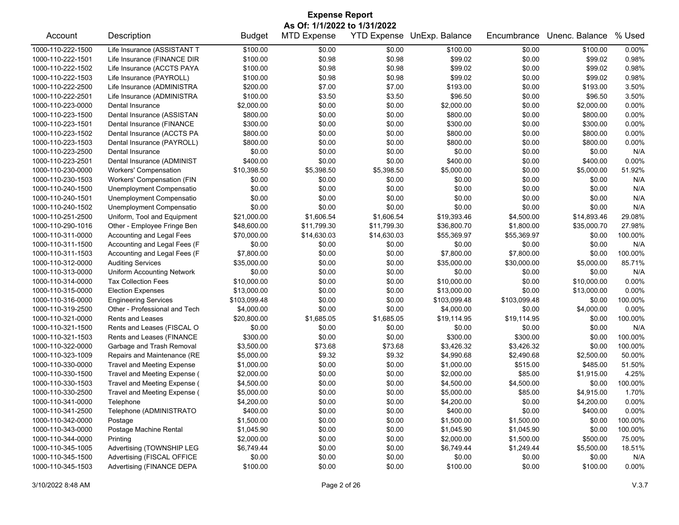| <b>Expense Report</b>        |                                   |               |                    |                    |                |              |                |          |  |
|------------------------------|-----------------------------------|---------------|--------------------|--------------------|----------------|--------------|----------------|----------|--|
| As Of: 1/1/2022 to 1/31/2022 |                                   |               |                    |                    |                |              |                |          |  |
| Account                      | Description                       | <b>Budget</b> | <b>MTD Expense</b> | <b>YTD Expense</b> | UnExp. Balance | Encumbrance  | Unenc. Balance | % Used   |  |
| 1000-110-222-1500            | Life Insurance (ASSISTANT T       | \$100.00      | \$0.00             | \$0.00             | \$100.00       | \$0.00       | \$100.00       | 0.00%    |  |
| 1000-110-222-1501            | Life Insurance (FINANCE DIR       | \$100.00      | \$0.98             | \$0.98             | \$99.02        | \$0.00       | \$99.02        | 0.98%    |  |
| 1000-110-222-1502            | Life Insurance (ACCTS PAYA        | \$100.00      | \$0.98             | \$0.98             | \$99.02        | \$0.00       | \$99.02        | 0.98%    |  |
| 1000-110-222-1503            | Life Insurance (PAYROLL)          | \$100.00      | \$0.98             | \$0.98             | \$99.02        | \$0.00       | \$99.02        | 0.98%    |  |
| 1000-110-222-2500            | Life Insurance (ADMINISTRA        | \$200.00      | \$7.00             | \$7.00             | \$193.00       | \$0.00       | \$193.00       | 3.50%    |  |
| 1000-110-222-2501            | Life Insurance (ADMINISTRA        | \$100.00      | \$3.50             | \$3.50             | \$96.50        | \$0.00       | \$96.50        | 3.50%    |  |
| 1000-110-223-0000            | Dental Insurance                  | \$2,000.00    | \$0.00             | \$0.00             | \$2,000.00     | \$0.00       | \$2,000.00     | 0.00%    |  |
| 1000-110-223-1500            | Dental Insurance (ASSISTAN        | \$800.00      | \$0.00             | \$0.00             | \$800.00       | \$0.00       | \$800.00       | 0.00%    |  |
| 1000-110-223-1501            | Dental Insurance (FINANCE         | \$300.00      | \$0.00             | \$0.00             | \$300.00       | \$0.00       | \$300.00       | 0.00%    |  |
| 1000-110-223-1502            | Dental Insurance (ACCTS PA        | \$800.00      | \$0.00             | \$0.00             | \$800.00       | \$0.00       | \$800.00       | 0.00%    |  |
| 1000-110-223-1503            | Dental Insurance (PAYROLL)        | \$800.00      | \$0.00             | \$0.00             | \$800.00       | \$0.00       | \$800.00       | 0.00%    |  |
| 1000-110-223-2500            | Dental Insurance                  | \$0.00        | \$0.00             | \$0.00             | \$0.00         | \$0.00       | \$0.00         | N/A      |  |
| 1000-110-223-2501            | Dental Insurance (ADMINIST        | \$400.00      | \$0.00             | \$0.00             | \$400.00       | \$0.00       | \$400.00       | 0.00%    |  |
| 1000-110-230-0000            | <b>Workers' Compensation</b>      | \$10,398.50   | \$5,398.50         | \$5,398.50         | \$5,000.00     | \$0.00       | \$5,000.00     | 51.92%   |  |
| 1000-110-230-1503            | Workers' Compensation (FIN        | \$0.00        | \$0.00             | \$0.00             | \$0.00         | \$0.00       | \$0.00         | N/A      |  |
| 1000-110-240-1500            | Unemployment Compensatio          | \$0.00        | \$0.00             | \$0.00             | \$0.00         | \$0.00       | \$0.00         | N/A      |  |
| 1000-110-240-1501            | Unemployment Compensatio          | \$0.00        | \$0.00             | \$0.00             | \$0.00         | \$0.00       | \$0.00         | N/A      |  |
| 1000-110-240-1502            | Unemployment Compensatio          | \$0.00        | \$0.00             | \$0.00             | \$0.00         | \$0.00       | \$0.00         | N/A      |  |
| 1000-110-251-2500            | Uniform, Tool and Equipment       | \$21,000.00   | \$1,606.54         | \$1,606.54         | \$19,393.46    | \$4,500.00   | \$14,893.46    | 29.08%   |  |
| 1000-110-290-1016            | Other - Employee Fringe Ben       | \$48,600.00   | \$11,799.30        | \$11,799.30        | \$36,800.70    | \$1,800.00   | \$35,000.70    | 27.98%   |  |
| 1000-110-311-0000            | Accounting and Legal Fees         | \$70,000.00   | \$14,630.03        | \$14,630.03        | \$55,369.97    | \$55,369.97  | \$0.00         | 100.00%  |  |
| 1000-110-311-1500            | Accounting and Legal Fees (F      | \$0.00        | \$0.00             | \$0.00             | \$0.00         | \$0.00       | \$0.00         | N/A      |  |
| 1000-110-311-1503            | Accounting and Legal Fees (F      | \$7,800.00    | \$0.00             | \$0.00             | \$7,800.00     | \$7,800.00   | \$0.00         | 100.00%  |  |
| 1000-110-312-0000            | <b>Auditing Services</b>          | \$35,000.00   | \$0.00             | \$0.00             | \$35,000.00    | \$30,000.00  | \$5,000.00     | 85.71%   |  |
| 1000-110-313-0000            | <b>Uniform Accounting Network</b> | \$0.00        | \$0.00             | \$0.00             | \$0.00         | \$0.00       | \$0.00         | N/A      |  |
| 1000-110-314-0000            | <b>Tax Collection Fees</b>        | \$10,000.00   | \$0.00             | \$0.00             | \$10,000.00    | \$0.00       | \$10,000.00    | 0.00%    |  |
| 1000-110-315-0000            | <b>Election Expenses</b>          | \$13,000.00   | \$0.00             | \$0.00             | \$13,000.00    | \$0.00       | \$13,000.00    | 0.00%    |  |
| 1000-110-316-0000            | <b>Engineering Services</b>       | \$103,099.48  | \$0.00             | \$0.00             | \$103,099.48   | \$103,099.48 | \$0.00         | 100.00%  |  |
| 1000-110-319-2500            | Other - Professional and Tech     | \$4,000.00    | \$0.00             | \$0.00             | \$4,000.00     | \$0.00       | \$4,000.00     | $0.00\%$ |  |
| 1000-110-321-0000            | Rents and Leases                  | \$20,800.00   | \$1,685.05         | \$1,685.05         | \$19,114.95    | \$19,114.95  | \$0.00         | 100.00%  |  |
| 1000-110-321-1500            | Rents and Leases (FISCAL O        | \$0.00        | \$0.00             | \$0.00             | \$0.00         | \$0.00       | \$0.00         | N/A      |  |
| 1000-110-321-1503            | Rents and Leases (FINANCE         | \$300.00      | \$0.00             | \$0.00             | \$300.00       | \$300.00     | \$0.00         | 100.00%  |  |
| 1000-110-322-0000            | Garbage and Trash Removal         | \$3,500.00    | \$73.68            | \$73.68            | \$3,426.32     | \$3,426.32   | \$0.00         | 100.00%  |  |
| 1000-110-323-1009            | Repairs and Maintenance (RE       | \$5,000.00    | \$9.32             | \$9.32             | \$4,990.68     | \$2,490.68   | \$2,500.00     | 50.00%   |  |
| 1000-110-330-0000            | <b>Travel and Meeting Expense</b> | \$1,000.00    | \$0.00             | \$0.00             | \$1,000.00     | \$515.00     | \$485.00       | 51.50%   |  |
| 1000-110-330-1500            | Travel and Meeting Expense (      | \$2,000.00    | \$0.00             | \$0.00             | \$2,000.00     | \$85.00      | \$1,915.00     | 4.25%    |  |
| 1000-110-330-1503            | Travel and Meeting Expense (      | \$4,500.00    | \$0.00             | \$0.00             | \$4,500.00     | \$4,500.00   | \$0.00         | 100.00%  |  |
| 1000-110-330-2500            | Travel and Meeting Expense (      | \$5,000.00    | \$0.00             | \$0.00             | \$5,000.00     | \$85.00      | \$4,915.00     | 1.70%    |  |
| 1000-110-341-0000            | Telephone                         | \$4,200.00    | \$0.00             | \$0.00             | \$4,200.00     | \$0.00       | \$4,200.00     | 0.00%    |  |
| 1000-110-341-2500            | Telephone (ADMINISTRATO           | \$400.00      | \$0.00             | \$0.00             | \$400.00       | \$0.00       | \$400.00       | $0.00\%$ |  |
| 1000-110-342-0000            | Postage                           | \$1,500.00    | \$0.00             | \$0.00             | \$1,500.00     | \$1,500.00   | \$0.00         | 100.00%  |  |
| 1000-110-343-0000            | Postage Machine Rental            | \$1,045.90    | \$0.00             | \$0.00             | \$1,045.90     | \$1,045.90   | \$0.00         | 100.00%  |  |
| 1000-110-344-0000            | Printing                          | \$2,000.00    | \$0.00             | \$0.00             | \$2,000.00     | \$1,500.00   | \$500.00       | 75.00%   |  |
| 1000-110-345-1005            | Advertising (TOWNSHIP LEG         | \$6,749.44    | \$0.00             | \$0.00             | \$6,749.44     | \$1,249.44   | \$5,500.00     | 18.51%   |  |
| 1000-110-345-1500            | Advertising (FISCAL OFFICE        | \$0.00        | \$0.00             | \$0.00             | \$0.00         | \$0.00       | \$0.00         | N/A      |  |
| 1000-110-345-1503            | Advertising (FINANCE DEPA         | \$100.00      | \$0.00             | \$0.00             | \$100.00       | \$0.00       | \$100.00       | $0.00\%$ |  |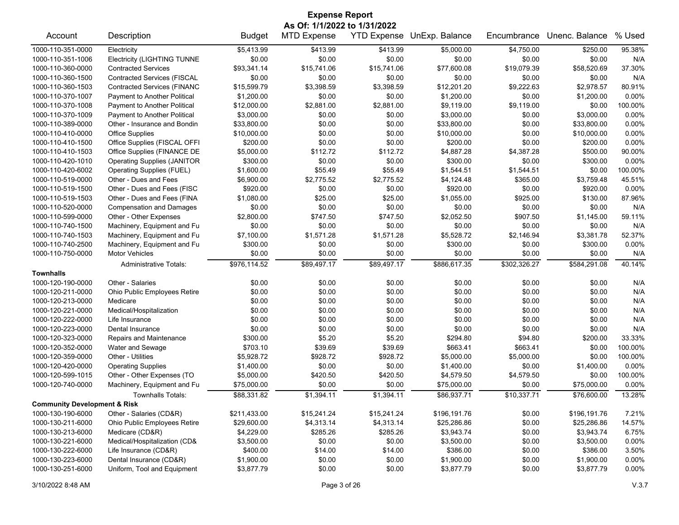| <b>Expense Report</b>                   |                                    |               |                    |                    |                |              |                |          |  |  |
|-----------------------------------------|------------------------------------|---------------|--------------------|--------------------|----------------|--------------|----------------|----------|--|--|
|                                         | As Of: 1/1/2022 to 1/31/2022       |               |                    |                    |                |              |                |          |  |  |
| Account                                 | Description                        | <b>Budget</b> | <b>MTD Expense</b> | <b>YTD Expense</b> | UnExp. Balance | Encumbrance  | Unenc. Balance | % Used   |  |  |
| 1000-110-351-0000                       | Electricity                        | \$5,413.99    | \$413.99           | \$413.99           | \$5,000.00     | \$4,750.00   | \$250.00       | 95.38%   |  |  |
| 1000-110-351-1006                       | <b>Electricity (LIGHTING TUNNE</b> | \$0.00        | \$0.00             | \$0.00             | \$0.00         | \$0.00       | \$0.00         | N/A      |  |  |
| 1000-110-360-0000                       | <b>Contracted Services</b>         | \$93,341.14   | \$15,741.06        | \$15,741.06        | \$77,600.08    | \$19,079.39  | \$58,520.69    | 37.30%   |  |  |
| 1000-110-360-1500                       | <b>Contracted Services (FISCAL</b> | \$0.00        | \$0.00             | \$0.00             | \$0.00         | \$0.00       | \$0.00         | N/A      |  |  |
| 1000-110-360-1503                       | <b>Contracted Services (FINANC</b> | \$15,599.79   | \$3,398.59         | \$3,398.59         | \$12,201.20    | \$9,222.63   | \$2,978.57     | 80.91%   |  |  |
| 1000-110-370-1007                       | Payment to Another Political       | \$1,200.00    | \$0.00             | \$0.00             | \$1,200.00     | \$0.00       | \$1,200.00     | 0.00%    |  |  |
| 1000-110-370-1008                       | Payment to Another Political       | \$12,000.00   | \$2,881.00         | \$2,881.00         | \$9,119.00     | \$9,119.00   | \$0.00         | 100.00%  |  |  |
| 1000-110-370-1009                       | Payment to Another Political       | \$3,000.00    | \$0.00             | \$0.00             | \$3,000.00     | \$0.00       | \$3,000.00     | $0.00\%$ |  |  |
| 1000-110-389-0000                       | Other - Insurance and Bondin       | \$33,800.00   | \$0.00             | \$0.00             | \$33,800.00    | \$0.00       | \$33,800.00    | 0.00%    |  |  |
| 1000-110-410-0000                       | <b>Office Supplies</b>             | \$10,000.00   | \$0.00             | \$0.00             | \$10,000.00    | \$0.00       | \$10,000.00    | $0.00\%$ |  |  |
| 1000-110-410-1500                       | Office Supplies (FISCAL OFFI       | \$200.00      | \$0.00             | \$0.00             | \$200.00       | \$0.00       | \$200.00       | $0.00\%$ |  |  |
| 1000-110-410-1503                       | Office Supplies (FINANCE DE        | \$5,000.00    | \$112.72           | \$112.72           | \$4,887.28     | \$4,387.28   | \$500.00       | 90.00%   |  |  |
| 1000-110-420-1010                       | <b>Operating Supplies (JANITOR</b> | \$300.00      | \$0.00             | \$0.00             | \$300.00       | \$0.00       | \$300.00       | 0.00%    |  |  |
| 1000-110-420-6002                       | Operating Supplies (FUEL)          | \$1,600.00    | \$55.49            | \$55.49            | \$1,544.51     | \$1,544.51   | \$0.00         | 100.00%  |  |  |
| 1000-110-519-0000                       | Other - Dues and Fees              | \$6,900.00    | \$2,775.52         | \$2,775.52         | \$4,124.48     | \$365.00     | \$3,759.48     | 45.51%   |  |  |
| 1000-110-519-1500                       | Other - Dues and Fees (FISC        | \$920.00      | \$0.00             | \$0.00             | \$920.00       | \$0.00       | \$920.00       | $0.00\%$ |  |  |
| 1000-110-519-1503                       | Other - Dues and Fees (FINA        | \$1,080.00    | \$25.00            | \$25.00            | \$1,055.00     | \$925.00     | \$130.00       | 87.96%   |  |  |
| 1000-110-520-0000                       | <b>Compensation and Damages</b>    | \$0.00        | \$0.00             | \$0.00             | \$0.00         | \$0.00       | \$0.00         | N/A      |  |  |
| 1000-110-599-0000                       | Other - Other Expenses             | \$2,800.00    | \$747.50           | \$747.50           | \$2,052.50     | \$907.50     | \$1,145.00     | 59.11%   |  |  |
| 1000-110-740-1500                       | Machinery, Equipment and Fu        | \$0.00        | \$0.00             | \$0.00             | \$0.00         | \$0.00       | \$0.00         | N/A      |  |  |
| 1000-110-740-1503                       | Machinery, Equipment and Fu        | \$7,100.00    | \$1,571.28         | \$1,571.28         | \$5,528.72     | \$2,146.94   | \$3,381.78     | 52.37%   |  |  |
| 1000-110-740-2500                       | Machinery, Equipment and Fu        | \$300.00      | \$0.00             | \$0.00             | \$300.00       | \$0.00       | \$300.00       | 0.00%    |  |  |
| 1000-110-750-0000                       | <b>Motor Vehicles</b>              | \$0.00        | \$0.00             | \$0.00             | \$0.00         | \$0.00       | \$0.00         | N/A      |  |  |
|                                         | <b>Administrative Totals:</b>      | \$976,114.52  | \$89,497.17        | \$89,497.17        | \$886,617.35   | \$302,326.27 | \$584,291.08   | 40.14%   |  |  |
| <b>Townhalls</b>                        |                                    |               |                    |                    |                |              |                |          |  |  |
| 1000-120-190-0000                       | Other - Salaries                   | \$0.00        | \$0.00             | \$0.00             | \$0.00         | \$0.00       | \$0.00         | N/A      |  |  |
| 1000-120-211-0000                       | Ohio Public Employees Retire       | \$0.00        | \$0.00             | \$0.00             | \$0.00         | \$0.00       | \$0.00         | N/A      |  |  |
| 1000-120-213-0000                       | Medicare                           | \$0.00        | \$0.00             | \$0.00             | \$0.00         | \$0.00       | \$0.00         | N/A      |  |  |
| 1000-120-221-0000                       | Medical/Hospitalization            | \$0.00        | \$0.00             | \$0.00             | \$0.00         | \$0.00       | \$0.00         | N/A      |  |  |
| 1000-120-222-0000                       | Life Insurance                     | \$0.00        | \$0.00             | \$0.00             | \$0.00         | \$0.00       | \$0.00         | N/A      |  |  |
| 1000-120-223-0000                       | Dental Insurance                   | \$0.00        | \$0.00             | \$0.00             | \$0.00         | \$0.00       | \$0.00         | N/A      |  |  |
| 1000-120-323-0000                       | Repairs and Maintenance            | \$300.00      | \$5.20             | \$5.20             | \$294.80       | \$94.80      | \$200.00       | 33.33%   |  |  |
| 1000-120-352-0000                       | Water and Sewage                   | \$703.10      | \$39.69            | \$39.69            | \$663.41       | \$663.41     | \$0.00         | 100.00%  |  |  |
| 1000-120-359-0000                       | Other - Utilities                  | \$5,928.72    | \$928.72           | \$928.72           | \$5,000.00     | \$5,000.00   | \$0.00         | 100.00%  |  |  |
| 1000-120-420-0000                       | <b>Operating Supplies</b>          | \$1,400.00    | \$0.00             | \$0.00             | \$1,400.00     | \$0.00       | \$1,400.00     | $0.00\%$ |  |  |
| 1000-120-599-1015                       | Other - Other Expenses (TO         | \$5,000.00    | \$420.50           | \$420.50           | \$4,579.50     | \$4,579.50   | \$0.00         | 100.00%  |  |  |
| 1000-120-740-0000                       | Machinery, Equipment and Fu        | \$75,000.00   | \$0.00             | \$0.00             | \$75,000.00    | \$0.00       | \$75,000.00    | 0.00%    |  |  |
|                                         | Townhalls Totals:                  | \$88,331.82   | \$1,394.11         | \$1,394.11         | \$86,937.71    | \$10,337.71  | \$76,600.00    | 13.28%   |  |  |
| <b>Community Development &amp; Risk</b> |                                    |               |                    |                    |                |              |                |          |  |  |
| 1000-130-190-6000                       | Other - Salaries (CD&R)            | \$211,433.00  | \$15,241.24        | \$15,241.24        | \$196,191.76   | \$0.00       | \$196,191.76   | 7.21%    |  |  |
| 1000-130-211-6000                       | Ohio Public Employees Retire       | \$29,600.00   | \$4,313.14         | \$4,313.14         | \$25,286.86    | \$0.00       | \$25,286.86    | 14.57%   |  |  |
| 1000-130-213-6000                       | Medicare (CD&R)                    | \$4,229.00    | \$285.26           | \$285.26           | \$3,943.74     | \$0.00       | \$3,943.74     | 6.75%    |  |  |
| 1000-130-221-6000                       | Medical/Hospitalization (CD&       | \$3,500.00    | \$0.00             | \$0.00             | \$3,500.00     | \$0.00       | \$3,500.00     | $0.00\%$ |  |  |
| 1000-130-222-6000                       | Life Insurance (CD&R)              | \$400.00      | \$14.00            | \$14.00            | \$386.00       | \$0.00       | \$386.00       | 3.50%    |  |  |
| 1000-130-223-6000                       | Dental Insurance (CD&R)            | \$1,900.00    | \$0.00             | \$0.00             | \$1,900.00     | \$0.00       | \$1,900.00     | 0.00%    |  |  |
| 1000-130-251-6000                       | Uniform, Tool and Equipment        | \$3,877.79    | \$0.00             | \$0.00             | \$3,877.79     | \$0.00       | \$3,877.79     | $0.00\%$ |  |  |
|                                         |                                    |               |                    |                    |                |              |                |          |  |  |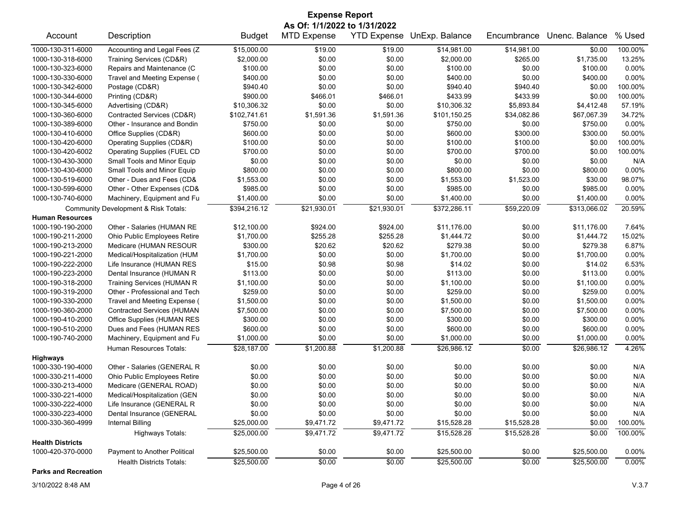| <b>Expense Report</b>                                                                                                                                 |                                      |               |             |             |              |             |              |          |  |  |
|-------------------------------------------------------------------------------------------------------------------------------------------------------|--------------------------------------|---------------|-------------|-------------|--------------|-------------|--------------|----------|--|--|
| As Of: 1/1/2022 to 1/31/2022<br><b>MTD Expense</b><br>YTD Expense UnExp. Balance<br>Unenc. Balance<br>% Used<br>Account<br>Description<br>Encumbrance |                                      |               |             |             |              |             |              |          |  |  |
|                                                                                                                                                       |                                      | <b>Budget</b> |             |             |              |             |              |          |  |  |
| 1000-130-311-6000                                                                                                                                     | Accounting and Legal Fees (Z         | \$15,000.00   | \$19.00     | \$19.00     | \$14,981.00  | \$14,981.00 | \$0.00       | 100.00%  |  |  |
| 1000-130-318-6000                                                                                                                                     | Training Services (CD&R)             | \$2,000.00    | \$0.00      | \$0.00      | \$2,000.00   | \$265.00    | \$1,735.00   | 13.25%   |  |  |
| 1000-130-323-6000                                                                                                                                     | Repairs and Maintenance (C           | \$100.00      | \$0.00      | \$0.00      | \$100.00     | \$0.00      | \$100.00     | 0.00%    |  |  |
| 1000-130-330-6000                                                                                                                                     | Travel and Meeting Expense (         | \$400.00      | \$0.00      | \$0.00      | \$400.00     | \$0.00      | \$400.00     | 0.00%    |  |  |
| 1000-130-342-6000                                                                                                                                     | Postage (CD&R)                       | \$940.40      | \$0.00      | \$0.00      | \$940.40     | \$940.40    | \$0.00       | 100.00%  |  |  |
| 1000-130-344-6000                                                                                                                                     | Printing (CD&R)                      | \$900.00      | \$466.01    | \$466.01    | \$433.99     | \$433.99    | \$0.00       | 100.00%  |  |  |
| 1000-130-345-6000                                                                                                                                     | Advertising (CD&R)                   | \$10,306.32   | \$0.00      | \$0.00      | \$10,306.32  | \$5,893.84  | \$4,412.48   | 57.19%   |  |  |
| 1000-130-360-6000                                                                                                                                     | Contracted Services (CD&R)           | \$102,741.61  | \$1,591.36  | \$1,591.36  | \$101,150.25 | \$34,082.86 | \$67,067.39  | 34.72%   |  |  |
| 1000-130-389-6000                                                                                                                                     | Other - Insurance and Bondin         | \$750.00      | \$0.00      | \$0.00      | \$750.00     | \$0.00      | \$750.00     | 0.00%    |  |  |
| 1000-130-410-6000                                                                                                                                     | Office Supplies (CD&R)               | \$600.00      | \$0.00      | \$0.00      | \$600.00     | \$300.00    | \$300.00     | 50.00%   |  |  |
| 1000-130-420-6000                                                                                                                                     | Operating Supplies (CD&R)            | \$100.00      | \$0.00      | \$0.00      | \$100.00     | \$100.00    | \$0.00       | 100.00%  |  |  |
| 1000-130-420-6002                                                                                                                                     | Operating Supplies (FUEL CD          | \$700.00      | \$0.00      | \$0.00      | \$700.00     | \$700.00    | \$0.00       | 100.00%  |  |  |
| 1000-130-430-3000                                                                                                                                     | Small Tools and Minor Equip          | \$0.00        | \$0.00      | \$0.00      | \$0.00       | \$0.00      | \$0.00       | N/A      |  |  |
| 1000-130-430-6000                                                                                                                                     | Small Tools and Minor Equip          | \$800.00      | \$0.00      | \$0.00      | \$800.00     | \$0.00      | \$800.00     | 0.00%    |  |  |
| 1000-130-519-6000                                                                                                                                     | Other - Dues and Fees (CD&           | \$1,553.00    | \$0.00      | \$0.00      | \$1,553.00   | \$1,523.00  | \$30.00      | 98.07%   |  |  |
| 1000-130-599-6000                                                                                                                                     | Other - Other Expenses (CD&          | \$985.00      | \$0.00      | \$0.00      | \$985.00     | \$0.00      | \$985.00     | 0.00%    |  |  |
| 1000-130-740-6000                                                                                                                                     | Machinery, Equipment and Fu          | \$1,400.00    | \$0.00      | \$0.00      | \$1,400.00   | \$0.00      | \$1,400.00   | $0.00\%$ |  |  |
|                                                                                                                                                       | Community Development & Risk Totals: | \$394,216.12  | \$21,930.01 | \$21,930.01 | \$372,286.11 | \$59,220.09 | \$313,066.02 | 20.59%   |  |  |
| <b>Human Resources</b>                                                                                                                                |                                      |               |             |             |              |             |              |          |  |  |
| 1000-190-190-2000                                                                                                                                     | Other - Salaries (HUMAN RE           | \$12,100.00   | \$924.00    | \$924.00    | \$11,176.00  | \$0.00      | \$11,176.00  | 7.64%    |  |  |
| 1000-190-211-2000                                                                                                                                     | Ohio Public Employees Retire         | \$1,700.00    | \$255.28    | \$255.28    | \$1,444.72   | \$0.00      | \$1,444.72   | 15.02%   |  |  |
| 1000-190-213-2000                                                                                                                                     | Medicare (HUMAN RESOUR               | \$300.00      | \$20.62     | \$20.62     | \$279.38     | \$0.00      | \$279.38     | 6.87%    |  |  |
| 1000-190-221-2000                                                                                                                                     | Medical/Hospitalization (HUM         | \$1,700.00    | \$0.00      | \$0.00      | \$1,700.00   | \$0.00      | \$1,700.00   | 0.00%    |  |  |
| 1000-190-222-2000                                                                                                                                     | Life Insurance (HUMAN RES            | \$15.00       | \$0.98      | \$0.98      | \$14.02      | \$0.00      | \$14.02      | 6.53%    |  |  |
| 1000-190-223-2000                                                                                                                                     | Dental Insurance (HUMAN R            | \$113.00      | \$0.00      | \$0.00      | \$113.00     | \$0.00      | \$113.00     | 0.00%    |  |  |
| 1000-190-318-2000                                                                                                                                     | <b>Training Services (HUMAN R</b>    | \$1,100.00    | \$0.00      | \$0.00      | \$1,100.00   | \$0.00      | \$1,100.00   | 0.00%    |  |  |
| 1000-190-319-2000                                                                                                                                     | Other - Professional and Tech        | \$259.00      | \$0.00      | \$0.00      | \$259.00     | \$0.00      | \$259.00     | $0.00\%$ |  |  |
| 1000-190-330-2000                                                                                                                                     | Travel and Meeting Expense (         | \$1,500.00    | \$0.00      | \$0.00      | \$1,500.00   | \$0.00      | \$1,500.00   | 0.00%    |  |  |
| 1000-190-360-2000                                                                                                                                     | <b>Contracted Services (HUMAN</b>    | \$7,500.00    | \$0.00      | \$0.00      | \$7,500.00   | \$0.00      | \$7,500.00   | 0.00%    |  |  |
| 1000-190-410-2000                                                                                                                                     | Office Supplies (HUMAN RES           | \$300.00      | \$0.00      | \$0.00      | \$300.00     | \$0.00      | \$300.00     | 0.00%    |  |  |
| 1000-190-510-2000                                                                                                                                     | Dues and Fees (HUMAN RES             | \$600.00      | \$0.00      | \$0.00      | \$600.00     | \$0.00      | \$600.00     | $0.00\%$ |  |  |
| 1000-190-740-2000                                                                                                                                     | Machinery, Equipment and Fu          | \$1,000.00    | \$0.00      | \$0.00      | \$1,000.00   | \$0.00      | \$1,000.00   | $0.00\%$ |  |  |
|                                                                                                                                                       | Human Resources Totals:              | \$28,187.00   | \$1,200.88  | \$1,200.88  | \$26,986.12  | \$0.00      | \$26,986.12  | 4.26%    |  |  |
| <b>Highways</b>                                                                                                                                       |                                      |               |             |             |              |             |              |          |  |  |
| 1000-330-190-4000                                                                                                                                     | Other - Salaries (GENERAL R          | \$0.00        | \$0.00      | \$0.00      | \$0.00       | \$0.00      | \$0.00       | N/A      |  |  |
| 1000-330-211-4000                                                                                                                                     | Ohio Public Employees Retire         | \$0.00        | \$0.00      | \$0.00      | \$0.00       | \$0.00      | \$0.00       | N/A      |  |  |
| 1000-330-213-4000                                                                                                                                     | Medicare (GENERAL ROAD)              | \$0.00        | \$0.00      | \$0.00      | \$0.00       | \$0.00      | \$0.00       | N/A      |  |  |
| 1000-330-221-4000                                                                                                                                     | Medical/Hospitalization (GEN         | \$0.00        | \$0.00      | \$0.00      | \$0.00       | \$0.00      | \$0.00       | N/A      |  |  |
| 1000-330-222-4000                                                                                                                                     | Life Insurance (GENERAL R            | \$0.00        | \$0.00      | \$0.00      | \$0.00       | \$0.00      | \$0.00       | N/A      |  |  |
| 1000-330-223-4000                                                                                                                                     | Dental Insurance (GENERAL            | \$0.00        | \$0.00      | \$0.00      | \$0.00       | \$0.00      | \$0.00       | N/A      |  |  |
| 1000-330-360-4999                                                                                                                                     | Internal Billing                     | \$25,000.00   | \$9,471.72  | \$9,471.72  | \$15,528.28  | \$15,528.28 | \$0.00       | 100.00%  |  |  |
|                                                                                                                                                       | Highways Totals:                     | \$25,000.00   | \$9,471.72  | \$9,471.72  | \$15,528.28  | \$15,528.28 | \$0.00       | 100.00%  |  |  |
| <b>Health Districts</b>                                                                                                                               |                                      |               |             |             |              |             |              |          |  |  |
| 1000-420-370-0000                                                                                                                                     | Payment to Another Political         | \$25,500.00   | \$0.00      | \$0.00      | \$25,500.00  | \$0.00      | \$25,500.00  | 0.00%    |  |  |
|                                                                                                                                                       | <b>Health Districts Totals:</b>      | \$25,500.00   | \$0.00      | \$0.00      | \$25,500.00  | \$0.00      | \$25,500.00  | 0.00%    |  |  |

**Parks and Recreation**

3/10/2022 8:48 AM Page 4 of 26 V.3.7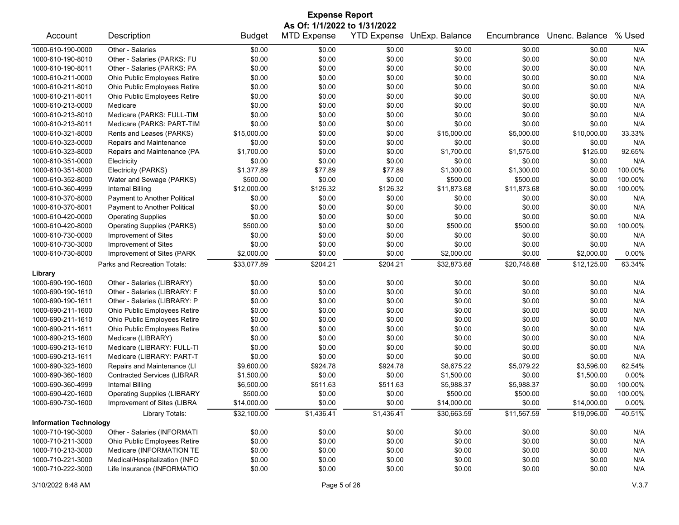| <b>Expense Report</b>         |                                     |               |                    |            |                            |             |                |         |  |
|-------------------------------|-------------------------------------|---------------|--------------------|------------|----------------------------|-------------|----------------|---------|--|
| As Of: 1/1/2022 to 1/31/2022  |                                     |               |                    |            |                            |             |                |         |  |
| Account                       | Description                         | <b>Budget</b> | <b>MTD Expense</b> |            | YTD Expense UnExp. Balance | Encumbrance | Unenc. Balance | % Used  |  |
| 1000-610-190-0000             | Other - Salaries                    | \$0.00        | \$0.00             | \$0.00     | \$0.00                     | \$0.00      | \$0.00         | N/A     |  |
| 1000-610-190-8010             | Other - Salaries (PARKS: FU         | \$0.00        | \$0.00             | \$0.00     | \$0.00                     | \$0.00      | \$0.00         | N/A     |  |
| 1000-610-190-8011             | Other - Salaries (PARKS: PA         | \$0.00        | \$0.00             | \$0.00     | \$0.00                     | \$0.00      | \$0.00         | N/A     |  |
| 1000-610-211-0000             | Ohio Public Employees Retire        | \$0.00        | \$0.00             | \$0.00     | \$0.00                     | \$0.00      | \$0.00         | N/A     |  |
| 1000-610-211-8010             | Ohio Public Employees Retire        | \$0.00        | \$0.00             | \$0.00     | \$0.00                     | \$0.00      | \$0.00         | N/A     |  |
| 1000-610-211-8011             | Ohio Public Employees Retire        | \$0.00        | \$0.00             | \$0.00     | \$0.00                     | \$0.00      | \$0.00         | N/A     |  |
| 1000-610-213-0000             | Medicare                            | \$0.00        | \$0.00             | \$0.00     | \$0.00                     | \$0.00      | \$0.00         | N/A     |  |
| 1000-610-213-8010             | Medicare (PARKS: FULL-TIM           | \$0.00        | \$0.00             | \$0.00     | \$0.00                     | \$0.00      | \$0.00         | N/A     |  |
| 1000-610-213-8011             | Medicare (PARKS: PART-TIM           | \$0.00        | \$0.00             | \$0.00     | \$0.00                     | \$0.00      | \$0.00         | N/A     |  |
| 1000-610-321-8000             | Rents and Leases (PARKS)            | \$15,000.00   | \$0.00             | \$0.00     | \$15,000.00                | \$5,000.00  | \$10,000.00    | 33.33%  |  |
| 1000-610-323-0000             | Repairs and Maintenance             | \$0.00        | \$0.00             | \$0.00     | \$0.00                     | \$0.00      | \$0.00         | N/A     |  |
| 1000-610-323-8000             | Repairs and Maintenance (PA         | \$1,700.00    | \$0.00             | \$0.00     | \$1,700.00                 | \$1,575.00  | \$125.00       | 92.65%  |  |
| 1000-610-351-0000             | Electricity                         | \$0.00        | \$0.00             | \$0.00     | \$0.00                     | \$0.00      | \$0.00         | N/A     |  |
| 1000-610-351-8000             | Electricity (PARKS)                 | \$1,377.89    | \$77.89            | \$77.89    | \$1,300.00                 | \$1,300.00  | \$0.00         | 100.00% |  |
| 1000-610-352-8000             | Water and Sewage (PARKS)            | \$500.00      | \$0.00             | \$0.00     | \$500.00                   | \$500.00    | \$0.00         | 100.00% |  |
| 1000-610-360-4999             | <b>Internal Billing</b>             | \$12,000.00   | \$126.32           | \$126.32   | \$11,873.68                | \$11,873.68 | \$0.00         | 100.00% |  |
| 1000-610-370-8000             | Payment to Another Political        | \$0.00        | \$0.00             | \$0.00     | \$0.00                     | \$0.00      | \$0.00         | N/A     |  |
| 1000-610-370-8001             | <b>Payment to Another Political</b> | \$0.00        | \$0.00             | \$0.00     | \$0.00                     | \$0.00      | \$0.00         | N/A     |  |
| 1000-610-420-0000             | <b>Operating Supplies</b>           | \$0.00        | \$0.00             | \$0.00     | \$0.00                     | \$0.00      | \$0.00         | N/A     |  |
| 1000-610-420-8000             | <b>Operating Supplies (PARKS)</b>   | \$500.00      | \$0.00             | \$0.00     | \$500.00                   | \$500.00    | \$0.00         | 100.00% |  |
| 1000-610-730-0000             | Improvement of Sites                | \$0.00        | \$0.00             | \$0.00     | \$0.00                     | \$0.00      | \$0.00         | N/A     |  |
| 1000-610-730-3000             | Improvement of Sites                | \$0.00        | \$0.00             | \$0.00     | \$0.00                     | \$0.00      | \$0.00         | N/A     |  |
| 1000-610-730-8000             | Improvement of Sites (PARK          | \$2,000.00    | \$0.00             | \$0.00     | \$2,000.00                 | \$0.00      | \$2,000.00     | 0.00%   |  |
|                               | Parks and Recreation Totals:        | \$33,077.89   | \$204.21           | \$204.21   | \$32,873.68                | \$20,748.68 | \$12,125.00    | 63.34%  |  |
| Library                       |                                     |               |                    |            |                            |             |                |         |  |
| 1000-690-190-1600             | Other - Salaries (LIBRARY)          | \$0.00        | \$0.00             | \$0.00     | \$0.00                     | \$0.00      | \$0.00         | N/A     |  |
| 1000-690-190-1610             | Other - Salaries (LIBRARY: F        | \$0.00        | \$0.00             | \$0.00     | \$0.00                     | \$0.00      | \$0.00         | N/A     |  |
| 1000-690-190-1611             | Other - Salaries (LIBRARY: P        | \$0.00        | \$0.00             | \$0.00     | \$0.00                     | \$0.00      | \$0.00         | N/A     |  |
| 1000-690-211-1600             | Ohio Public Employees Retire        | \$0.00        | \$0.00             | \$0.00     | \$0.00                     | \$0.00      | \$0.00         | N/A     |  |
| 1000-690-211-1610             | Ohio Public Employees Retire        | \$0.00        | \$0.00             | \$0.00     | \$0.00                     | \$0.00      | \$0.00         | N/A     |  |
| 1000-690-211-1611             | Ohio Public Employees Retire        | \$0.00        | \$0.00             | \$0.00     | \$0.00                     | \$0.00      | \$0.00         | N/A     |  |
| 1000-690-213-1600             | Medicare (LIBRARY)                  | \$0.00        | \$0.00             | \$0.00     | \$0.00                     | \$0.00      | \$0.00         | N/A     |  |
| 1000-690-213-1610             | Medicare (LIBRARY: FULL-TI          | \$0.00        | \$0.00             | \$0.00     | \$0.00                     | \$0.00      | \$0.00         | N/A     |  |
| 1000-690-213-1611             | Medicare (LIBRARY: PART-T           | \$0.00        | \$0.00             | \$0.00     | \$0.00                     | \$0.00      | \$0.00         | N/A     |  |
| 1000-690-323-1600             | Repairs and Maintenance (LI         | \$9,600.00    | \$924.78           | \$924.78   | \$8,675.22                 | \$5,079.22  | \$3,596.00     | 62.54%  |  |
| 1000-690-360-1600             | <b>Contracted Services (LIBRAR</b>  | \$1,500.00    | \$0.00             | \$0.00     | \$1,500.00                 | \$0.00      | \$1,500.00     | 0.00%   |  |
| 1000-690-360-4999             | Internal Billing                    | \$6,500.00    | \$511.63           | \$511.63   | \$5,988.37                 | \$5,988.37  | \$0.00         | 100.00% |  |
| 1000-690-420-1600             | <b>Operating Supplies (LIBRARY</b>  | \$500.00      | \$0.00             | \$0.00     | \$500.00                   | \$500.00    | \$0.00         | 100.00% |  |
| 1000-690-730-1600             | Improvement of Sites (LIBRA         | \$14,000.00   | \$0.00             | \$0.00     | \$14,000.00                | \$0.00      | \$14,000.00    | 0.00%   |  |
|                               | Library Totals:                     | \$32,100.00   | \$1,436.41         | \$1,436.41 | \$30,663.59                | \$11,567.59 | \$19,096.00    | 40.51%  |  |
| <b>Information Technology</b> |                                     |               |                    |            |                            |             |                |         |  |
| 1000-710-190-3000             | Other - Salaries (INFORMATI         | \$0.00        | \$0.00             | \$0.00     | \$0.00                     | \$0.00      | \$0.00         | N/A     |  |
| 1000-710-211-3000             | Ohio Public Employees Retire        | \$0.00        | \$0.00             | \$0.00     | \$0.00                     | \$0.00      | \$0.00         | N/A     |  |
| 1000-710-213-3000             | Medicare (INFORMATION TE            | \$0.00        | \$0.00             | \$0.00     | \$0.00                     | \$0.00      | \$0.00         | N/A     |  |
| 1000-710-221-3000             | Medical/Hospitalization (INFO       | \$0.00        | \$0.00             | \$0.00     | \$0.00                     | \$0.00      | \$0.00         | N/A     |  |
| 1000-710-222-3000             | Life Insurance (INFORMATIO          | \$0.00        | \$0.00             | \$0.00     | \$0.00                     | \$0.00      | \$0.00         | N/A     |  |
|                               |                                     |               |                    |            |                            |             |                |         |  |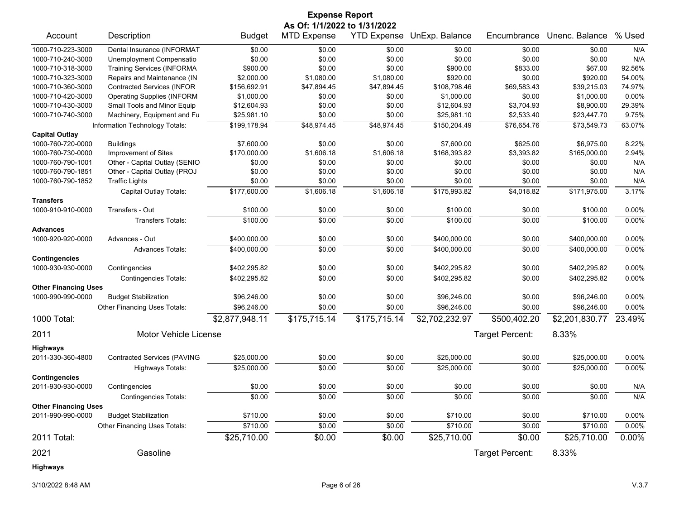|                             |                                    |                | <b>Expense Report</b>        |                    |                |                 |                |          |
|-----------------------------|------------------------------------|----------------|------------------------------|--------------------|----------------|-----------------|----------------|----------|
|                             |                                    |                | As Of: 1/1/2022 to 1/31/2022 |                    |                |                 |                |          |
| Account                     | Description                        | <b>Budget</b>  | <b>MTD Expense</b>           | <b>YTD Expense</b> | UnExp. Balance | Encumbrance     | Unenc. Balance | % Used   |
| 1000-710-223-3000           | Dental Insurance (INFORMAT         | \$0.00         | \$0.00                       | \$0.00             | \$0.00         | \$0.00          | \$0.00         | N/A      |
| 1000-710-240-3000           | Unemployment Compensatio           | \$0.00         | \$0.00                       | \$0.00             | \$0.00         | \$0.00          | \$0.00         | N/A      |
| 1000-710-318-3000           | <b>Training Services (INFORMA</b>  | \$900.00       | \$0.00                       | \$0.00             | \$900.00       | \$833.00        | \$67.00        | 92.56%   |
| 1000-710-323-3000           | Repairs and Maintenance (IN        | \$2,000.00     | \$1,080.00                   | \$1,080.00         | \$920.00       | \$0.00          | \$920.00       | 54.00%   |
| 1000-710-360-3000           | <b>Contracted Services (INFOR</b>  | \$156,692.91   | \$47,894.45                  | \$47,894.45        | \$108,798.46   | \$69,583.43     | \$39,215.03    | 74.97%   |
| 1000-710-420-3000           | <b>Operating Supplies (INFORM</b>  | \$1,000.00     | \$0.00                       | \$0.00             | \$1,000.00     | \$0.00          | \$1,000.00     | 0.00%    |
| 1000-710-430-3000           | Small Tools and Minor Equip        | \$12,604.93    | \$0.00                       | \$0.00             | \$12,604.93    | \$3,704.93      | \$8,900.00     | 29.39%   |
| 1000-710-740-3000           | Machinery, Equipment and Fu        | \$25,981.10    | \$0.00                       | \$0.00             | \$25,981.10    | \$2,533.40      | \$23,447.70    | 9.75%    |
|                             | Information Technology Totals:     | \$199,178.94   | \$48,974.45                  | \$48,974.45        | \$150,204.49   | \$76,654.76     | \$73,549.73    | 63.07%   |
| <b>Capital Outlay</b>       |                                    |                |                              |                    |                |                 |                |          |
| 1000-760-720-0000           | <b>Buildings</b>                   | \$7,600.00     | \$0.00                       | \$0.00             | \$7,600.00     | \$625.00        | \$6,975.00     | 8.22%    |
| 1000-760-730-0000           | Improvement of Sites               | \$170,000.00   | \$1,606.18                   | \$1,606.18         | \$168,393.82   | \$3,393.82      | \$165,000.00   | 2.94%    |
| 1000-760-790-1001           | Other - Capital Outlay (SENIO      | \$0.00         | \$0.00                       | \$0.00             | \$0.00         | \$0.00          | \$0.00         | N/A      |
| 1000-760-790-1851           | Other - Capital Outlay (PROJ       | \$0.00         | \$0.00                       | \$0.00             | \$0.00         | \$0.00          | \$0.00         | N/A      |
| 1000-760-790-1852           | <b>Traffic Lights</b>              | \$0.00         | \$0.00                       | \$0.00             | \$0.00         | \$0.00          | \$0.00         | N/A      |
|                             | Capital Outlay Totals:             | \$177,600.00   | \$1,606.18                   | \$1,606.18         | \$175,993.82   | \$4,018.82      | \$171,975.00   | 3.17%    |
| <b>Transfers</b>            |                                    |                |                              |                    |                |                 |                |          |
| 1000-910-910-0000           | Transfers - Out                    | \$100.00       | \$0.00                       | \$0.00             | \$100.00       | \$0.00          | \$100.00       | 0.00%    |
|                             | <b>Transfers Totals:</b>           | \$100.00       | \$0.00                       | \$0.00             | \$100.00       | \$0.00          | \$100.00       | 0.00%    |
| <b>Advances</b>             |                                    |                |                              |                    |                |                 |                |          |
| 1000-920-920-0000           | Advances - Out                     | \$400,000.00   | \$0.00                       | \$0.00             | \$400,000.00   | \$0.00          | \$400,000.00   | 0.00%    |
|                             | <b>Advances Totals:</b>            | \$400,000.00   | \$0.00                       | \$0.00             | \$400,000.00   | \$0.00          | \$400,000.00   | 0.00%    |
| <b>Contingencies</b>        |                                    |                |                              |                    |                |                 |                |          |
| 1000-930-930-0000           | Contingencies                      | \$402,295.82   | \$0.00                       | \$0.00             | \$402,295.82   | \$0.00          | \$402,295.82   | 0.00%    |
|                             | <b>Contingencies Totals:</b>       | \$402,295.82   | \$0.00                       | \$0.00             | \$402,295.82   | \$0.00          | \$402,295.82   | 0.00%    |
| <b>Other Financing Uses</b> |                                    |                |                              |                    |                |                 |                |          |
| 1000-990-990-0000           | <b>Budget Stabilization</b>        | \$96,246.00    | \$0.00                       | \$0.00             | \$96,246.00    | \$0.00          | \$96,246.00    | 0.00%    |
|                             | Other Financing Uses Totals:       | \$96,246.00    | \$0.00                       | \$0.00             | \$96,246.00    | \$0.00          | \$96,246.00    | $0.00\%$ |
| 1000 Total:                 |                                    | \$2,877,948.11 | \$175,715.14                 | \$175,715.14       | \$2,702,232.97 | \$500,402.20    | \$2,201,830.77 | 23.49%   |
|                             |                                    |                |                              |                    |                |                 |                |          |
| 2011                        | Motor Vehicle License              |                |                              |                    |                | Target Percent: | 8.33%          |          |
| <b>Highways</b>             |                                    |                |                              |                    |                |                 |                |          |
| 2011-330-360-4800           | <b>Contracted Services (PAVING</b> | \$25,000.00    | \$0.00                       | \$0.00             | \$25,000.00    | \$0.00          | \$25,000.00    | $0.00\%$ |
|                             | Highways Totals:                   | \$25,000.00    | \$0.00                       | \$0.00             | \$25,000.00    | \$0.00          | \$25,000.00    | 0.00%    |
| <b>Contingencies</b>        |                                    |                |                              |                    |                |                 |                |          |
| 2011-930-930-0000           | Contingencies                      | \$0.00         | \$0.00                       | \$0.00             | \$0.00         | \$0.00          | \$0.00         | N/A      |
|                             | <b>Contingencies Totals:</b>       | \$0.00         | \$0.00                       | \$0.00             | \$0.00         | \$0.00          | \$0.00         | N/A      |
| <b>Other Financing Uses</b> |                                    |                |                              |                    |                |                 |                |          |
| 2011-990-990-0000           | <b>Budget Stabilization</b>        | \$710.00       | \$0.00                       | \$0.00             | \$710.00       | \$0.00          | \$710.00       | 0.00%    |
|                             | Other Financing Uses Totals:       | \$710.00       | \$0.00                       | \$0.00             | \$710.00       | \$0.00          | \$710.00       | 0.00%    |
| 2011 Total:                 |                                    | \$25,710.00    | \$0.00                       | \$0.00             | \$25,710.00    | \$0.00          | \$25,710.00    | 0.00%    |
| 2021                        | Gasoline                           |                |                              |                    |                | Target Percent: | 8.33%          |          |
| Highways                    |                                    |                |                              |                    |                |                 |                |          |

3/10/2022 8:48 AM Page 6 of 26 V.3.7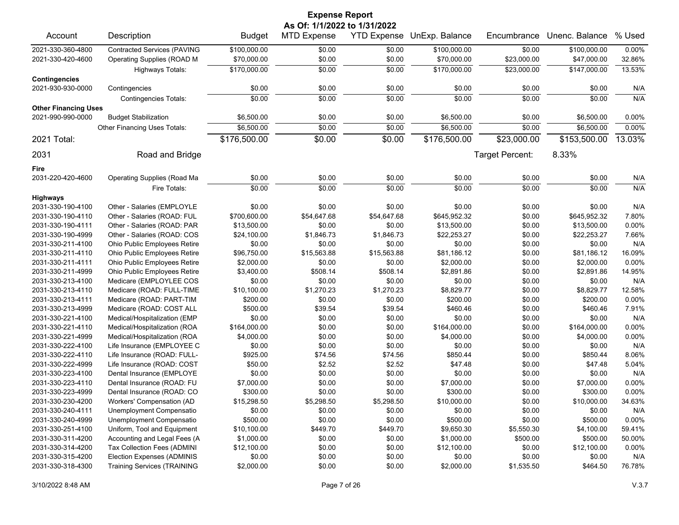| <b>Expense Report</b>       |                                    |               |                              |                    |                |                 |                |          |  |
|-----------------------------|------------------------------------|---------------|------------------------------|--------------------|----------------|-----------------|----------------|----------|--|
|                             |                                    |               | As Of: 1/1/2022 to 1/31/2022 |                    |                |                 |                |          |  |
| Account                     | Description                        | <b>Budget</b> | <b>MTD Expense</b>           | <b>YTD Expense</b> | UnExp. Balance | Encumbrance     | Unenc. Balance | % Used   |  |
| 2021-330-360-4800           | <b>Contracted Services (PAVING</b> | \$100,000.00  | \$0.00                       | \$0.00             | \$100,000.00   | \$0.00          | \$100,000.00   | 0.00%    |  |
| 2021-330-420-4600           | Operating Supplies (ROAD M         | \$70,000.00   | \$0.00                       | \$0.00             | \$70,000.00    | \$23,000.00     | \$47,000.00    | 32.86%   |  |
|                             | <b>Highways Totals:</b>            | \$170,000.00  | \$0.00                       | \$0.00             | \$170,000.00   | \$23,000.00     | \$147,000.00   | 13.53%   |  |
| <b>Contingencies</b>        |                                    |               |                              |                    |                |                 |                |          |  |
| 2021-930-930-0000           | Contingencies                      | \$0.00        | \$0.00                       | \$0.00             | \$0.00         | \$0.00          | \$0.00         | N/A      |  |
|                             | <b>Contingencies Totals:</b>       | \$0.00        | \$0.00                       | \$0.00             | \$0.00         | \$0.00          | \$0.00         | N/A      |  |
| <b>Other Financing Uses</b> |                                    |               |                              |                    |                |                 |                |          |  |
| 2021-990-990-0000           | <b>Budget Stabilization</b>        | \$6,500.00    | \$0.00                       | \$0.00             | \$6,500.00     | \$0.00          | \$6,500.00     | 0.00%    |  |
|                             | Other Financing Uses Totals:       | \$6,500.00    | \$0.00                       | \$0.00             | \$6,500.00     | \$0.00          | \$6,500.00     | 0.00%    |  |
| 2021 Total:                 |                                    | \$176,500.00  | \$0.00                       | \$0.00             | \$176,500.00   | \$23,000.00     | \$153,500.00   | 13.03%   |  |
|                             |                                    |               |                              |                    |                |                 |                |          |  |
| 2031                        | Road and Bridge                    |               |                              |                    |                | Target Percent: | 8.33%          |          |  |
| Fire                        |                                    |               |                              |                    |                |                 |                |          |  |
| 2031-220-420-4600           | <b>Operating Supplies (Road Ma</b> | \$0.00        | \$0.00                       | \$0.00             | \$0.00         | \$0.00          | \$0.00         | N/A      |  |
|                             | Fire Totals:                       | \$0.00        | \$0.00                       | \$0.00             | \$0.00         | \$0.00          | \$0.00         | N/A      |  |
| <b>Highways</b>             |                                    |               |                              |                    |                |                 |                |          |  |
| 2031-330-190-4100           | Other - Salaries (EMPLOYLE         | \$0.00        | \$0.00                       | \$0.00             | \$0.00         | \$0.00          | \$0.00         | N/A      |  |
| 2031-330-190-4110           | Other - Salaries (ROAD: FUL        | \$700,600.00  | \$54,647.68                  | \$54,647.68        | \$645,952.32   | \$0.00          | \$645,952.32   | 7.80%    |  |
| 2031-330-190-4111           | Other - Salaries (ROAD: PAR        | \$13,500.00   | \$0.00                       | \$0.00             | \$13,500.00    | \$0.00          | \$13,500.00    | 0.00%    |  |
| 2031-330-190-4999           | Other - Salaries (ROAD: COS        | \$24,100.00   | \$1,846.73                   | \$1,846.73         | \$22,253.27    | \$0.00          | \$22,253.27    | 7.66%    |  |
| 2031-330-211-4100           | Ohio Public Employees Retire       | \$0.00        | \$0.00                       | \$0.00             | \$0.00         | \$0.00          | \$0.00         | N/A      |  |
| 2031-330-211-4110           | Ohio Public Employees Retire       | \$96,750.00   | \$15,563.88                  | \$15,563.88        | \$81,186.12    | \$0.00          | \$81,186.12    | 16.09%   |  |
| 2031-330-211-4111           | Ohio Public Employees Retire       | \$2,000.00    | \$0.00                       | \$0.00             | \$2,000.00     | \$0.00          | \$2,000.00     | 0.00%    |  |
| 2031-330-211-4999           | Ohio Public Employees Retire       | \$3,400.00    | \$508.14                     | \$508.14           | \$2,891.86     | \$0.00          | \$2,891.86     | 14.95%   |  |
| 2031-330-213-4100           | Medicare (EMPLOYLEE COS            | \$0.00        | \$0.00                       | \$0.00             | \$0.00         | \$0.00          | \$0.00         | N/A      |  |
| 2031-330-213-4110           | Medicare (ROAD: FULL-TIME          | \$10,100.00   | \$1,270.23                   | \$1,270.23         | \$8,829.77     | \$0.00          | \$8,829.77     | 12.58%   |  |
| 2031-330-213-4111           | Medicare (ROAD: PART-TIM           | \$200.00      | \$0.00                       | \$0.00             | \$200.00       | \$0.00          | \$200.00       | 0.00%    |  |
| 2031-330-213-4999           | Medicare (ROAD: COST ALL           | \$500.00      | \$39.54                      | \$39.54            | \$460.46       | \$0.00          | \$460.46       | 7.91%    |  |
| 2031-330-221-4100           | Medical/Hospitalization (EMP       | \$0.00        | \$0.00                       | \$0.00             | \$0.00         | \$0.00          | \$0.00         | N/A      |  |
| 2031-330-221-4110           | Medical/Hospitalization (ROA       | \$164,000.00  | \$0.00                       | \$0.00             | \$164,000.00   | \$0.00          | \$164,000.00   | 0.00%    |  |
| 2031-330-221-4999           | Medical/Hospitalization (ROA       | \$4,000.00    | \$0.00                       | \$0.00             | \$4,000.00     | \$0.00          | \$4,000.00     | 0.00%    |  |
| 2031-330-222-4100           | Life Insurance (EMPLOYEE C         | \$0.00        | \$0.00                       | \$0.00             | \$0.00         | \$0.00          | \$0.00         | N/A      |  |
| 2031-330-222-4110           | Life Insurance (ROAD: FULL-        | \$925.00      | \$74.56                      | \$74.56            | \$850.44       | \$0.00          | \$850.44       | 8.06%    |  |
| 2031-330-222-4999           | Life Insurance (ROAD: COST         | \$50.00       | \$2.52                       | \$2.52             | \$47.48        | \$0.00          | \$47.48        | 5.04%    |  |
| 2031-330-223-4100           | Dental Insurance (EMPLOYE          | \$0.00        | \$0.00                       | \$0.00             | \$0.00         | \$0.00          | \$0.00         | N/A      |  |
| 2031-330-223-4110           | Dental Insurance (ROAD: FU         | \$7,000.00    | \$0.00                       | \$0.00             | \$7,000.00     | \$0.00          | \$7,000.00     | 0.00%    |  |
| 2031-330-223-4999           | Dental Insurance (ROAD: CO         | \$300.00      | \$0.00                       | \$0.00             | \$300.00       | \$0.00          | \$300.00       | $0.00\%$ |  |
| 2031-330-230-4200           | Workers' Compensation (AD          | \$15,298.50   | \$5,298.50                   | \$5,298.50         | \$10,000.00    | \$0.00          | \$10,000.00    | 34.63%   |  |
| 2031-330-240-4111           | Unemployment Compensatio           | \$0.00        | \$0.00                       | \$0.00             | \$0.00         | \$0.00          | \$0.00         | N/A      |  |
| 2031-330-240-4999           | Unemployment Compensatio           | \$500.00      | \$0.00                       | \$0.00             | \$500.00       | \$0.00          | \$500.00       | 0.00%    |  |
| 2031-330-251-4100           | Uniform, Tool and Equipment        | \$10,100.00   | \$449.70                     | \$449.70           | \$9,650.30     | \$5,550.30      | \$4,100.00     | 59.41%   |  |
| 2031-330-311-4200           | Accounting and Legal Fees (A       | \$1,000.00    | \$0.00                       | \$0.00             | \$1,000.00     | \$500.00        | \$500.00       | 50.00%   |  |
| 2031-330-314-4200           | Tax Collection Fees (ADMINI        | \$12,100.00   | \$0.00                       | \$0.00             | \$12,100.00    | \$0.00          | \$12,100.00    | 0.00%    |  |
| 2031-330-315-4200           | Election Expenses (ADMINIS         | \$0.00        | \$0.00                       | \$0.00             | \$0.00         | \$0.00          | \$0.00         | N/A      |  |
| 2031-330-318-4300           | <b>Training Services (TRAINING</b> | \$2,000.00    | \$0.00                       | \$0.00             | \$2,000.00     | \$1,535.50      | \$464.50       | 76.78%   |  |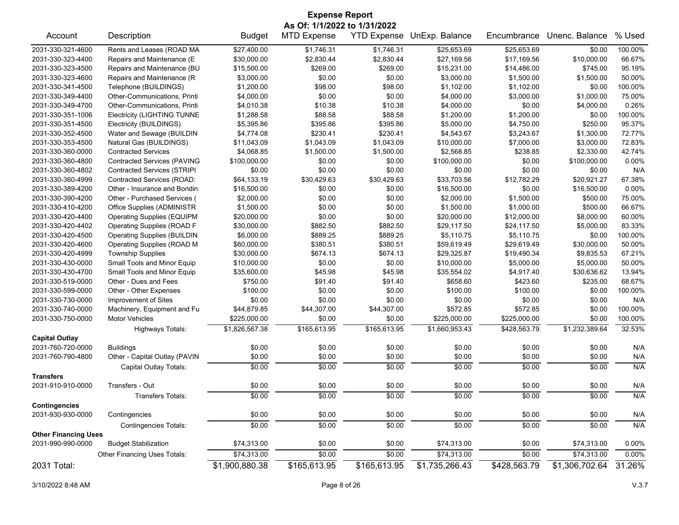| <b>Expense Report</b>       |                                                |                |                    |                    |                |              |                |         |
|-----------------------------|------------------------------------------------|----------------|--------------------|--------------------|----------------|--------------|----------------|---------|
|                             | As Of: 1/1/2022 to 1/31/2022<br>Unenc. Balance |                |                    |                    |                |              |                |         |
| Account                     | Description                                    | <b>Budget</b>  | <b>MTD Expense</b> | <b>YTD Expense</b> | UnExp. Balance | Encumbrance  |                | % Used  |
| 2031-330-321-4600           | Rents and Leases (ROAD MA                      | \$27,400.00    | \$1,746.31         | \$1,746.31         | \$25,653.69    | \$25,653.69  | \$0.00         | 100.00% |
| 2031-330-323-4400           | Repairs and Maintenance (E                     | \$30,000.00    | \$2,830.44         | \$2,830.44         | \$27,169.56    | \$17,169.56  | \$10,000.00    | 66.67%  |
| 2031-330-323-4500           | Repairs and Maintenance (BU                    | \$15,500.00    | \$269.00           | \$269.00           | \$15,231.00    | \$14,486.00  | \$745.00       | 95.19%  |
| 2031-330-323-4600           | Repairs and Maintenance (R                     | \$3,000.00     | \$0.00             | \$0.00             | \$3,000.00     | \$1,500.00   | \$1,500.00     | 50.00%  |
| 2031-330-341-4500           | Telephone (BUILDINGS)                          | \$1,200.00     | \$98.00            | \$98.00            | \$1,102.00     | \$1,102.00   | \$0.00         | 100.00% |
| 2031-330-349-4400           | Other-Communications, Printi                   | \$4,000.00     | \$0.00             | \$0.00             | \$4,000.00     | \$3,000.00   | \$1,000.00     | 75.00%  |
| 2031-330-349-4700           | Other-Communications, Printi                   | \$4,010.38     | \$10.38            | \$10.38            | \$4,000.00     | \$0.00       | \$4,000.00     | 0.26%   |
| 2031-330-351-1006           | <b>Electricity (LIGHTING TUNNE</b>             | \$1,288.58     | \$88.58            | \$88.58            | \$1,200.00     | \$1,200.00   | \$0.00         | 100.00% |
| 2031-330-351-4500           | Electricity (BUILDINGS)                        | \$5,395.86     | \$395.86           | \$395.86           | \$5,000.00     | \$4,750.00   | \$250.00       | 95.37%  |
| 2031-330-352-4500           | Water and Sewage (BUILDIN                      | \$4.774.08     | \$230.41           | \$230.41           | \$4,543.67     | \$3,243.67   | \$1,300.00     | 72.77%  |
| 2031-330-353-4500           | Natural Gas (BUILDINGS)                        | \$11,043.09    | \$1,043.09         | \$1,043.09         | \$10,000.00    | \$7,000.00   | \$3,000.00     | 72.83%  |
| 2031-330-360-0000           | <b>Contracted Services</b>                     | \$4,068.85     | \$1,500.00         | \$1,500.00         | \$2,568.85     | \$238.85     | \$2,330.00     | 42.74%  |
| 2031-330-360-4800           | <b>Contracted Services (PAVING</b>             | \$100,000.00   | \$0.00             | \$0.00             | \$100,000.00   | \$0.00       | \$100,000.00   | 0.00%   |
| 2031-330-360-4802           | <b>Contracted Services (STRIPI</b>             | \$0.00         | \$0.00             | \$0.00             | \$0.00         | \$0.00       | \$0.00         | N/A     |
| 2031-330-360-4999           | Contracted Services (ROAD:                     | \$64,133.19    | \$30,429.63        | \$30,429.63        | \$33.703.56    | \$12,782.29  | \$20,921.27    | 67.38%  |
| 2031-330-389-4200           | Other - Insurance and Bondin                   | \$16,500.00    | \$0.00             | \$0.00             | \$16,500.00    | \$0.00       | \$16,500.00    | 0.00%   |
| 2031-330-390-4200           | Other - Purchased Services (                   | \$2,000.00     | \$0.00             | \$0.00             | \$2,000.00     | \$1,500.00   | \$500.00       | 75.00%  |
| 2031-330-410-4200           | Office Supplies (ADMINISTR                     | \$1,500.00     | \$0.00             | \$0.00             | \$1,500.00     | \$1,000.00   | \$500.00       | 66.67%  |
| 2031-330-420-4400           | <b>Operating Supplies (EQUIPM</b>              | \$20,000.00    | \$0.00             | \$0.00             | \$20,000.00    | \$12,000.00  | \$8,000.00     | 60.00%  |
| 2031-330-420-4402           | <b>Operating Supplies (ROAD F</b>              | \$30,000.00    | \$882.50           | \$882.50           | \$29,117.50    | \$24,117.50  | \$5,000.00     | 83.33%  |
| 2031-330-420-4500           | <b>Operating Supplies (BUILDIN</b>             | \$6,000.00     | \$889.25           | \$889.25           | \$5,110.75     | \$5,110.75   | \$0.00         | 100.00% |
| 2031-330-420-4600           | Operating Supplies (ROAD M                     | \$60,000.00    | \$380.51           | \$380.51           | \$59,619.49    | \$29,619.49  | \$30,000.00    | 50.00%  |
| 2031-330-420-4999           | <b>Township Supplies</b>                       | \$30,000.00    | \$674.13           | \$674.13           | \$29,325.87    | \$19,490.34  | \$9,835.53     | 67.21%  |
| 2031-330-430-0000           | Small Tools and Minor Equip                    | \$10,000.00    | \$0.00             | \$0.00             | \$10,000.00    | \$5,000.00   | \$5,000.00     | 50.00%  |
| 2031-330-430-4700           | Small Tools and Minor Equip                    | \$35,600.00    | \$45.98            | \$45.98            | \$35,554.02    | \$4,917.40   | \$30,636.62    | 13.94%  |
| 2031-330-519-0000           | Other - Dues and Fees                          | \$750.00       | \$91.40            | \$91.40            | \$658.60       | \$423.60     | \$235.00       | 68.67%  |
| 2031-330-599-0000           | Other - Other Expenses                         | \$100.00       | \$0.00             | \$0.00             | \$100.00       | \$100.00     | \$0.00         | 100.00% |
| 2031-330-730-0000           | Improvement of Sites                           | \$0.00         | \$0.00             | \$0.00             | \$0.00         | \$0.00       | \$0.00         | N/A     |
| 2031-330-740-0000           | Machinery, Equipment and Fu                    | \$44,879.85    | \$44,307.00        | \$44,307.00        | \$572.85       | \$572.85     | \$0.00         | 100.00% |
| 2031-330-750-0000           | Motor Vehicles                                 | \$225,000.00   | \$0.00             | \$0.00             | \$225,000.00   | \$225,000.00 | \$0.00         | 100.00% |
|                             |                                                |                | \$165,613.95       | \$165,613.95       |                | \$428,563.79 | \$1,232,389.64 | 32.53%  |
| <b>Capital Outlay</b>       | <b>Highways Totals:</b>                        | \$1,826,567.38 |                    |                    | \$1,660,953.43 |              |                |         |
| 2031-760-720-0000           | <b>Buildings</b>                               | \$0.00         | \$0.00             | \$0.00             | \$0.00         | \$0.00       | \$0.00         | N/A     |
| 2031-760-790-4800           | Other - Capital Outlay (PAVIN                  | \$0.00         | \$0.00             | \$0.00             | \$0.00         | \$0.00       | \$0.00         | N/A     |
|                             |                                                | \$0.00         | \$0.00             | \$0.00             | \$0.00         | \$0.00       | \$0.00         | N/A     |
| <b>Transfers</b>            | Capital Outlay Totals:                         |                |                    |                    |                |              |                |         |
| 2031-910-910-0000           | Transfers - Out                                | \$0.00         | \$0.00             | \$0.00             | \$0.00         | \$0.00       | \$0.00         | N/A     |
|                             | Transfers Totals:                              | \$0.00         | \$0.00             | \$0.00             | \$0.00         | \$0.00       | \$0.00         | N/A     |
| <b>Contingencies</b>        |                                                |                |                    |                    |                |              |                |         |
| 2031-930-930-0000           | Contingencies                                  | \$0.00         | \$0.00             | \$0.00             | \$0.00         | \$0.00       | \$0.00         | N/A     |
|                             | <b>Contingencies Totals:</b>                   | \$0.00         | \$0.00             | \$0.00             | \$0.00         | \$0.00       | \$0.00         | N/A     |
| <b>Other Financing Uses</b> |                                                |                |                    |                    |                |              |                |         |
| 2031-990-990-0000           | <b>Budget Stabilization</b>                    | \$74,313.00    | \$0.00             | \$0.00             | \$74,313.00    | \$0.00       | \$74,313.00    | 0.00%   |
|                             | Other Financing Uses Totals:                   | \$74,313.00    | \$0.00             | \$0.00             | \$74,313.00    | \$0.00       | \$74,313.00    | 0.00%   |
| 2031 Total:                 |                                                | \$1,900,880.38 | \$165,613.95       | \$165,613.95       | \$1,735,266.43 | \$428,563.79 | \$1,306,702.64 | 31.26%  |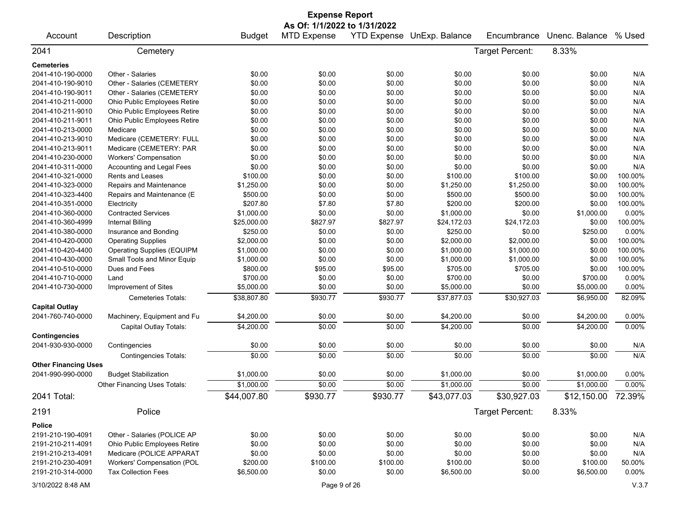|                             |                                   |               | <b>Expense Report</b>        |          |                            |                 |                                |         |
|-----------------------------|-----------------------------------|---------------|------------------------------|----------|----------------------------|-----------------|--------------------------------|---------|
|                             |                                   |               | As Of: 1/1/2022 to 1/31/2022 |          |                            |                 |                                |         |
| Account                     | Description                       | <b>Budget</b> | <b>MTD Expense</b>           |          | YTD Expense UnExp. Balance | Encumbrance     | Unenc. Balance                 | % Used  |
| 2041                        | Cemetery                          |               |                              |          |                            | Target Percent: | 8.33%                          |         |
| <b>Cemeteries</b>           |                                   |               |                              |          |                            |                 |                                |         |
| 2041-410-190-0000           | Other - Salaries                  | \$0.00        | \$0.00                       | \$0.00   | \$0.00                     | \$0.00          | \$0.00                         | N/A     |
| 2041-410-190-9010           | Other - Salaries (CEMETERY        | \$0.00        | \$0.00                       | \$0.00   | \$0.00                     | \$0.00          | \$0.00                         | N/A     |
| 2041-410-190-9011           | Other - Salaries (CEMETERY        | \$0.00        | \$0.00                       | \$0.00   | \$0.00                     | \$0.00          | \$0.00                         | N/A     |
| 2041-410-211-0000           | Ohio Public Employees Retire      | \$0.00        | \$0.00                       | \$0.00   | \$0.00                     | \$0.00          | \$0.00                         | N/A     |
| 2041-410-211-9010           | Ohio Public Employees Retire      | \$0.00        | \$0.00                       | \$0.00   | \$0.00                     | \$0.00          | \$0.00                         | N/A     |
| 2041-410-211-9011           | Ohio Public Employees Retire      | \$0.00        | \$0.00                       | \$0.00   | \$0.00                     | \$0.00          | \$0.00                         | N/A     |
| 2041-410-213-0000           | Medicare                          | \$0.00        | \$0.00                       | \$0.00   | \$0.00                     | \$0.00          | \$0.00                         | N/A     |
| 2041-410-213-9010           | Medicare (CEMETERY: FULL          | \$0.00        | \$0.00                       | \$0.00   | \$0.00                     | \$0.00          | \$0.00                         | N/A     |
| 2041-410-213-9011           | Medicare (CEMETERY: PAR           | \$0.00        | \$0.00                       | \$0.00   | \$0.00                     | \$0.00          | \$0.00                         | N/A     |
| 2041-410-230-0000           | <b>Workers' Compensation</b>      | \$0.00        | \$0.00                       | \$0.00   | \$0.00                     | \$0.00          | \$0.00                         | N/A     |
| 2041-410-311-0000           | Accounting and Legal Fees         | \$0.00        | \$0.00                       | \$0.00   | \$0.00                     | \$0.00          | \$0.00                         | N/A     |
| 2041-410-321-0000           | Rents and Leases                  | \$100.00      | \$0.00                       | \$0.00   | \$100.00                   | \$100.00        | \$0.00                         | 100.00% |
| 2041-410-323-0000           | Repairs and Maintenance           | \$1,250.00    | \$0.00                       | \$0.00   | \$1,250.00                 | \$1,250.00      | \$0.00                         | 100.00% |
| 2041-410-323-4400           | Repairs and Maintenance (E        | \$500.00      | \$0.00                       | \$0.00   | \$500.00                   | \$500.00        | \$0.00                         | 100.00% |
| 2041-410-351-0000           | Electricity                       | \$207.80      | \$7.80                       | \$7.80   | \$200.00                   | \$200.00        | \$0.00                         | 100.00% |
| 2041-410-360-0000           | <b>Contracted Services</b>        | \$1,000.00    | \$0.00                       | \$0.00   | \$1,000.00                 | \$0.00          | \$1,000.00                     | 0.00%   |
| 2041-410-360-4999           | Internal Billing                  | \$25,000.00   | \$827.97                     | \$827.97 | \$24,172.03                | \$24,172.03     | \$0.00                         | 100.00% |
| 2041-410-380-0000           | Insurance and Bonding             | \$250.00      | \$0.00                       | \$0.00   | \$250.00                   | \$0.00          | \$250.00                       | 0.00%   |
| 2041-410-420-0000           | <b>Operating Supplies</b>         | \$2,000.00    | \$0.00                       | \$0.00   | \$2,000.00                 | \$2,000.00      | \$0.00                         | 100.00% |
| 2041-410-420-4400           | <b>Operating Supplies (EQUIPM</b> | \$1,000.00    | \$0.00                       | \$0.00   | \$1,000.00                 | \$1,000.00      | \$0.00                         | 100.00% |
| 2041-410-430-0000           | Small Tools and Minor Equip       | \$1,000.00    | \$0.00                       | \$0.00   | \$1,000.00                 | \$1,000.00      | \$0.00                         | 100.00% |
| 2041-410-510-0000           | Dues and Fees                     | \$800.00      | \$95.00                      | \$95.00  | \$705.00                   | \$705.00        | \$0.00                         | 100.00% |
| 2041-410-710-0000           | Land                              | \$700.00      | \$0.00                       | \$0.00   | \$700.00                   | \$0.00          | \$700.00                       | 0.00%   |
| 2041-410-730-0000           | Improvement of Sites              | \$5,000.00    | \$0.00                       | \$0.00   | \$5,000.00                 | \$0.00          | \$5,000.00                     | 0.00%   |
|                             | Cemeteries Totals:                | \$38,807.80   | \$930.77                     | \$930.77 | \$37,877.03                | \$30,927.03     | \$6,950.00                     | 82.09%  |
| <b>Capital Outlay</b>       |                                   |               |                              |          |                            |                 |                                |         |
| 2041-760-740-0000           | Machinery, Equipment and Fu       | \$4,200.00    | \$0.00                       | \$0.00   | \$4,200.00                 | \$0.00          | \$4,200.00                     | 0.00%   |
|                             | Capital Outlay Totals:            | \$4,200.00    | \$0.00                       | \$0.00   | \$4,200.00                 | \$0.00          | \$4,200.00                     | 0.00%   |
| <b>Contingencies</b>        |                                   |               |                              |          |                            |                 |                                |         |
| 2041-930-930-0000           | Contingencies                     | \$0.00        | \$0.00                       | \$0.00   | \$0.00                     | \$0.00          | \$0.00                         | N/A     |
|                             | <b>Contingencies Totals:</b>      | \$0.00        | \$0.00                       | \$0.00   | \$0.00                     | \$0.00          | \$0.00                         | N/A     |
| <b>Other Financing Uses</b> |                                   |               |                              |          |                            |                 |                                |         |
| 2041-990-990-0000           | <b>Budget Stabilization</b>       | \$1,000.00    | \$0.00                       | \$0.00   | \$1,000.00                 | \$0.00          | \$1,000.00                     | 0.00%   |
|                             | Other Financing Uses Totals:      | \$1,000.00    | \$0.00                       | \$0.00   | \$1,000.00                 | \$0.00          | \$1,000.00                     | 0.00%   |
| 2041 Total:                 |                                   | \$44,007.80   | \$930.77                     | \$930.77 | \$43,077.03                | \$30,927.03     | $\overline{$12,150.00}$ 72.39% |         |
| 2191                        | Police                            |               |                              |          |                            | Target Percent: | 8.33%                          |         |
| <b>Police</b>               |                                   |               |                              |          |                            |                 |                                |         |
| 2191-210-190-4091           | Other - Salaries (POLICE AP       | \$0.00        | \$0.00                       | \$0.00   | \$0.00                     | \$0.00          | \$0.00                         | N/A     |
| 2191-210-211-4091           | Ohio Public Employees Retire      | \$0.00        | \$0.00                       | \$0.00   | \$0.00                     | \$0.00          | \$0.00                         | N/A     |
| 2191-210-213-4091           | Medicare (POLICE APPARAT          | \$0.00        | \$0.00                       | \$0.00   | \$0.00                     | \$0.00          | \$0.00                         | N/A     |
| 2191-210-230-4091           | Workers' Compensation (POL        | \$200.00      | \$100.00                     | \$100.00 | \$100.00                   | \$0.00          | \$100.00                       | 50.00%  |
| 2191-210-314-0000           | <b>Tax Collection Fees</b>        | \$6,500.00    | \$0.00                       | \$0.00   | \$6,500.00                 | \$0.00          | \$6,500.00                     | 0.00%   |
| 3/10/2022 8:48 AM           |                                   |               |                              |          |                            |                 |                                |         |
|                             |                                   |               | Page 9 of 26                 |          |                            |                 |                                | V.3.7   |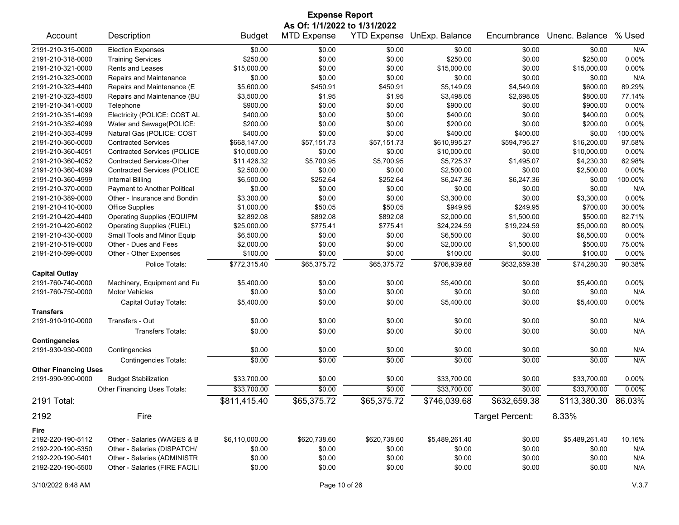| <b>Expense Report</b>       |                                    |                |                              |              |                            |                 |                |         |  |
|-----------------------------|------------------------------------|----------------|------------------------------|--------------|----------------------------|-----------------|----------------|---------|--|
|                             |                                    |                | As Of: 1/1/2022 to 1/31/2022 |              |                            |                 |                |         |  |
| Account                     | Description                        | <b>Budget</b>  | <b>MTD Expense</b>           |              | YTD Expense UnExp. Balance | Encumbrance     | Unenc. Balance | % Used  |  |
| 2191-210-315-0000           | <b>Election Expenses</b>           | \$0.00         | \$0.00                       | \$0.00       | \$0.00                     | \$0.00          | \$0.00         | N/A     |  |
| 2191-210-318-0000           | <b>Training Services</b>           | \$250.00       | \$0.00                       | \$0.00       | \$250.00                   | \$0.00          | \$250.00       | 0.00%   |  |
| 2191-210-321-0000           | <b>Rents and Leases</b>            | \$15,000.00    | \$0.00                       | \$0.00       | \$15,000.00                | \$0.00          | \$15,000.00    | 0.00%   |  |
| 2191-210-323-0000           | Repairs and Maintenance            | \$0.00         | \$0.00                       | \$0.00       | \$0.00                     | \$0.00          | \$0.00         | N/A     |  |
| 2191-210-323-4400           | Repairs and Maintenance (E         | \$5,600.00     | \$450.91                     | \$450.91     | \$5,149.09                 | \$4,549.09      | \$600.00       | 89.29%  |  |
| 2191-210-323-4500           | Repairs and Maintenance (BU        | \$3,500.00     | \$1.95                       | \$1.95       | \$3,498.05                 | \$2,698.05      | \$800.00       | 77.14%  |  |
| 2191-210-341-0000           | Telephone                          | \$900.00       | \$0.00                       | \$0.00       | \$900.00                   | \$0.00          | \$900.00       | 0.00%   |  |
| 2191-210-351-4099           | Electricity (POLICE: COST AL       | \$400.00       | \$0.00                       | \$0.00       | \$400.00                   | \$0.00          | \$400.00       | 0.00%   |  |
| 2191-210-352-4099           | Water and Sewage(POLICE:           | \$200.00       | \$0.00                       | \$0.00       | \$200.00                   | \$0.00          | \$200.00       | 0.00%   |  |
| 2191-210-353-4099           | Natural Gas (POLICE: COST          | \$400.00       | \$0.00                       | \$0.00       | \$400.00                   | \$400.00        | \$0.00         | 100.00% |  |
| 2191-210-360-0000           | <b>Contracted Services</b>         | \$668,147.00   | \$57,151.73                  | \$57,151.73  | \$610,995.27               | \$594,795.27    | \$16,200.00    | 97.58%  |  |
| 2191-210-360-4051           | Contracted Services (POLICE        | \$10,000.00    | \$0.00                       | \$0.00       | \$10,000.00                | \$0.00          | \$10,000.00    | 0.00%   |  |
| 2191-210-360-4052           | <b>Contracted Services-Other</b>   | \$11,426.32    | \$5,700.95                   | \$5,700.95   | \$5,725.37                 | \$1,495.07      | \$4,230.30     | 62.98%  |  |
| 2191-210-360-4099           | <b>Contracted Services (POLICE</b> | \$2,500.00     | \$0.00                       | \$0.00       | \$2,500.00                 | \$0.00          | \$2,500.00     | 0.00%   |  |
| 2191-210-360-4999           | <b>Internal Billing</b>            | \$6,500.00     | \$252.64                     | \$252.64     | \$6,247.36                 | \$6,247.36      | \$0.00         | 100.00% |  |
| 2191-210-370-0000           | Payment to Another Political       | \$0.00         | \$0.00                       | \$0.00       | \$0.00                     | \$0.00          | \$0.00         | N/A     |  |
| 2191-210-389-0000           | Other - Insurance and Bondin       | \$3,300.00     | \$0.00                       | \$0.00       | \$3,300.00                 | \$0.00          | \$3,300.00     | 0.00%   |  |
| 2191-210-410-0000           | <b>Office Supplies</b>             | \$1,000.00     | \$50.05                      | \$50.05      | \$949.95                   | \$249.95        | \$700.00       | 30.00%  |  |
| 2191-210-420-4400           | <b>Operating Supplies (EQUIPM</b>  | \$2,892.08     | \$892.08                     | \$892.08     | \$2,000.00                 | \$1,500.00      | \$500.00       | 82.71%  |  |
| 2191-210-420-6002           | Operating Supplies (FUEL)          | \$25,000.00    | \$775.41                     | \$775.41     | \$24,224.59                | \$19,224.59     | \$5,000.00     | 80.00%  |  |
| 2191-210-430-0000           | Small Tools and Minor Equip        | \$6,500.00     | \$0.00                       | \$0.00       | \$6,500.00                 | \$0.00          | \$6,500.00     | 0.00%   |  |
| 2191-210-519-0000           | Other - Dues and Fees              | \$2,000.00     | \$0.00                       | \$0.00       | \$2,000.00                 | \$1,500.00      | \$500.00       | 75.00%  |  |
| 2191-210-599-0000           | Other - Other Expenses             | \$100.00       | \$0.00                       | \$0.00       | \$100.00                   | \$0.00          | \$100.00       | 0.00%   |  |
|                             | Police Totals:                     | \$772,315.40   | \$65,375.72                  | \$65,375.72  | \$706,939.68               | \$632,659.38    | \$74,280.30    | 90.38%  |  |
| <b>Capital Outlay</b>       |                                    |                |                              |              |                            |                 |                |         |  |
| 2191-760-740-0000           | Machinery, Equipment and Fu        | \$5,400.00     | \$0.00                       | \$0.00       | \$5,400.00                 | \$0.00          | \$5,400.00     | 0.00%   |  |
| 2191-760-750-0000           | <b>Motor Vehicles</b>              | \$0.00         | \$0.00                       | \$0.00       | \$0.00                     | \$0.00          | \$0.00         | N/A     |  |
|                             | Capital Outlay Totals:             | \$5,400.00     | \$0.00                       | \$0.00       | \$5,400.00                 | \$0.00          | \$5,400.00     | 0.00%   |  |
| <b>Transfers</b>            |                                    |                |                              |              |                            |                 |                |         |  |
| 2191-910-910-0000           | Transfers - Out                    | \$0.00         | \$0.00                       | \$0.00       | \$0.00                     | \$0.00          | \$0.00         | N/A     |  |
| <b>Contingencies</b>        | <b>Transfers Totals:</b>           | \$0.00         | \$0.00                       | \$0.00       | \$0.00                     | \$0.00          | \$0.00         | N/A     |  |
| 2191-930-930-0000           | Contingencies                      | \$0.00         | \$0.00                       | \$0.00       | \$0.00                     | \$0.00          | \$0.00         | N/A     |  |
|                             | <b>Contingencies Totals:</b>       | \$0.00         | \$0.00                       | \$0.00       | \$0.00                     | \$0.00          | \$0.00         | N/A     |  |
| <b>Other Financing Uses</b> |                                    |                |                              |              |                            |                 |                |         |  |
| 2191-990-990-0000           | <b>Budget Stabilization</b>        | \$33,700.00    | \$0.00                       | \$0.00       | \$33,700.00                | \$0.00          | \$33,700.00    | 0.00%   |  |
|                             | Other Financing Uses Totals:       | \$33,700.00    | \$0.00                       | \$0.00       | \$33,700.00                | \$0.00          | \$33,700.00    | 0.00%   |  |
| 2191 Total:                 |                                    | \$811,415.40   | \$65,375.72                  | \$65,375.72  | \$746,039.68               | \$632,659.38    | \$113,380.30   | 86.03%  |  |
| 2192                        | Fire                               |                |                              |              |                            | Target Percent: | 8.33%          |         |  |
| Fire                        |                                    |                |                              |              |                            |                 |                |         |  |
| 2192-220-190-5112           | Other - Salaries (WAGES & B        | \$6,110,000.00 | \$620,738.60                 | \$620,738.60 | \$5,489,261.40             | \$0.00          | \$5,489,261.40 | 10.16%  |  |
| 2192-220-190-5350           | Other - Salaries (DISPATCH/        | \$0.00         | \$0.00                       | \$0.00       | \$0.00                     | \$0.00          | \$0.00         | N/A     |  |
| 2192-220-190-5401           | Other - Salaries (ADMINISTR        | \$0.00         | \$0.00                       | \$0.00       | \$0.00                     | \$0.00          | \$0.00         | N/A     |  |
| 2192-220-190-5500           | Other - Salaries (FIRE FACILI      | \$0.00         | \$0.00                       | \$0.00       | \$0.00                     | \$0.00          | \$0.00         | N/A     |  |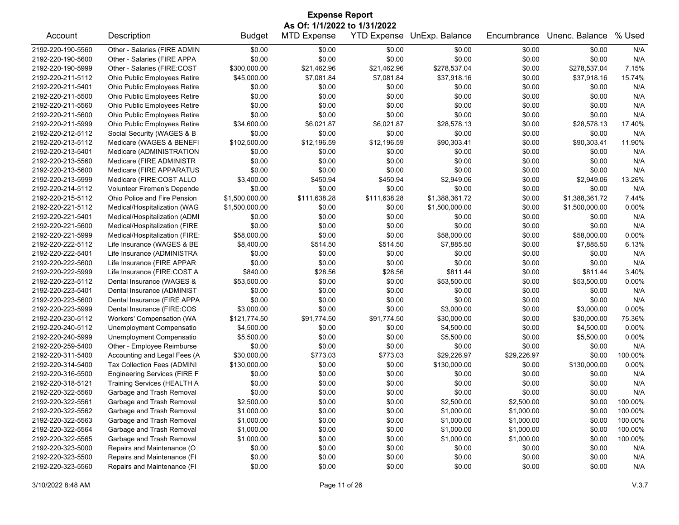| <b>Expense Report</b> |                                     |                |                    |                    |                |             |                |         |  |  |
|-----------------------|-------------------------------------|----------------|--------------------|--------------------|----------------|-------------|----------------|---------|--|--|
|                       | As Of: 1/1/2022 to 1/31/2022        |                |                    |                    |                |             |                |         |  |  |
| Account               | Description                         | <b>Budget</b>  | <b>MTD Expense</b> | <b>YTD Expense</b> | UnExp. Balance | Encumbrance | Unenc. Balance | % Used  |  |  |
| 2192-220-190-5560     | Other - Salaries (FIRE ADMIN        | \$0.00         | \$0.00             | \$0.00             | \$0.00         | \$0.00      | \$0.00         | N/A     |  |  |
| 2192-220-190-5600     | Other - Salaries (FIRE APPA         | \$0.00         | \$0.00             | \$0.00             | \$0.00         | \$0.00      | \$0.00         | N/A     |  |  |
| 2192-220-190-5999     | Other - Salaries (FIRE:COST         | \$300,000.00   | \$21,462.96        | \$21,462.96        | \$278,537.04   | \$0.00      | \$278,537.04   | 7.15%   |  |  |
| 2192-220-211-5112     | Ohio Public Employees Retire        | \$45,000.00    | \$7,081.84         | \$7,081.84         | \$37,918.16    | \$0.00      | \$37,918.16    | 15.74%  |  |  |
| 2192-220-211-5401     | Ohio Public Employees Retire        | \$0.00         | \$0.00             | \$0.00             | \$0.00         | \$0.00      | \$0.00         | N/A     |  |  |
| 2192-220-211-5500     | Ohio Public Employees Retire        | \$0.00         | \$0.00             | \$0.00             | \$0.00         | \$0.00      | \$0.00         | N/A     |  |  |
| 2192-220-211-5560     | Ohio Public Employees Retire        | \$0.00         | \$0.00             | \$0.00             | \$0.00         | \$0.00      | \$0.00         | N/A     |  |  |
| 2192-220-211-5600     | Ohio Public Employees Retire        | \$0.00         | \$0.00             | \$0.00             | \$0.00         | \$0.00      | \$0.00         | N/A     |  |  |
| 2192-220-211-5999     | Ohio Public Employees Retire        | \$34,600.00    | \$6,021.87         | \$6,021.87         | \$28,578.13    | \$0.00      | \$28,578.13    | 17.40%  |  |  |
| 2192-220-212-5112     | Social Security (WAGES & B          | \$0.00         | \$0.00             | \$0.00             | \$0.00         | \$0.00      | \$0.00         | N/A     |  |  |
| 2192-220-213-5112     | Medicare (WAGES & BENEFI            | \$102,500.00   | \$12,196.59        | \$12,196.59        | \$90,303.41    | \$0.00      | \$90,303.41    | 11.90%  |  |  |
| 2192-220-213-5401     | Medicare (ADMINISTRATION            | \$0.00         | \$0.00             | \$0.00             | \$0.00         | \$0.00      | \$0.00         | N/A     |  |  |
| 2192-220-213-5560     | Medicare (FIRE ADMINISTR            | \$0.00         | \$0.00             | \$0.00             | \$0.00         | \$0.00      | \$0.00         | N/A     |  |  |
| 2192-220-213-5600     | Medicare (FIRE APPARATUS            | \$0.00         | \$0.00             | \$0.00             | \$0.00         | \$0.00      | \$0.00         | N/A     |  |  |
| 2192-220-213-5999     | Medicare (FIRE:COST ALLO            | \$3,400.00     | \$450.94           | \$450.94           | \$2,949.06     | \$0.00      | \$2,949.06     | 13.26%  |  |  |
| 2192-220-214-5112     | Volunteer Firemen's Depende         | \$0.00         | \$0.00             | \$0.00             | \$0.00         | \$0.00      | \$0.00         | N/A     |  |  |
| 2192-220-215-5112     | Ohio Police and Fire Pension        | \$1,500,000.00 | \$111,638.28       | \$111,638.28       | \$1,388,361.72 | \$0.00      | \$1,388,361.72 | 7.44%   |  |  |
| 2192-220-221-5112     | Medical/Hospitalization (WAG        | \$1,500,000.00 | \$0.00             | \$0.00             | \$1,500,000.00 | \$0.00      | \$1,500,000.00 | 0.00%   |  |  |
| 2192-220-221-5401     | Medical/Hospitalization (ADMI       | \$0.00         | \$0.00             | \$0.00             | \$0.00         | \$0.00      | \$0.00         | N/A     |  |  |
| 2192-220-221-5600     | Medical/Hospitalization (FIRE       | \$0.00         | \$0.00             | \$0.00             | \$0.00         | \$0.00      | \$0.00         | N/A     |  |  |
| 2192-220-221-5999     | Medical/Hospitalization (FIRE:      | \$58,000.00    | \$0.00             | \$0.00             | \$58,000.00    | \$0.00      | \$58,000.00    | 0.00%   |  |  |
| 2192-220-222-5112     | Life Insurance (WAGES & BE          | \$8,400.00     | \$514.50           | \$514.50           | \$7,885.50     | \$0.00      | \$7,885.50     | 6.13%   |  |  |
|                       | Life Insurance (ADMINISTRA          |                |                    |                    |                |             |                |         |  |  |
| 2192-220-222-5401     |                                     | \$0.00         | \$0.00<br>\$0.00   | \$0.00             | \$0.00         | \$0.00      | \$0.00         | N/A     |  |  |
| 2192-220-222-5600     | Life Insurance (FIRE APPAR          | \$0.00         |                    | \$0.00             | \$0.00         | \$0.00      | \$0.00         | N/A     |  |  |
| 2192-220-222-5999     | Life Insurance (FIRE:COST A         | \$840.00       | \$28.56            | \$28.56            | \$811.44       | \$0.00      | \$811.44       | 3.40%   |  |  |
| 2192-220-223-5112     | Dental Insurance (WAGES &           | \$53,500.00    | \$0.00             | \$0.00             | \$53,500.00    | \$0.00      | \$53,500.00    | 0.00%   |  |  |
| 2192-220-223-5401     | Dental Insurance (ADMINIST          | \$0.00         | \$0.00             | \$0.00             | \$0.00         | \$0.00      | \$0.00         | N/A     |  |  |
| 2192-220-223-5600     | Dental Insurance (FIRE APPA         | \$0.00         | \$0.00             | \$0.00             | \$0.00         | \$0.00      | \$0.00         | N/A     |  |  |
| 2192-220-223-5999     | Dental Insurance (FIRE:COS          | \$3,000.00     | \$0.00             | \$0.00             | \$3,000.00     | \$0.00      | \$3,000.00     | 0.00%   |  |  |
| 2192-220-230-5112     | Workers' Compensation (WA           | \$121,774.50   | \$91,774.50        | \$91,774.50        | \$30,000.00    | \$0.00      | \$30,000.00    | 75.36%  |  |  |
| 2192-220-240-5112     | Unemployment Compensatio            | \$4,500.00     | \$0.00             | \$0.00             | \$4,500.00     | \$0.00      | \$4,500.00     | 0.00%   |  |  |
| 2192-220-240-5999     | Unemployment Compensatio            | \$5,500.00     | \$0.00             | \$0.00             | \$5,500.00     | \$0.00      | \$5,500.00     | 0.00%   |  |  |
| 2192-220-259-5400     | Other - Employee Reimburse          | \$0.00         | \$0.00             | \$0.00             | \$0.00         | \$0.00      | \$0.00         | N/A     |  |  |
| 2192-220-311-5400     | Accounting and Legal Fees (A        | \$30,000.00    | \$773.03           | \$773.03           | \$29,226.97    | \$29,226.97 | \$0.00         | 100.00% |  |  |
| 2192-220-314-5400     | Tax Collection Fees (ADMINI         | \$130,000.00   | \$0.00             | \$0.00             | \$130,000.00   | \$0.00      | \$130,000.00   | 0.00%   |  |  |
| 2192-220-316-5500     | <b>Engineering Services (FIRE F</b> | \$0.00         | \$0.00             | \$0.00             | \$0.00         | \$0.00      | \$0.00         | N/A     |  |  |
| 2192-220-318-5121     | Training Services (HEALTH A         | \$0.00         | \$0.00             | \$0.00             | \$0.00         | \$0.00      | \$0.00         | N/A     |  |  |
| 2192-220-322-5560     | Garbage and Trash Removal           | \$0.00         | \$0.00             | \$0.00             | \$0.00         | \$0.00      | \$0.00         | N/A     |  |  |
| 2192-220-322-5561     | Garbage and Trash Removal           | \$2,500.00     | \$0.00             | \$0.00             | \$2,500.00     | \$2,500.00  | \$0.00         | 100.00% |  |  |
| 2192-220-322-5562     | Garbage and Trash Removal           | \$1,000.00     | \$0.00             | \$0.00             | \$1,000.00     | \$1,000.00  | \$0.00         | 100.00% |  |  |
| 2192-220-322-5563     | Garbage and Trash Removal           | \$1,000.00     | \$0.00             | \$0.00             | \$1,000.00     | \$1,000.00  | \$0.00         | 100.00% |  |  |
| 2192-220-322-5564     | Garbage and Trash Removal           | \$1,000.00     | \$0.00             | \$0.00             | \$1,000.00     | \$1,000.00  | \$0.00         | 100.00% |  |  |
| 2192-220-322-5565     | Garbage and Trash Removal           | \$1,000.00     | \$0.00             | \$0.00             | \$1,000.00     | \$1,000.00  | \$0.00         | 100.00% |  |  |
| 2192-220-323-5000     | Repairs and Maintenance (O          | \$0.00         | \$0.00             | \$0.00             | \$0.00         | \$0.00      | \$0.00         | N/A     |  |  |
| 2192-220-323-5500     | Repairs and Maintenance (FI         | \$0.00         | \$0.00             | \$0.00             | \$0.00         | \$0.00      | \$0.00         | N/A     |  |  |
| 2192-220-323-5560     | Repairs and Maintenance (FI         | \$0.00         | \$0.00             | \$0.00             | \$0.00         | \$0.00      | \$0.00         | N/A     |  |  |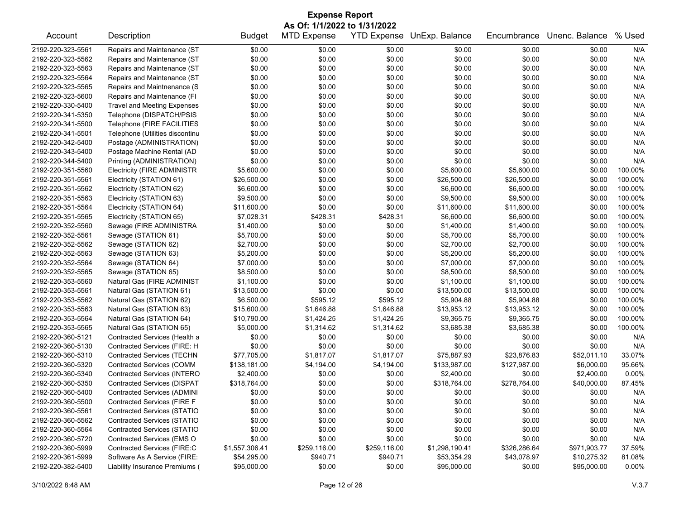| <b>Expense Report</b> |                                    |                |                              |                  |                            |              |                |          |  |  |
|-----------------------|------------------------------------|----------------|------------------------------|------------------|----------------------------|--------------|----------------|----------|--|--|
|                       |                                    |                | As Of: 1/1/2022 to 1/31/2022 |                  |                            |              |                |          |  |  |
| Account               | Description                        | <b>Budget</b>  | <b>MTD Expense</b>           |                  | YTD Expense UnExp. Balance | Encumbrance  | Unenc. Balance | % Used   |  |  |
| 2192-220-323-5561     | Repairs and Maintenance (ST        | \$0.00         | \$0.00                       | \$0.00           | \$0.00                     | \$0.00       | \$0.00         | N/A      |  |  |
| 2192-220-323-5562     | Repairs and Maintenance (ST        | \$0.00         | \$0.00                       | \$0.00           | \$0.00                     | \$0.00       | \$0.00         | N/A      |  |  |
| 2192-220-323-5563     | Repairs and Maintenance (ST        | \$0.00         | \$0.00                       | \$0.00           | \$0.00                     | \$0.00       | \$0.00         | N/A      |  |  |
| 2192-220-323-5564     | Repairs and Maintenance (ST        | \$0.00         | \$0.00                       | \$0.00           | \$0.00                     | \$0.00       | \$0.00         | N/A      |  |  |
| 2192-220-323-5565     | Repairs and Maintnenance (S        | \$0.00         | \$0.00                       | \$0.00           | \$0.00                     | \$0.00       | \$0.00         | N/A      |  |  |
| 2192-220-323-5600     | Repairs and Maintenance (FI        | \$0.00         | \$0.00                       | \$0.00           | \$0.00                     | \$0.00       | \$0.00         | N/A      |  |  |
| 2192-220-330-5400     | <b>Travel and Meeting Expenses</b> | \$0.00         | \$0.00                       | \$0.00           | \$0.00                     | \$0.00       | \$0.00         | N/A      |  |  |
| 2192-220-341-5350     | Telephone (DISPATCH/PSIS           | \$0.00         | \$0.00                       | \$0.00           | \$0.00                     | \$0.00       | \$0.00         | N/A      |  |  |
| 2192-220-341-5500     | Telephone (FIRE FACILITIES         | \$0.00         | \$0.00                       | \$0.00           | \$0.00                     | \$0.00       | \$0.00         | N/A      |  |  |
| 2192-220-341-5501     | Telephone (Utilities discontinu    | \$0.00         | \$0.00                       | \$0.00           | \$0.00                     | \$0.00       | \$0.00         | N/A      |  |  |
| 2192-220-342-5400     | Postage (ADMINISTRATION)           | \$0.00         | \$0.00                       | \$0.00           | \$0.00                     | \$0.00       | \$0.00         | N/A      |  |  |
| 2192-220-343-5400     | Postage Machine Rental (AD         | \$0.00         | \$0.00                       | \$0.00           | \$0.00                     | \$0.00       | \$0.00         | N/A      |  |  |
| 2192-220-344-5400     | Printing (ADMINISTRATION)          | \$0.00         | \$0.00                       | \$0.00           | \$0.00                     | \$0.00       | \$0.00         | N/A      |  |  |
| 2192-220-351-5560     | <b>Electricity (FIRE ADMINISTR</b> | \$5,600.00     | \$0.00                       | \$0.00           | \$5,600.00                 | \$5,600.00   | \$0.00         | 100.00%  |  |  |
| 2192-220-351-5561     | Electricity (STATION 61)           | \$26,500.00    | \$0.00                       | \$0.00           | \$26,500.00                | \$26,500.00  | \$0.00         | 100.00%  |  |  |
| 2192-220-351-5562     | Electricity (STATION 62)           | \$6,600.00     | \$0.00                       | \$0.00           | \$6,600.00                 | \$6,600.00   | \$0.00         | 100.00%  |  |  |
| 2192-220-351-5563     | Electricity (STATION 63)           | \$9,500.00     | \$0.00                       | \$0.00           | \$9,500.00                 | \$9,500.00   | \$0.00         | 100.00%  |  |  |
| 2192-220-351-5564     | Electricity (STATION 64)           | \$11,600.00    | \$0.00                       | \$0.00           | \$11,600.00                | \$11,600.00  | \$0.00         | 100.00%  |  |  |
| 2192-220-351-5565     | Electricity (STATION 65)           | \$7,028.31     | \$428.31                     | \$428.31         | \$6,600.00                 | \$6,600.00   | \$0.00         | 100.00%  |  |  |
| 2192-220-352-5560     | Sewage (FIRE ADMINISTRA            | \$1,400.00     | \$0.00                       | \$0.00           | \$1,400.00                 | \$1,400.00   | \$0.00         | 100.00%  |  |  |
| 2192-220-352-5561     | Sewage (STATION 61)                | \$5,700.00     | \$0.00                       | \$0.00           | \$5,700.00                 | \$5,700.00   | \$0.00         | 100.00%  |  |  |
| 2192-220-352-5562     | Sewage (STATION 62)                | \$2,700.00     | \$0.00                       | \$0.00           | \$2,700.00                 | \$2,700.00   | \$0.00         | 100.00%  |  |  |
| 2192-220-352-5563     | Sewage (STATION 63)                | \$5,200.00     | \$0.00                       | \$0.00           | \$5,200.00                 | \$5,200.00   | \$0.00         | 100.00%  |  |  |
| 2192-220-352-5564     | Sewage (STATION 64)                | \$7,000.00     | \$0.00                       | \$0.00           | \$7,000.00                 | \$7,000.00   | \$0.00         | 100.00%  |  |  |
| 2192-220-352-5565     | Sewage (STATION 65)                | \$8,500.00     | \$0.00                       | \$0.00           | \$8,500.00                 | \$8,500.00   | \$0.00         | 100.00%  |  |  |
| 2192-220-353-5560     | Natural Gas (FIRE ADMINIST         | \$1,100.00     | \$0.00                       | \$0.00           | \$1,100.00                 | \$1,100.00   | \$0.00         | 100.00%  |  |  |
| 2192-220-353-5561     | Natural Gas (STATION 61)           | \$13,500.00    | \$0.00                       | \$0.00           | \$13,500.00                | \$13,500.00  | \$0.00         | 100.00%  |  |  |
| 2192-220-353-5562     | Natural Gas (STATION 62)           | \$6,500.00     | \$595.12                     | \$595.12         | \$5,904.88                 | \$5,904.88   | \$0.00         | 100.00%  |  |  |
| 2192-220-353-5563     | Natural Gas (STATION 63)           | \$15,600.00    | \$1,646.88                   | \$1,646.88       | \$13,953.12                | \$13,953.12  | \$0.00         | 100.00%  |  |  |
| 2192-220-353-5564     | Natural Gas (STATION 64)           | \$10,790.00    | \$1,424.25                   | \$1,424.25       | \$9,365.75                 | \$9,365.75   | \$0.00         | 100.00%  |  |  |
| 2192-220-353-5565     | Natural Gas (STATION 65)           | \$5,000.00     | \$1,314.62                   | \$1,314.62       | \$3,685.38                 | \$3,685.38   | \$0.00         | 100.00%  |  |  |
| 2192-220-360-5121     | Contracted Services (Health a      | \$0.00         | \$0.00                       | \$0.00           | \$0.00                     | \$0.00       | \$0.00         | N/A      |  |  |
| 2192-220-360-5130     | Contracted Services (FIRE: H       | \$0.00         | \$0.00                       | \$0.00           | \$0.00                     | \$0.00       | \$0.00         | N/A      |  |  |
| 2192-220-360-5310     | <b>Contracted Services (TECHN</b>  | \$77,705.00    | \$1,817.07                   | \$1,817.07       | \$75,887.93                | \$23,876.83  | \$52,011.10    | 33.07%   |  |  |
| 2192-220-360-5320     | <b>Contracted Services (COMM</b>   | \$138,181.00   | \$4,194.00                   | \$4,194.00       | \$133,987.00               | \$127,987.00 | \$6,000.00     | 95.66%   |  |  |
| 2192-220-360-5340     | <b>Contracted Services (INTERO</b> | \$2,400.00     | \$0.00                       | \$0.00           | \$2,400.00                 | \$0.00       | \$2,400.00     | 0.00%    |  |  |
| 2192-220-360-5350     | <b>Contracted Services (DISPAT</b> | \$318,764.00   | \$0.00                       | \$0.00           | \$318,764.00               | \$278,764.00 | \$40,000.00    | 87.45%   |  |  |
| 2192-220-360-5400     | <b>Contracted Services (ADMINI</b> | \$0.00         | \$0.00                       | \$0.00           | \$0.00                     | \$0.00       | \$0.00         | N/A      |  |  |
| 2192-220-360-5500     | Contracted Services (FIRE F        | \$0.00         | \$0.00                       |                  |                            | \$0.00       | \$0.00         | N/A      |  |  |
| 2192-220-360-5561     | <b>Contracted Services (STATIO</b> | \$0.00         | \$0.00                       | \$0.00<br>\$0.00 | \$0.00                     |              |                |          |  |  |
| 2192-220-360-5562     | <b>Contracted Services (STATIO</b> |                |                              |                  | \$0.00                     | \$0.00       | \$0.00         | N/A      |  |  |
|                       |                                    | \$0.00         | \$0.00                       | \$0.00           | \$0.00                     | \$0.00       | \$0.00         | N/A      |  |  |
| 2192-220-360-5564     | <b>Contracted Services (STATIO</b> | \$0.00         | \$0.00                       | \$0.00           | \$0.00                     | \$0.00       | \$0.00         | N/A      |  |  |
| 2192-220-360-5720     | Contracted Services (EMS O         | \$0.00         | \$0.00                       | \$0.00           | \$0.00                     | \$0.00       | \$0.00         | N/A      |  |  |
| 2192-220-360-5999     | Contracted Services (FIRE:C        | \$1,557,306.41 | \$259,116.00                 | \$259,116.00     | \$1,298,190.41             | \$326,286.64 | \$971,903.77   | 37.59%   |  |  |
| 2192-220-361-5999     | Software As A Service (FIRE:       | \$54,295.00    | \$940.71                     | \$940.71         | \$53,354.29                | \$43,078.97  | \$10,275.32    | 81.08%   |  |  |
| 2192-220-382-5400     | Liability Insurance Premiums (     | \$95,000.00    | \$0.00                       | \$0.00           | \$95,000.00                | \$0.00       | \$95,000.00    | $0.00\%$ |  |  |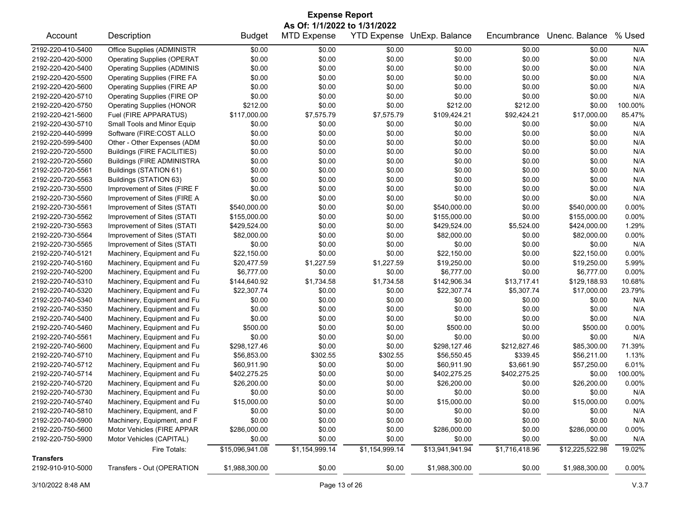| <b>Expense Report</b>                                                                  |                                    |                 |                    |                |                 |                |                 |          |  |
|----------------------------------------------------------------------------------------|------------------------------------|-----------------|--------------------|----------------|-----------------|----------------|-----------------|----------|--|
| As Of: 1/1/2022 to 1/31/2022<br>YTD Expense UnExp. Balance<br>Unenc. Balance<br>% Used |                                    |                 |                    |                |                 |                |                 |          |  |
| Account                                                                                | Description                        | <b>Budget</b>   | <b>MTD Expense</b> |                |                 | Encumbrance    |                 |          |  |
| 2192-220-410-5400                                                                      | Office Supplies (ADMINISTR         | \$0.00          | \$0.00             | \$0.00         | \$0.00          | \$0.00         | \$0.00          | N/A      |  |
| 2192-220-420-5000                                                                      | <b>Operating Supplies (OPERAT</b>  | \$0.00          | \$0.00             | \$0.00         | \$0.00          | \$0.00         | \$0.00          | N/A      |  |
| 2192-220-420-5400                                                                      | <b>Operating Supplies (ADMINIS</b> | \$0.00          | \$0.00             | \$0.00         | \$0.00          | \$0.00         | \$0.00          | N/A      |  |
| 2192-220-420-5500                                                                      | <b>Operating Supplies (FIRE FA</b> | \$0.00          | \$0.00             | \$0.00         | \$0.00          | \$0.00         | \$0.00          | N/A      |  |
| 2192-220-420-5600                                                                      | <b>Operating Supplies (FIRE AP</b> | \$0.00          | \$0.00             | \$0.00         | \$0.00          | \$0.00         | \$0.00          | N/A      |  |
| 2192-220-420-5710                                                                      | Operating Supplies (FIRE OP        | \$0.00          | \$0.00             | \$0.00         | \$0.00          | \$0.00         | \$0.00          | N/A      |  |
| 2192-220-420-5750                                                                      | <b>Operating Supplies (HONOR</b>   | \$212.00        | \$0.00             | \$0.00         | \$212.00        | \$212.00       | \$0.00          | 100.00%  |  |
| 2192-220-421-5600                                                                      | Fuel (FIRE APPARATUS)              | \$117,000.00    | \$7,575.79         | \$7,575.79     | \$109,424.21    | \$92,424.21    | \$17,000.00     | 85.47%   |  |
| 2192-220-430-5710                                                                      | Small Tools and Minor Equip        | \$0.00          | \$0.00             | \$0.00         | \$0.00          | \$0.00         | \$0.00          | N/A      |  |
| 2192-220-440-5999                                                                      | Software (FIRE:COST ALLO           | \$0.00          | \$0.00             | \$0.00         | \$0.00          | \$0.00         | \$0.00          | N/A      |  |
| 2192-220-599-5400                                                                      | Other - Other Expenses (ADM        | \$0.00          | \$0.00             | \$0.00         | \$0.00          | \$0.00         | \$0.00          | N/A      |  |
| 2192-220-720-5500                                                                      | <b>Buildings (FIRE FACILITIES)</b> | \$0.00          | \$0.00             | \$0.00         | \$0.00          | \$0.00         | \$0.00          | N/A      |  |
| 2192-220-720-5560                                                                      | <b>Buildings (FIRE ADMINISTRA</b>  | \$0.00          | \$0.00             | \$0.00         | \$0.00          | \$0.00         | \$0.00          | N/A      |  |
| 2192-220-720-5561                                                                      | Buildings (STATION 61)             | \$0.00          | \$0.00             | \$0.00         | \$0.00          | \$0.00         | \$0.00          | N/A      |  |
| 2192-220-720-5563                                                                      | Buildings (STATION 63)             | \$0.00          | \$0.00             | \$0.00         | \$0.00          | \$0.00         | \$0.00          | N/A      |  |
| 2192-220-730-5500                                                                      | Improvement of Sites (FIRE F       | \$0.00          | \$0.00             | \$0.00         | \$0.00          | \$0.00         | \$0.00          | N/A      |  |
| 2192-220-730-5560                                                                      | Improvement of Sites (FIRE A       | \$0.00          | \$0.00             | \$0.00         | \$0.00          | \$0.00         | \$0.00          | N/A      |  |
| 2192-220-730-5561                                                                      | Improvement of Sites (STATI        | \$540,000.00    | \$0.00             | \$0.00         | \$540,000.00    | \$0.00         | \$540,000.00    | 0.00%    |  |
| 2192-220-730-5562                                                                      | Improvement of Sites (STATI        | \$155,000.00    | \$0.00             | \$0.00         | \$155,000.00    | \$0.00         | \$155,000.00    | 0.00%    |  |
| 2192-220-730-5563                                                                      | Improvement of Sites (STATI        | \$429,524.00    | \$0.00             | \$0.00         | \$429,524.00    | \$5,524.00     | \$424,000.00    | 1.29%    |  |
| 2192-220-730-5564                                                                      | Improvement of Sites (STATI        | \$82,000.00     | \$0.00             | \$0.00         | \$82,000.00     | \$0.00         | \$82,000.00     | 0.00%    |  |
| 2192-220-730-5565                                                                      | Improvement of Sites (STATI        | \$0.00          | \$0.00             | \$0.00         | \$0.00          | \$0.00         | \$0.00          | N/A      |  |
| 2192-220-740-5121                                                                      | Machinery, Equipment and Fu        | \$22,150.00     | \$0.00             | \$0.00         | \$22,150.00     | \$0.00         | \$22,150.00     | 0.00%    |  |
| 2192-220-740-5160                                                                      | Machinery, Equipment and Fu        | \$20,477.59     | \$1,227.59         | \$1,227.59     | \$19,250.00     | \$0.00         | \$19,250.00     | 5.99%    |  |
| 2192-220-740-5200                                                                      | Machinery, Equipment and Fu        | \$6,777.00      | \$0.00             | \$0.00         | \$6,777.00      | \$0.00         | \$6,777.00      | 0.00%    |  |
| 2192-220-740-5310                                                                      | Machinery, Equipment and Fu        | \$144,640.92    | \$1,734.58         | \$1,734.58     | \$142,906.34    | \$13,717.41    | \$129,188.93    | 10.68%   |  |
| 2192-220-740-5320                                                                      | Machinery, Equipment and Fu        | \$22,307.74     | \$0.00             | \$0.00         | \$22,307.74     | \$5,307.74     | \$17,000.00     | 23.79%   |  |
| 2192-220-740-5340                                                                      | Machinery, Equipment and Fu        | \$0.00          | \$0.00             | \$0.00         | \$0.00          | \$0.00         | \$0.00          | N/A      |  |
| 2192-220-740-5350                                                                      | Machinery, Equipment and Fu        | \$0.00          | \$0.00             | \$0.00         | \$0.00          | \$0.00         | \$0.00          | N/A      |  |
| 2192-220-740-5400                                                                      | Machinery, Equipment and Fu        | \$0.00          | \$0.00             | \$0.00         | \$0.00          | \$0.00         | \$0.00          | N/A      |  |
| 2192-220-740-5460                                                                      | Machinery, Equipment and Fu        | \$500.00        | \$0.00             | \$0.00         | \$500.00        | \$0.00         | \$500.00        | 0.00%    |  |
| 2192-220-740-5561                                                                      | Machinery, Equipment and Fu        | \$0.00          | \$0.00             | \$0.00         | \$0.00          | \$0.00         | \$0.00          | N/A      |  |
| 2192-220-740-5600                                                                      | Machinery, Equipment and Fu        | \$298,127.46    | \$0.00             | \$0.00         | \$298,127.46    | \$212,827.46   | \$85,300.00     | 71.39%   |  |
| 2192-220-740-5710                                                                      | Machinery, Equipment and Fu        | \$56,853.00     | \$302.55           | \$302.55       | \$56,550.45     | \$339.45       | \$56,211.00     | 1.13%    |  |
| 2192-220-740-5712                                                                      | Machinery, Equipment and Fu        | \$60,911.90     | \$0.00             | \$0.00         | \$60,911.90     | \$3,661.90     | \$57,250.00     | 6.01%    |  |
| 2192-220-740-5714                                                                      | Machinery, Equipment and Fu        | \$402,275.25    | \$0.00             | \$0.00         | \$402,275.25    | \$402,275.25   | \$0.00          | 100.00%  |  |
| 2192-220-740-5720                                                                      | Machinery, Equipment and Fu        | \$26,200.00     | \$0.00             | \$0.00         | \$26,200.00     | \$0.00         | \$26,200.00     | $0.00\%$ |  |
| 2192-220-740-5730                                                                      | Machinery, Equipment and Fu        | \$0.00          | \$0.00             | \$0.00         | \$0.00          | \$0.00         | \$0.00          | N/A      |  |
| 2192-220-740-5740                                                                      | Machinery, Equipment and Fu        | \$15,000.00     | \$0.00             | \$0.00         | \$15,000.00     | \$0.00         | \$15,000.00     | $0.00\%$ |  |
| 2192-220-740-5810                                                                      | Machinery, Equipment, and F        | \$0.00          | \$0.00             | \$0.00         | \$0.00          | \$0.00         | \$0.00          | N/A      |  |
| 2192-220-740-5900                                                                      | Machinery, Equipment, and F        | \$0.00          | \$0.00             | \$0.00         | \$0.00          | \$0.00         | \$0.00          | N/A      |  |
| 2192-220-750-5600                                                                      | Motor Vehicles (FIRE APPAR         | \$286,000.00    | \$0.00             | \$0.00         | \$286,000.00    | \$0.00         | \$286,000.00    | 0.00%    |  |
| 2192-220-750-5900                                                                      | Motor Vehicles (CAPITAL)           | \$0.00          | \$0.00             | \$0.00         | \$0.00          | \$0.00         | \$0.00          | N/A      |  |
|                                                                                        | Fire Totals:                       | \$15,096,941.08 | \$1,154,999.14     | \$1,154,999.14 | \$13,941,941.94 | \$1,716,418.96 | \$12,225,522.98 | 19.02%   |  |
| <b>Transfers</b>                                                                       |                                    |                 |                    |                |                 |                |                 |          |  |
| 2192-910-910-5000                                                                      | Transfers - Out (OPERATION         | \$1,988,300.00  | \$0.00             | \$0.00         | \$1,988,300.00  | \$0.00         | \$1,988,300.00  | 0.00%    |  |

3/10/2022 8:48 AM Page 13 of 26 V.3.7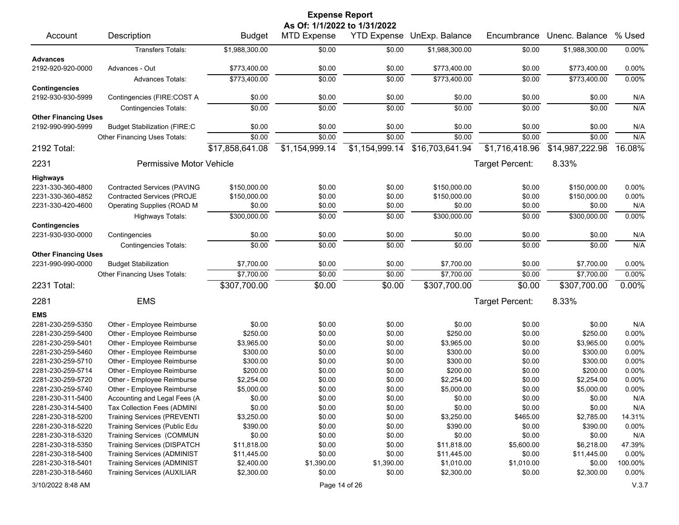|                             |                                     |                 | <b>Expense Report</b>        |                    |                 |                 |                 |         |
|-----------------------------|-------------------------------------|-----------------|------------------------------|--------------------|-----------------|-----------------|-----------------|---------|
|                             |                                     |                 | As Of: 1/1/2022 to 1/31/2022 |                    |                 |                 |                 |         |
| Account                     | Description                         | <b>Budget</b>   | MTD Expense                  | <b>YTD Expense</b> | UnExp. Balance  | Encumbrance     | Unenc. Balance  | % Used  |
|                             | <b>Transfers Totals:</b>            | \$1,988,300.00  | \$0.00                       | \$0.00             | \$1,988,300.00  | \$0.00          | \$1,988,300.00  | 0.00%   |
| <b>Advances</b>             |                                     |                 |                              |                    |                 |                 |                 |         |
| 2192-920-920-0000           | Advances - Out                      | \$773,400.00    | \$0.00                       | \$0.00             | \$773,400.00    | \$0.00          | \$773,400.00    | 0.00%   |
| <b>Contingencies</b>        | <b>Advances Totals:</b>             | \$773,400.00    | \$0.00                       | \$0.00             | \$773,400.00    | \$0.00          | \$773,400.00    | 0.00%   |
| 2192-930-930-5999           | Contingencies (FIRE:COST A          | \$0.00          | \$0.00                       | \$0.00             | \$0.00          | \$0.00          | \$0.00          | N/A     |
|                             | <b>Contingencies Totals:</b>        | \$0.00          | \$0.00                       | \$0.00             | \$0.00          | \$0.00          | \$0.00          | N/A     |
| <b>Other Financing Uses</b> |                                     |                 |                              |                    |                 |                 |                 |         |
| 2192-990-990-5999           | <b>Budget Stabilization (FIRE:C</b> | \$0.00          | \$0.00                       | \$0.00             | \$0.00          | \$0.00          | \$0.00          | N/A     |
|                             | Other Financing Uses Totals:        | \$0.00          | \$0.00                       | \$0.00             | \$0.00          | \$0.00          | \$0.00          | N/A     |
| 2192 Total:                 |                                     | \$17,858,641.08 | \$1,154,999.14               | \$1,154,999.14     | \$16,703,641.94 | \$1,716,418.96  | \$14,987,222.98 | 16.08%  |
| 2231                        | Permissive Motor Vehicle            |                 |                              |                    |                 | Target Percent: | 8.33%           |         |
| <b>Highways</b>             |                                     |                 |                              |                    |                 |                 |                 |         |
| 2231-330-360-4800           | Contracted Services (PAVING         | \$150,000.00    | \$0.00                       | \$0.00             | \$150,000.00    | \$0.00          | \$150,000.00    | 0.00%   |
| 2231-330-360-4852           | <b>Contracted Services (PROJE</b>   | \$150,000.00    | \$0.00                       | \$0.00             | \$150,000.00    | \$0.00          | \$150,000.00    | 0.00%   |
| 2231-330-420-4600           | Operating Supplies (ROAD M          | \$0.00          | \$0.00                       | \$0.00             | \$0.00          | \$0.00          | \$0.00          | N/A     |
|                             | Highways Totals:                    | \$300,000.00    | \$0.00                       | \$0.00             | \$300,000.00    | \$0.00          | \$300,000.00    | 0.00%   |
| <b>Contingencies</b>        |                                     |                 |                              |                    |                 |                 |                 |         |
| 2231-930-930-0000           | Contingencies                       | \$0.00          | \$0.00                       | \$0.00             | \$0.00          | \$0.00          | \$0.00          | N/A     |
|                             | <b>Contingencies Totals:</b>        | \$0.00          | \$0.00                       | \$0.00             | \$0.00          | \$0.00          | \$0.00          | N/A     |
| <b>Other Financing Uses</b> |                                     |                 |                              |                    |                 |                 |                 |         |
| 2231-990-990-0000           | <b>Budget Stabilization</b>         | \$7,700.00      | \$0.00                       | \$0.00             | \$7,700.00      | \$0.00          | \$7,700.00      | 0.00%   |
|                             | Other Financing Uses Totals:        | \$7,700.00      | \$0.00                       | \$0.00             | \$7,700.00      | \$0.00          | \$7,700.00      | 0.00%   |
| 2231 Total:                 |                                     | \$307,700.00    | \$0.00                       | \$0.00             | \$307,700.00    | \$0.00          | \$307,700.00    | 0.00%   |
| 2281                        | <b>EMS</b>                          |                 |                              |                    |                 | Target Percent: | 8.33%           |         |
|                             |                                     |                 |                              |                    |                 |                 |                 |         |
| <b>EMS</b>                  |                                     |                 |                              |                    |                 |                 |                 |         |
| 2281-230-259-5350           | Other - Employee Reimburse          | \$0.00          | \$0.00                       | \$0.00             | \$0.00          | \$0.00          | \$0.00          | N/A     |
| 2281-230-259-5400           | Other - Employee Reimburse          | \$250.00        | \$0.00                       | \$0.00             | \$250.00        | \$0.00          | \$250.00        | 0.00%   |
| 2281-230-259-5401           | Other - Employee Reimburse          | \$3,965.00      | \$0.00                       | \$0.00             | \$3,965.00      | \$0.00          | \$3,965.00      | 0.00%   |
| 2281-230-259-5460           | Other - Employee Reimburse          | \$300.00        | \$0.00                       | \$0.00             | \$300.00        | \$0.00          | \$300.00        | 0.00%   |
| 2281-230-259-5710           | Other - Employee Reimburse          | \$300.00        | \$0.00                       | \$0.00             | \$300.00        | \$0.00          | \$300.00        | 0.00%   |
| 2281-230-259-5714           | Other - Employee Reimburse          | \$200.00        | \$0.00                       | \$0.00             | \$200.00        | \$0.00          | \$200.00        | 0.00%   |
| 2281-230-259-5720           | Other - Employee Reimburse          | \$2,254.00      | \$0.00                       | \$0.00             | \$2,254.00      | \$0.00          | \$2,254.00      | 0.00%   |
| 2281-230-259-5740           | Other - Employee Reimburse          | \$5,000.00      | \$0.00                       | \$0.00             | \$5,000.00      | \$0.00          | \$5,000.00      | 0.00%   |
| 2281-230-311-5400           | Accounting and Legal Fees (A        | \$0.00          | \$0.00                       | \$0.00             | \$0.00          | \$0.00          | \$0.00          | N/A     |
| 2281-230-314-5400           | Tax Collection Fees (ADMINI         | \$0.00          | \$0.00                       | \$0.00             | \$0.00          | \$0.00          | \$0.00          | N/A     |
| 2281-230-318-5200           | <b>Training Services (PREVENTI</b>  | \$3,250.00      | \$0.00                       | \$0.00             | \$3,250.00      | \$465.00        | \$2,785.00      | 14.31%  |
| 2281-230-318-5220           | Training Services (Public Edu       | \$390.00        | \$0.00                       | \$0.00             | \$390.00        | \$0.00          | \$390.00        | 0.00%   |
| 2281-230-318-5320           | Training Services (COMMUN           | \$0.00          | \$0.00                       | \$0.00             | \$0.00          | \$0.00          | \$0.00          | N/A     |
| 2281-230-318-5350           | Training Services (DISPATCH         | \$11,818.00     | \$0.00                       | \$0.00             | \$11,818.00     | \$5,600.00      | \$6,218.00      | 47.39%  |
| 2281-230-318-5400           | <b>Training Services (ADMINIST</b>  | \$11,445.00     | \$0.00                       | \$0.00             | \$11,445.00     | \$0.00          | \$11,445.00     | 0.00%   |
| 2281-230-318-5401           | <b>Training Services (ADMINIST</b>  | \$2,400.00      | \$1,390.00                   | \$1,390.00         | \$1,010.00      | \$1,010.00      | \$0.00          | 100.00% |
| 2281-230-318-5460           | <b>Training Services (AUXILIAR</b>  | \$2,300.00      | \$0.00                       | \$0.00             | \$2,300.00      | \$0.00          | \$2,300.00      | 0.00%   |
| 3/10/2022 8:48 AM           |                                     |                 |                              | Page 14 of 26      |                 |                 |                 | V.3.7   |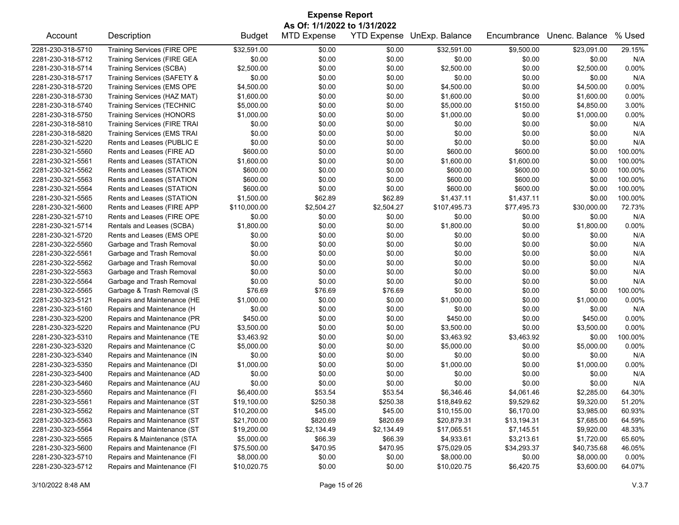| As Of: 1/1/2022 to 1/31/2022<br>Description<br><b>MTD Expense</b><br>YTD Expense UnExp. Balance<br>Unenc. Balance<br>% Used<br>Account<br><b>Budget</b><br>Encumbrance<br>\$32,591.00<br>\$0.00<br>\$32,591.00<br>\$9,500.00<br>\$23,091.00<br>29.15%<br>2281-230-318-5710<br><b>Training Services (FIRE OPE</b><br>\$0.00<br>\$0.00<br>2281-230-318-5712<br><b>Training Services (FIRE GEA</b><br>\$0.00<br>\$0.00<br>\$0.00<br>\$0.00<br>\$0.00<br>N/A<br>\$2,500.00<br>\$0.00<br>\$0.00<br>\$0.00<br>0.00%<br><b>Training Services (SCBA)</b><br>\$2,500.00<br>\$2,500.00<br>\$0.00<br>\$0.00<br>\$0.00<br>\$0.00<br>N/A<br>Training Services (SAFETY &<br>\$0.00<br>\$0.00<br>\$4,500.00<br>\$0.00<br>\$0.00<br>\$4,500.00<br>0.00%<br>2281-230-318-5720<br>Training Services (EMS OPE<br>\$0.00<br>\$4,500.00<br>\$1,600.00<br>\$0.00<br>\$0.00<br>\$1,600.00<br>\$0.00<br>\$1,600.00<br>0.00%<br>Training Services (HAZ MAT)<br>2281-230-318-5730<br>3.00%<br>2281-230-318-5740<br><b>Training Services (TECHNIC</b><br>\$5,000.00<br>\$0.00<br>\$0.00<br>\$5,000.00<br>\$150.00<br>\$4,850.00<br>\$0.00<br>\$0.00<br>\$1,000.00<br>\$1,000.00<br>0.00%<br><b>Training Services (HONORS</b><br>\$1,000.00<br>\$0.00<br>\$0.00<br>\$0.00<br>\$0.00<br>\$0.00<br>\$0.00<br>N/A<br>2281-230-318-5810<br><b>Training Services (FIRE TRAI</b><br>\$0.00<br>\$0.00<br>N/A<br>2281-230-318-5820<br><b>Training Services (EMS TRAI</b><br>\$0.00<br>\$0.00<br>\$0.00<br>\$0.00<br>\$0.00<br>\$0.00<br>\$0.00<br>N/A<br>Rents and Leases (PUBLIC E<br>\$0.00<br>\$0.00<br>\$0.00<br>\$0.00<br>2281-230-321-5220<br>2281-230-321-5560<br>Rents and Leases (FIRE AD<br>\$600.00<br>\$0.00<br>\$0.00<br>\$600.00<br>\$600.00<br>\$0.00<br>100.00%<br>\$0.00<br>\$0.00<br>\$1,600.00<br>\$0.00<br>100.00%<br>2281-230-321-5561<br>Rents and Leases (STATION<br>\$1,600.00<br>\$1,600.00<br>2281-230-321-5562<br>\$600.00<br>\$0.00<br>\$0.00<br>\$600.00<br>\$600.00<br>100.00%<br>Rents and Leases (STATION<br>\$0.00<br>\$600.00<br>\$0.00<br>\$0.00<br>\$600.00<br>\$600.00<br>100.00%<br>2281-230-321-5563<br>Rents and Leases (STATION<br>\$0.00<br>\$600.00<br>\$0.00<br>\$0.00<br>\$600.00<br>\$600.00<br>100.00%<br>Rents and Leases (STATION<br>\$0.00<br>2281-230-321-5564<br>2281-230-321-5565<br>Rents and Leases (STATION<br>\$1,500.00<br>\$62.89<br>\$62.89<br>\$1,437.11<br>\$1,437.11<br>\$0.00<br>100.00%<br>Rents and Leases (FIRE APP<br>\$2,504.27<br>72.73%<br>2281-230-321-5600<br>\$110,000.00<br>\$2,504.27<br>\$107,495.73<br>\$77,495.73<br>\$30,000.00<br>Rents and Leases (FIRE OPE<br>\$0.00<br>\$0.00<br>\$0.00<br>N/A<br>2281-230-321-5710<br>\$0.00<br>\$0.00<br>\$0.00<br>\$1,800.00<br>\$0.00<br>0.00%<br>2281-230-321-5714<br>Rentals and Leases (SCBA)<br>\$0.00<br>\$1,800.00<br>\$0.00<br>\$1,800.00<br>\$0.00<br>\$0.00<br>N/A<br>2281-230-321-5720<br>Rents and Leases (EMS OPE<br>\$0.00<br>\$0.00<br>\$0.00<br>\$0.00<br>2281-230-322-5560<br>Garbage and Trash Removal<br>\$0.00<br>\$0.00<br>\$0.00<br>\$0.00<br>\$0.00<br>\$0.00<br>N/A<br>N/A<br>\$0.00<br>\$0.00<br>\$0.00<br>2281-230-322-5561<br>Garbage and Trash Removal<br>\$0.00<br>\$0.00<br>\$0.00<br>2281-230-322-5562<br>Garbage and Trash Removal<br>\$0.00<br>\$0.00<br>\$0.00<br>\$0.00<br>N/A<br>\$0.00<br>\$0.00<br>Garbage and Trash Removal<br>\$0.00<br>\$0.00<br>\$0.00<br>N/A<br>2281-230-322-5563<br>\$0.00<br>\$0.00<br>\$0.00<br>\$0.00<br>\$0.00<br>N/A<br>2281-230-322-5564<br>Garbage and Trash Removal<br>\$0.00<br>\$0.00<br>\$0.00<br>\$0.00<br>\$76.69<br>2281-230-322-5565<br>Garbage & Trash Removal (S<br>\$76.69<br>\$76.69<br>\$0.00<br>\$0.00<br>\$0.00<br>100.00%<br>\$0.00<br>\$0.00<br>0.00%<br>2281-230-323-5121<br>Repairs and Maintenance (HE<br>\$1,000.00<br>\$1,000.00<br>\$0.00<br>\$1,000.00<br>2281-230-323-5160<br>Repairs and Maintenance (H<br>\$0.00<br>\$0.00<br>\$0.00<br>N/A<br>\$0.00<br>\$0.00<br>\$0.00<br>\$450.00<br>\$450.00<br>0.00%<br>2281-230-323-5200<br>Repairs and Maintenance (PR<br>\$0.00<br>\$0.00<br>\$0.00<br>\$450.00<br>\$3,500.00<br>\$0.00<br>0.00%<br>2281-230-323-5220<br>Repairs and Maintenance (PU<br>\$3,500.00<br>\$0.00<br>\$0.00<br>\$3,500.00<br>2281-230-323-5310<br>Repairs and Maintenance (TE<br>\$3,463.92<br>\$0.00<br>\$0.00<br>\$3,463.92<br>\$3,463.92<br>\$0.00<br>100.00%<br>Repairs and Maintenance (C<br>\$0.00<br>\$0.00<br>0.00%<br>2281-230-323-5320<br>\$5,000.00<br>\$5,000.00<br>\$0.00<br>\$5,000.00<br>2281-230-323-5340<br>Repairs and Maintenance (IN<br>\$0.00<br>\$0.00<br>\$0.00<br>\$0.00<br>N/A<br>\$0.00<br>\$0.00<br>\$1,000.00<br>0.00%<br>2281-230-323-5350<br>Repairs and Maintenance (DI<br>\$0.00<br>\$0.00<br>\$1,000.00<br>\$0.00<br>\$1,000.00<br>\$0.00<br>N/A<br>Repairs and Maintenance (AD<br>\$0.00<br>\$0.00<br>\$0.00<br>\$0.00<br>\$0.00<br>2281-230-323-5400<br>\$0.00<br>2281-230-323-5460<br>Repairs and Maintenance (AU<br>\$0.00<br>\$0.00<br>\$0.00<br>\$0.00<br>\$0.00<br>N/A<br>2281-230-323-5560<br>\$6,400.00<br>\$53.54<br>\$53.54<br>\$6,346.46<br>\$2,285.00<br>64.30%<br>Repairs and Maintenance (FI<br>\$4,061.46<br>2281-230-323-5561<br>Repairs and Maintenance (ST<br>\$19,100.00<br>\$250.38<br>\$250.38<br>\$18,849.62<br>\$9,529.62<br>\$9,320.00<br>51.20%<br>\$45.00<br>2281-230-323-5562<br>Repairs and Maintenance (ST<br>\$10,200.00<br>\$45.00<br>\$10,155.00<br>\$6,170.00<br>\$3,985.00<br>60.93%<br>2281-230-323-5563<br>Repairs and Maintenance (ST<br>\$21,700.00<br>\$820.69<br>\$820.69<br>\$20,879.31<br>\$13,194.31<br>\$7,685.00<br>64.59%<br>2281-230-323-5564<br>Repairs and Maintenance (ST<br>\$19,200.00<br>\$2,134.49<br>\$2,134.49<br>\$9,920.00<br>48.33%<br>\$17,065.51<br>\$7,145.51<br>2281-230-323-5565<br>Repairs & Maintenance (STA<br>\$5,000.00<br>\$66.39<br>\$66.39<br>\$4,933.61<br>\$3,213.61<br>\$1,720.00<br>65.60%<br>\$470.95<br>\$470.95<br>2281-230-323-5600<br>Repairs and Maintenance (FI<br>\$75,500.00<br>\$75,029.05<br>\$34,293.37<br>\$40,735.68<br>46.05%<br>Repairs and Maintenance (FI<br>2281-230-323-5710<br>\$8,000.00<br>\$0.00<br>\$0.00<br>\$8,000.00<br>\$0.00<br>\$8,000.00<br>0.00% | <b>Expense Report</b> |                             |             |        |        |             |            |            |        |  |  |
|------------------------------------------------------------------------------------------------------------------------------------------------------------------------------------------------------------------------------------------------------------------------------------------------------------------------------------------------------------------------------------------------------------------------------------------------------------------------------------------------------------------------------------------------------------------------------------------------------------------------------------------------------------------------------------------------------------------------------------------------------------------------------------------------------------------------------------------------------------------------------------------------------------------------------------------------------------------------------------------------------------------------------------------------------------------------------------------------------------------------------------------------------------------------------------------------------------------------------------------------------------------------------------------------------------------------------------------------------------------------------------------------------------------------------------------------------------------------------------------------------------------------------------------------------------------------------------------------------------------------------------------------------------------------------------------------------------------------------------------------------------------------------------------------------------------------------------------------------------------------------------------------------------------------------------------------------------------------------------------------------------------------------------------------------------------------------------------------------------------------------------------------------------------------------------------------------------------------------------------------------------------------------------------------------------------------------------------------------------------------------------------------------------------------------------------------------------------------------------------------------------------------------------------------------------------------------------------------------------------------------------------------------------------------------------------------------------------------------------------------------------------------------------------------------------------------------------------------------------------------------------------------------------------------------------------------------------------------------------------------------------------------------------------------------------------------------------------------------------------------------------------------------------------------------------------------------------------------------------------------------------------------------------------------------------------------------------------------------------------------------------------------------------------------------------------------------------------------------------------------------------------------------------------------------------------------------------------------------------------------------------------------------------------------------------------------------------------------------------------------------------------------------------------------------------------------------------------------------------------------------------------------------------------------------------------------------------------------------------------------------------------------------------------------------------------------------------------------------------------------------------------------------------------------------------------------------------------------------------------------------------------------------------------------------------------------------------------------------------------------------------------------------------------------------------------------------------------------------------------------------------------------------------------------------------------------------------------------------------------------------------------------------------------------------------------------------------------------------------------------------------------------------------------------------------------------------------------------------------------------------------------------------------------------------------------------------------------------------------------------------------------------------------------------------------------------------------------------------------------------------------------------------------------------------------------------------------------------------------------------------------------------------------------------------------------------------------------------------------------------------------------------------------------------------------------------------------------------------------------------------------------------------------------------------------------------------------------------------------------------------------------------------------------------------------------------------------------------------------------------------------------------------------------------------------------------------------------------------------------------------------------------------------------------------------------------------------------------------------------------------------------------------------------------------------------------------------------------------------------------------------------------------------------------------------------------------|-----------------------|-----------------------------|-------------|--------|--------|-------------|------------|------------|--------|--|--|
|                                                                                                                                                                                                                                                                                                                                                                                                                                                                                                                                                                                                                                                                                                                                                                                                                                                                                                                                                                                                                                                                                                                                                                                                                                                                                                                                                                                                                                                                                                                                                                                                                                                                                                                                                                                                                                                                                                                                                                                                                                                                                                                                                                                                                                                                                                                                                                                                                                                                                                                                                                                                                                                                                                                                                                                                                                                                                                                                                                                                                                                                                                                                                                                                                                                                                                                                                                                                                                                                                                                                                                                                                                                                                                                                                                                                                                                                                                                                                                                                                                                                                                                                                                                                                                                                                                                                                                                                                                                                                                                                                                                                                                                                                                                                                                                                                                                                                                                                                                                                                                                                                                                                                                                                                                                                                                                                                                                                                                                                                                                                                                                                                                                                                                                                                                                                                                                                                                                                                                                                                                                                                                                                                                                                      |                       |                             |             |        |        |             |            |            |        |  |  |
|                                                                                                                                                                                                                                                                                                                                                                                                                                                                                                                                                                                                                                                                                                                                                                                                                                                                                                                                                                                                                                                                                                                                                                                                                                                                                                                                                                                                                                                                                                                                                                                                                                                                                                                                                                                                                                                                                                                                                                                                                                                                                                                                                                                                                                                                                                                                                                                                                                                                                                                                                                                                                                                                                                                                                                                                                                                                                                                                                                                                                                                                                                                                                                                                                                                                                                                                                                                                                                                                                                                                                                                                                                                                                                                                                                                                                                                                                                                                                                                                                                                                                                                                                                                                                                                                                                                                                                                                                                                                                                                                                                                                                                                                                                                                                                                                                                                                                                                                                                                                                                                                                                                                                                                                                                                                                                                                                                                                                                                                                                                                                                                                                                                                                                                                                                                                                                                                                                                                                                                                                                                                                                                                                                                                      |                       |                             |             |        |        |             |            |            |        |  |  |
|                                                                                                                                                                                                                                                                                                                                                                                                                                                                                                                                                                                                                                                                                                                                                                                                                                                                                                                                                                                                                                                                                                                                                                                                                                                                                                                                                                                                                                                                                                                                                                                                                                                                                                                                                                                                                                                                                                                                                                                                                                                                                                                                                                                                                                                                                                                                                                                                                                                                                                                                                                                                                                                                                                                                                                                                                                                                                                                                                                                                                                                                                                                                                                                                                                                                                                                                                                                                                                                                                                                                                                                                                                                                                                                                                                                                                                                                                                                                                                                                                                                                                                                                                                                                                                                                                                                                                                                                                                                                                                                                                                                                                                                                                                                                                                                                                                                                                                                                                                                                                                                                                                                                                                                                                                                                                                                                                                                                                                                                                                                                                                                                                                                                                                                                                                                                                                                                                                                                                                                                                                                                                                                                                                                                      |                       |                             |             |        |        |             |            |            |        |  |  |
|                                                                                                                                                                                                                                                                                                                                                                                                                                                                                                                                                                                                                                                                                                                                                                                                                                                                                                                                                                                                                                                                                                                                                                                                                                                                                                                                                                                                                                                                                                                                                                                                                                                                                                                                                                                                                                                                                                                                                                                                                                                                                                                                                                                                                                                                                                                                                                                                                                                                                                                                                                                                                                                                                                                                                                                                                                                                                                                                                                                                                                                                                                                                                                                                                                                                                                                                                                                                                                                                                                                                                                                                                                                                                                                                                                                                                                                                                                                                                                                                                                                                                                                                                                                                                                                                                                                                                                                                                                                                                                                                                                                                                                                                                                                                                                                                                                                                                                                                                                                                                                                                                                                                                                                                                                                                                                                                                                                                                                                                                                                                                                                                                                                                                                                                                                                                                                                                                                                                                                                                                                                                                                                                                                                                      |                       |                             |             |        |        |             |            |            |        |  |  |
|                                                                                                                                                                                                                                                                                                                                                                                                                                                                                                                                                                                                                                                                                                                                                                                                                                                                                                                                                                                                                                                                                                                                                                                                                                                                                                                                                                                                                                                                                                                                                                                                                                                                                                                                                                                                                                                                                                                                                                                                                                                                                                                                                                                                                                                                                                                                                                                                                                                                                                                                                                                                                                                                                                                                                                                                                                                                                                                                                                                                                                                                                                                                                                                                                                                                                                                                                                                                                                                                                                                                                                                                                                                                                                                                                                                                                                                                                                                                                                                                                                                                                                                                                                                                                                                                                                                                                                                                                                                                                                                                                                                                                                                                                                                                                                                                                                                                                                                                                                                                                                                                                                                                                                                                                                                                                                                                                                                                                                                                                                                                                                                                                                                                                                                                                                                                                                                                                                                                                                                                                                                                                                                                                                                                      | 2281-230-318-5714     |                             |             |        |        |             |            |            |        |  |  |
|                                                                                                                                                                                                                                                                                                                                                                                                                                                                                                                                                                                                                                                                                                                                                                                                                                                                                                                                                                                                                                                                                                                                                                                                                                                                                                                                                                                                                                                                                                                                                                                                                                                                                                                                                                                                                                                                                                                                                                                                                                                                                                                                                                                                                                                                                                                                                                                                                                                                                                                                                                                                                                                                                                                                                                                                                                                                                                                                                                                                                                                                                                                                                                                                                                                                                                                                                                                                                                                                                                                                                                                                                                                                                                                                                                                                                                                                                                                                                                                                                                                                                                                                                                                                                                                                                                                                                                                                                                                                                                                                                                                                                                                                                                                                                                                                                                                                                                                                                                                                                                                                                                                                                                                                                                                                                                                                                                                                                                                                                                                                                                                                                                                                                                                                                                                                                                                                                                                                                                                                                                                                                                                                                                                                      | 2281-230-318-5717     |                             |             |        |        |             |            |            |        |  |  |
|                                                                                                                                                                                                                                                                                                                                                                                                                                                                                                                                                                                                                                                                                                                                                                                                                                                                                                                                                                                                                                                                                                                                                                                                                                                                                                                                                                                                                                                                                                                                                                                                                                                                                                                                                                                                                                                                                                                                                                                                                                                                                                                                                                                                                                                                                                                                                                                                                                                                                                                                                                                                                                                                                                                                                                                                                                                                                                                                                                                                                                                                                                                                                                                                                                                                                                                                                                                                                                                                                                                                                                                                                                                                                                                                                                                                                                                                                                                                                                                                                                                                                                                                                                                                                                                                                                                                                                                                                                                                                                                                                                                                                                                                                                                                                                                                                                                                                                                                                                                                                                                                                                                                                                                                                                                                                                                                                                                                                                                                                                                                                                                                                                                                                                                                                                                                                                                                                                                                                                                                                                                                                                                                                                                                      |                       |                             |             |        |        |             |            |            |        |  |  |
|                                                                                                                                                                                                                                                                                                                                                                                                                                                                                                                                                                                                                                                                                                                                                                                                                                                                                                                                                                                                                                                                                                                                                                                                                                                                                                                                                                                                                                                                                                                                                                                                                                                                                                                                                                                                                                                                                                                                                                                                                                                                                                                                                                                                                                                                                                                                                                                                                                                                                                                                                                                                                                                                                                                                                                                                                                                                                                                                                                                                                                                                                                                                                                                                                                                                                                                                                                                                                                                                                                                                                                                                                                                                                                                                                                                                                                                                                                                                                                                                                                                                                                                                                                                                                                                                                                                                                                                                                                                                                                                                                                                                                                                                                                                                                                                                                                                                                                                                                                                                                                                                                                                                                                                                                                                                                                                                                                                                                                                                                                                                                                                                                                                                                                                                                                                                                                                                                                                                                                                                                                                                                                                                                                                                      |                       |                             |             |        |        |             |            |            |        |  |  |
|                                                                                                                                                                                                                                                                                                                                                                                                                                                                                                                                                                                                                                                                                                                                                                                                                                                                                                                                                                                                                                                                                                                                                                                                                                                                                                                                                                                                                                                                                                                                                                                                                                                                                                                                                                                                                                                                                                                                                                                                                                                                                                                                                                                                                                                                                                                                                                                                                                                                                                                                                                                                                                                                                                                                                                                                                                                                                                                                                                                                                                                                                                                                                                                                                                                                                                                                                                                                                                                                                                                                                                                                                                                                                                                                                                                                                                                                                                                                                                                                                                                                                                                                                                                                                                                                                                                                                                                                                                                                                                                                                                                                                                                                                                                                                                                                                                                                                                                                                                                                                                                                                                                                                                                                                                                                                                                                                                                                                                                                                                                                                                                                                                                                                                                                                                                                                                                                                                                                                                                                                                                                                                                                                                                                      |                       |                             |             |        |        |             |            |            |        |  |  |
|                                                                                                                                                                                                                                                                                                                                                                                                                                                                                                                                                                                                                                                                                                                                                                                                                                                                                                                                                                                                                                                                                                                                                                                                                                                                                                                                                                                                                                                                                                                                                                                                                                                                                                                                                                                                                                                                                                                                                                                                                                                                                                                                                                                                                                                                                                                                                                                                                                                                                                                                                                                                                                                                                                                                                                                                                                                                                                                                                                                                                                                                                                                                                                                                                                                                                                                                                                                                                                                                                                                                                                                                                                                                                                                                                                                                                                                                                                                                                                                                                                                                                                                                                                                                                                                                                                                                                                                                                                                                                                                                                                                                                                                                                                                                                                                                                                                                                                                                                                                                                                                                                                                                                                                                                                                                                                                                                                                                                                                                                                                                                                                                                                                                                                                                                                                                                                                                                                                                                                                                                                                                                                                                                                                                      | 2281-230-318-5750     |                             |             |        |        |             |            |            |        |  |  |
|                                                                                                                                                                                                                                                                                                                                                                                                                                                                                                                                                                                                                                                                                                                                                                                                                                                                                                                                                                                                                                                                                                                                                                                                                                                                                                                                                                                                                                                                                                                                                                                                                                                                                                                                                                                                                                                                                                                                                                                                                                                                                                                                                                                                                                                                                                                                                                                                                                                                                                                                                                                                                                                                                                                                                                                                                                                                                                                                                                                                                                                                                                                                                                                                                                                                                                                                                                                                                                                                                                                                                                                                                                                                                                                                                                                                                                                                                                                                                                                                                                                                                                                                                                                                                                                                                                                                                                                                                                                                                                                                                                                                                                                                                                                                                                                                                                                                                                                                                                                                                                                                                                                                                                                                                                                                                                                                                                                                                                                                                                                                                                                                                                                                                                                                                                                                                                                                                                                                                                                                                                                                                                                                                                                                      |                       |                             |             |        |        |             |            |            |        |  |  |
|                                                                                                                                                                                                                                                                                                                                                                                                                                                                                                                                                                                                                                                                                                                                                                                                                                                                                                                                                                                                                                                                                                                                                                                                                                                                                                                                                                                                                                                                                                                                                                                                                                                                                                                                                                                                                                                                                                                                                                                                                                                                                                                                                                                                                                                                                                                                                                                                                                                                                                                                                                                                                                                                                                                                                                                                                                                                                                                                                                                                                                                                                                                                                                                                                                                                                                                                                                                                                                                                                                                                                                                                                                                                                                                                                                                                                                                                                                                                                                                                                                                                                                                                                                                                                                                                                                                                                                                                                                                                                                                                                                                                                                                                                                                                                                                                                                                                                                                                                                                                                                                                                                                                                                                                                                                                                                                                                                                                                                                                                                                                                                                                                                                                                                                                                                                                                                                                                                                                                                                                                                                                                                                                                                                                      |                       |                             |             |        |        |             |            |            |        |  |  |
|                                                                                                                                                                                                                                                                                                                                                                                                                                                                                                                                                                                                                                                                                                                                                                                                                                                                                                                                                                                                                                                                                                                                                                                                                                                                                                                                                                                                                                                                                                                                                                                                                                                                                                                                                                                                                                                                                                                                                                                                                                                                                                                                                                                                                                                                                                                                                                                                                                                                                                                                                                                                                                                                                                                                                                                                                                                                                                                                                                                                                                                                                                                                                                                                                                                                                                                                                                                                                                                                                                                                                                                                                                                                                                                                                                                                                                                                                                                                                                                                                                                                                                                                                                                                                                                                                                                                                                                                                                                                                                                                                                                                                                                                                                                                                                                                                                                                                                                                                                                                                                                                                                                                                                                                                                                                                                                                                                                                                                                                                                                                                                                                                                                                                                                                                                                                                                                                                                                                                                                                                                                                                                                                                                                                      |                       |                             |             |        |        |             |            |            |        |  |  |
|                                                                                                                                                                                                                                                                                                                                                                                                                                                                                                                                                                                                                                                                                                                                                                                                                                                                                                                                                                                                                                                                                                                                                                                                                                                                                                                                                                                                                                                                                                                                                                                                                                                                                                                                                                                                                                                                                                                                                                                                                                                                                                                                                                                                                                                                                                                                                                                                                                                                                                                                                                                                                                                                                                                                                                                                                                                                                                                                                                                                                                                                                                                                                                                                                                                                                                                                                                                                                                                                                                                                                                                                                                                                                                                                                                                                                                                                                                                                                                                                                                                                                                                                                                                                                                                                                                                                                                                                                                                                                                                                                                                                                                                                                                                                                                                                                                                                                                                                                                                                                                                                                                                                                                                                                                                                                                                                                                                                                                                                                                                                                                                                                                                                                                                                                                                                                                                                                                                                                                                                                                                                                                                                                                                                      |                       |                             |             |        |        |             |            |            |        |  |  |
|                                                                                                                                                                                                                                                                                                                                                                                                                                                                                                                                                                                                                                                                                                                                                                                                                                                                                                                                                                                                                                                                                                                                                                                                                                                                                                                                                                                                                                                                                                                                                                                                                                                                                                                                                                                                                                                                                                                                                                                                                                                                                                                                                                                                                                                                                                                                                                                                                                                                                                                                                                                                                                                                                                                                                                                                                                                                                                                                                                                                                                                                                                                                                                                                                                                                                                                                                                                                                                                                                                                                                                                                                                                                                                                                                                                                                                                                                                                                                                                                                                                                                                                                                                                                                                                                                                                                                                                                                                                                                                                                                                                                                                                                                                                                                                                                                                                                                                                                                                                                                                                                                                                                                                                                                                                                                                                                                                                                                                                                                                                                                                                                                                                                                                                                                                                                                                                                                                                                                                                                                                                                                                                                                                                                      |                       |                             |             |        |        |             |            |            |        |  |  |
|                                                                                                                                                                                                                                                                                                                                                                                                                                                                                                                                                                                                                                                                                                                                                                                                                                                                                                                                                                                                                                                                                                                                                                                                                                                                                                                                                                                                                                                                                                                                                                                                                                                                                                                                                                                                                                                                                                                                                                                                                                                                                                                                                                                                                                                                                                                                                                                                                                                                                                                                                                                                                                                                                                                                                                                                                                                                                                                                                                                                                                                                                                                                                                                                                                                                                                                                                                                                                                                                                                                                                                                                                                                                                                                                                                                                                                                                                                                                                                                                                                                                                                                                                                                                                                                                                                                                                                                                                                                                                                                                                                                                                                                                                                                                                                                                                                                                                                                                                                                                                                                                                                                                                                                                                                                                                                                                                                                                                                                                                                                                                                                                                                                                                                                                                                                                                                                                                                                                                                                                                                                                                                                                                                                                      |                       |                             |             |        |        |             |            |            |        |  |  |
|                                                                                                                                                                                                                                                                                                                                                                                                                                                                                                                                                                                                                                                                                                                                                                                                                                                                                                                                                                                                                                                                                                                                                                                                                                                                                                                                                                                                                                                                                                                                                                                                                                                                                                                                                                                                                                                                                                                                                                                                                                                                                                                                                                                                                                                                                                                                                                                                                                                                                                                                                                                                                                                                                                                                                                                                                                                                                                                                                                                                                                                                                                                                                                                                                                                                                                                                                                                                                                                                                                                                                                                                                                                                                                                                                                                                                                                                                                                                                                                                                                                                                                                                                                                                                                                                                                                                                                                                                                                                                                                                                                                                                                                                                                                                                                                                                                                                                                                                                                                                                                                                                                                                                                                                                                                                                                                                                                                                                                                                                                                                                                                                                                                                                                                                                                                                                                                                                                                                                                                                                                                                                                                                                                                                      |                       |                             |             |        |        |             |            |            |        |  |  |
|                                                                                                                                                                                                                                                                                                                                                                                                                                                                                                                                                                                                                                                                                                                                                                                                                                                                                                                                                                                                                                                                                                                                                                                                                                                                                                                                                                                                                                                                                                                                                                                                                                                                                                                                                                                                                                                                                                                                                                                                                                                                                                                                                                                                                                                                                                                                                                                                                                                                                                                                                                                                                                                                                                                                                                                                                                                                                                                                                                                                                                                                                                                                                                                                                                                                                                                                                                                                                                                                                                                                                                                                                                                                                                                                                                                                                                                                                                                                                                                                                                                                                                                                                                                                                                                                                                                                                                                                                                                                                                                                                                                                                                                                                                                                                                                                                                                                                                                                                                                                                                                                                                                                                                                                                                                                                                                                                                                                                                                                                                                                                                                                                                                                                                                                                                                                                                                                                                                                                                                                                                                                                                                                                                                                      |                       |                             |             |        |        |             |            |            |        |  |  |
|                                                                                                                                                                                                                                                                                                                                                                                                                                                                                                                                                                                                                                                                                                                                                                                                                                                                                                                                                                                                                                                                                                                                                                                                                                                                                                                                                                                                                                                                                                                                                                                                                                                                                                                                                                                                                                                                                                                                                                                                                                                                                                                                                                                                                                                                                                                                                                                                                                                                                                                                                                                                                                                                                                                                                                                                                                                                                                                                                                                                                                                                                                                                                                                                                                                                                                                                                                                                                                                                                                                                                                                                                                                                                                                                                                                                                                                                                                                                                                                                                                                                                                                                                                                                                                                                                                                                                                                                                                                                                                                                                                                                                                                                                                                                                                                                                                                                                                                                                                                                                                                                                                                                                                                                                                                                                                                                                                                                                                                                                                                                                                                                                                                                                                                                                                                                                                                                                                                                                                                                                                                                                                                                                                                                      |                       |                             |             |        |        |             |            |            |        |  |  |
|                                                                                                                                                                                                                                                                                                                                                                                                                                                                                                                                                                                                                                                                                                                                                                                                                                                                                                                                                                                                                                                                                                                                                                                                                                                                                                                                                                                                                                                                                                                                                                                                                                                                                                                                                                                                                                                                                                                                                                                                                                                                                                                                                                                                                                                                                                                                                                                                                                                                                                                                                                                                                                                                                                                                                                                                                                                                                                                                                                                                                                                                                                                                                                                                                                                                                                                                                                                                                                                                                                                                                                                                                                                                                                                                                                                                                                                                                                                                                                                                                                                                                                                                                                                                                                                                                                                                                                                                                                                                                                                                                                                                                                                                                                                                                                                                                                                                                                                                                                                                                                                                                                                                                                                                                                                                                                                                                                                                                                                                                                                                                                                                                                                                                                                                                                                                                                                                                                                                                                                                                                                                                                                                                                                                      |                       |                             |             |        |        |             |            |            |        |  |  |
|                                                                                                                                                                                                                                                                                                                                                                                                                                                                                                                                                                                                                                                                                                                                                                                                                                                                                                                                                                                                                                                                                                                                                                                                                                                                                                                                                                                                                                                                                                                                                                                                                                                                                                                                                                                                                                                                                                                                                                                                                                                                                                                                                                                                                                                                                                                                                                                                                                                                                                                                                                                                                                                                                                                                                                                                                                                                                                                                                                                                                                                                                                                                                                                                                                                                                                                                                                                                                                                                                                                                                                                                                                                                                                                                                                                                                                                                                                                                                                                                                                                                                                                                                                                                                                                                                                                                                                                                                                                                                                                                                                                                                                                                                                                                                                                                                                                                                                                                                                                                                                                                                                                                                                                                                                                                                                                                                                                                                                                                                                                                                                                                                                                                                                                                                                                                                                                                                                                                                                                                                                                                                                                                                                                                      |                       |                             |             |        |        |             |            |            |        |  |  |
|                                                                                                                                                                                                                                                                                                                                                                                                                                                                                                                                                                                                                                                                                                                                                                                                                                                                                                                                                                                                                                                                                                                                                                                                                                                                                                                                                                                                                                                                                                                                                                                                                                                                                                                                                                                                                                                                                                                                                                                                                                                                                                                                                                                                                                                                                                                                                                                                                                                                                                                                                                                                                                                                                                                                                                                                                                                                                                                                                                                                                                                                                                                                                                                                                                                                                                                                                                                                                                                                                                                                                                                                                                                                                                                                                                                                                                                                                                                                                                                                                                                                                                                                                                                                                                                                                                                                                                                                                                                                                                                                                                                                                                                                                                                                                                                                                                                                                                                                                                                                                                                                                                                                                                                                                                                                                                                                                                                                                                                                                                                                                                                                                                                                                                                                                                                                                                                                                                                                                                                                                                                                                                                                                                                                      |                       |                             |             |        |        |             |            |            |        |  |  |
|                                                                                                                                                                                                                                                                                                                                                                                                                                                                                                                                                                                                                                                                                                                                                                                                                                                                                                                                                                                                                                                                                                                                                                                                                                                                                                                                                                                                                                                                                                                                                                                                                                                                                                                                                                                                                                                                                                                                                                                                                                                                                                                                                                                                                                                                                                                                                                                                                                                                                                                                                                                                                                                                                                                                                                                                                                                                                                                                                                                                                                                                                                                                                                                                                                                                                                                                                                                                                                                                                                                                                                                                                                                                                                                                                                                                                                                                                                                                                                                                                                                                                                                                                                                                                                                                                                                                                                                                                                                                                                                                                                                                                                                                                                                                                                                                                                                                                                                                                                                                                                                                                                                                                                                                                                                                                                                                                                                                                                                                                                                                                                                                                                                                                                                                                                                                                                                                                                                                                                                                                                                                                                                                                                                                      |                       |                             |             |        |        |             |            |            |        |  |  |
|                                                                                                                                                                                                                                                                                                                                                                                                                                                                                                                                                                                                                                                                                                                                                                                                                                                                                                                                                                                                                                                                                                                                                                                                                                                                                                                                                                                                                                                                                                                                                                                                                                                                                                                                                                                                                                                                                                                                                                                                                                                                                                                                                                                                                                                                                                                                                                                                                                                                                                                                                                                                                                                                                                                                                                                                                                                                                                                                                                                                                                                                                                                                                                                                                                                                                                                                                                                                                                                                                                                                                                                                                                                                                                                                                                                                                                                                                                                                                                                                                                                                                                                                                                                                                                                                                                                                                                                                                                                                                                                                                                                                                                                                                                                                                                                                                                                                                                                                                                                                                                                                                                                                                                                                                                                                                                                                                                                                                                                                                                                                                                                                                                                                                                                                                                                                                                                                                                                                                                                                                                                                                                                                                                                                      |                       |                             |             |        |        |             |            |            |        |  |  |
|                                                                                                                                                                                                                                                                                                                                                                                                                                                                                                                                                                                                                                                                                                                                                                                                                                                                                                                                                                                                                                                                                                                                                                                                                                                                                                                                                                                                                                                                                                                                                                                                                                                                                                                                                                                                                                                                                                                                                                                                                                                                                                                                                                                                                                                                                                                                                                                                                                                                                                                                                                                                                                                                                                                                                                                                                                                                                                                                                                                                                                                                                                                                                                                                                                                                                                                                                                                                                                                                                                                                                                                                                                                                                                                                                                                                                                                                                                                                                                                                                                                                                                                                                                                                                                                                                                                                                                                                                                                                                                                                                                                                                                                                                                                                                                                                                                                                                                                                                                                                                                                                                                                                                                                                                                                                                                                                                                                                                                                                                                                                                                                                                                                                                                                                                                                                                                                                                                                                                                                                                                                                                                                                                                                                      |                       |                             |             |        |        |             |            |            |        |  |  |
|                                                                                                                                                                                                                                                                                                                                                                                                                                                                                                                                                                                                                                                                                                                                                                                                                                                                                                                                                                                                                                                                                                                                                                                                                                                                                                                                                                                                                                                                                                                                                                                                                                                                                                                                                                                                                                                                                                                                                                                                                                                                                                                                                                                                                                                                                                                                                                                                                                                                                                                                                                                                                                                                                                                                                                                                                                                                                                                                                                                                                                                                                                                                                                                                                                                                                                                                                                                                                                                                                                                                                                                                                                                                                                                                                                                                                                                                                                                                                                                                                                                                                                                                                                                                                                                                                                                                                                                                                                                                                                                                                                                                                                                                                                                                                                                                                                                                                                                                                                                                                                                                                                                                                                                                                                                                                                                                                                                                                                                                                                                                                                                                                                                                                                                                                                                                                                                                                                                                                                                                                                                                                                                                                                                                      |                       |                             |             |        |        |             |            |            |        |  |  |
|                                                                                                                                                                                                                                                                                                                                                                                                                                                                                                                                                                                                                                                                                                                                                                                                                                                                                                                                                                                                                                                                                                                                                                                                                                                                                                                                                                                                                                                                                                                                                                                                                                                                                                                                                                                                                                                                                                                                                                                                                                                                                                                                                                                                                                                                                                                                                                                                                                                                                                                                                                                                                                                                                                                                                                                                                                                                                                                                                                                                                                                                                                                                                                                                                                                                                                                                                                                                                                                                                                                                                                                                                                                                                                                                                                                                                                                                                                                                                                                                                                                                                                                                                                                                                                                                                                                                                                                                                                                                                                                                                                                                                                                                                                                                                                                                                                                                                                                                                                                                                                                                                                                                                                                                                                                                                                                                                                                                                                                                                                                                                                                                                                                                                                                                                                                                                                                                                                                                                                                                                                                                                                                                                                                                      |                       |                             |             |        |        |             |            |            |        |  |  |
|                                                                                                                                                                                                                                                                                                                                                                                                                                                                                                                                                                                                                                                                                                                                                                                                                                                                                                                                                                                                                                                                                                                                                                                                                                                                                                                                                                                                                                                                                                                                                                                                                                                                                                                                                                                                                                                                                                                                                                                                                                                                                                                                                                                                                                                                                                                                                                                                                                                                                                                                                                                                                                                                                                                                                                                                                                                                                                                                                                                                                                                                                                                                                                                                                                                                                                                                                                                                                                                                                                                                                                                                                                                                                                                                                                                                                                                                                                                                                                                                                                                                                                                                                                                                                                                                                                                                                                                                                                                                                                                                                                                                                                                                                                                                                                                                                                                                                                                                                                                                                                                                                                                                                                                                                                                                                                                                                                                                                                                                                                                                                                                                                                                                                                                                                                                                                                                                                                                                                                                                                                                                                                                                                                                                      |                       |                             |             |        |        |             |            |            |        |  |  |
|                                                                                                                                                                                                                                                                                                                                                                                                                                                                                                                                                                                                                                                                                                                                                                                                                                                                                                                                                                                                                                                                                                                                                                                                                                                                                                                                                                                                                                                                                                                                                                                                                                                                                                                                                                                                                                                                                                                                                                                                                                                                                                                                                                                                                                                                                                                                                                                                                                                                                                                                                                                                                                                                                                                                                                                                                                                                                                                                                                                                                                                                                                                                                                                                                                                                                                                                                                                                                                                                                                                                                                                                                                                                                                                                                                                                                                                                                                                                                                                                                                                                                                                                                                                                                                                                                                                                                                                                                                                                                                                                                                                                                                                                                                                                                                                                                                                                                                                                                                                                                                                                                                                                                                                                                                                                                                                                                                                                                                                                                                                                                                                                                                                                                                                                                                                                                                                                                                                                                                                                                                                                                                                                                                                                      |                       |                             |             |        |        |             |            |            |        |  |  |
|                                                                                                                                                                                                                                                                                                                                                                                                                                                                                                                                                                                                                                                                                                                                                                                                                                                                                                                                                                                                                                                                                                                                                                                                                                                                                                                                                                                                                                                                                                                                                                                                                                                                                                                                                                                                                                                                                                                                                                                                                                                                                                                                                                                                                                                                                                                                                                                                                                                                                                                                                                                                                                                                                                                                                                                                                                                                                                                                                                                                                                                                                                                                                                                                                                                                                                                                                                                                                                                                                                                                                                                                                                                                                                                                                                                                                                                                                                                                                                                                                                                                                                                                                                                                                                                                                                                                                                                                                                                                                                                                                                                                                                                                                                                                                                                                                                                                                                                                                                                                                                                                                                                                                                                                                                                                                                                                                                                                                                                                                                                                                                                                                                                                                                                                                                                                                                                                                                                                                                                                                                                                                                                                                                                                      |                       |                             |             |        |        |             |            |            |        |  |  |
|                                                                                                                                                                                                                                                                                                                                                                                                                                                                                                                                                                                                                                                                                                                                                                                                                                                                                                                                                                                                                                                                                                                                                                                                                                                                                                                                                                                                                                                                                                                                                                                                                                                                                                                                                                                                                                                                                                                                                                                                                                                                                                                                                                                                                                                                                                                                                                                                                                                                                                                                                                                                                                                                                                                                                                                                                                                                                                                                                                                                                                                                                                                                                                                                                                                                                                                                                                                                                                                                                                                                                                                                                                                                                                                                                                                                                                                                                                                                                                                                                                                                                                                                                                                                                                                                                                                                                                                                                                                                                                                                                                                                                                                                                                                                                                                                                                                                                                                                                                                                                                                                                                                                                                                                                                                                                                                                                                                                                                                                                                                                                                                                                                                                                                                                                                                                                                                                                                                                                                                                                                                                                                                                                                                                      |                       |                             |             |        |        |             |            |            |        |  |  |
|                                                                                                                                                                                                                                                                                                                                                                                                                                                                                                                                                                                                                                                                                                                                                                                                                                                                                                                                                                                                                                                                                                                                                                                                                                                                                                                                                                                                                                                                                                                                                                                                                                                                                                                                                                                                                                                                                                                                                                                                                                                                                                                                                                                                                                                                                                                                                                                                                                                                                                                                                                                                                                                                                                                                                                                                                                                                                                                                                                                                                                                                                                                                                                                                                                                                                                                                                                                                                                                                                                                                                                                                                                                                                                                                                                                                                                                                                                                                                                                                                                                                                                                                                                                                                                                                                                                                                                                                                                                                                                                                                                                                                                                                                                                                                                                                                                                                                                                                                                                                                                                                                                                                                                                                                                                                                                                                                                                                                                                                                                                                                                                                                                                                                                                                                                                                                                                                                                                                                                                                                                                                                                                                                                                                      |                       |                             |             |        |        |             |            |            |        |  |  |
|                                                                                                                                                                                                                                                                                                                                                                                                                                                                                                                                                                                                                                                                                                                                                                                                                                                                                                                                                                                                                                                                                                                                                                                                                                                                                                                                                                                                                                                                                                                                                                                                                                                                                                                                                                                                                                                                                                                                                                                                                                                                                                                                                                                                                                                                                                                                                                                                                                                                                                                                                                                                                                                                                                                                                                                                                                                                                                                                                                                                                                                                                                                                                                                                                                                                                                                                                                                                                                                                                                                                                                                                                                                                                                                                                                                                                                                                                                                                                                                                                                                                                                                                                                                                                                                                                                                                                                                                                                                                                                                                                                                                                                                                                                                                                                                                                                                                                                                                                                                                                                                                                                                                                                                                                                                                                                                                                                                                                                                                                                                                                                                                                                                                                                                                                                                                                                                                                                                                                                                                                                                                                                                                                                                                      |                       |                             |             |        |        |             |            |            |        |  |  |
|                                                                                                                                                                                                                                                                                                                                                                                                                                                                                                                                                                                                                                                                                                                                                                                                                                                                                                                                                                                                                                                                                                                                                                                                                                                                                                                                                                                                                                                                                                                                                                                                                                                                                                                                                                                                                                                                                                                                                                                                                                                                                                                                                                                                                                                                                                                                                                                                                                                                                                                                                                                                                                                                                                                                                                                                                                                                                                                                                                                                                                                                                                                                                                                                                                                                                                                                                                                                                                                                                                                                                                                                                                                                                                                                                                                                                                                                                                                                                                                                                                                                                                                                                                                                                                                                                                                                                                                                                                                                                                                                                                                                                                                                                                                                                                                                                                                                                                                                                                                                                                                                                                                                                                                                                                                                                                                                                                                                                                                                                                                                                                                                                                                                                                                                                                                                                                                                                                                                                                                                                                                                                                                                                                                                      |                       |                             |             |        |        |             |            |            |        |  |  |
|                                                                                                                                                                                                                                                                                                                                                                                                                                                                                                                                                                                                                                                                                                                                                                                                                                                                                                                                                                                                                                                                                                                                                                                                                                                                                                                                                                                                                                                                                                                                                                                                                                                                                                                                                                                                                                                                                                                                                                                                                                                                                                                                                                                                                                                                                                                                                                                                                                                                                                                                                                                                                                                                                                                                                                                                                                                                                                                                                                                                                                                                                                                                                                                                                                                                                                                                                                                                                                                                                                                                                                                                                                                                                                                                                                                                                                                                                                                                                                                                                                                                                                                                                                                                                                                                                                                                                                                                                                                                                                                                                                                                                                                                                                                                                                                                                                                                                                                                                                                                                                                                                                                                                                                                                                                                                                                                                                                                                                                                                                                                                                                                                                                                                                                                                                                                                                                                                                                                                                                                                                                                                                                                                                                                      |                       |                             |             |        |        |             |            |            |        |  |  |
|                                                                                                                                                                                                                                                                                                                                                                                                                                                                                                                                                                                                                                                                                                                                                                                                                                                                                                                                                                                                                                                                                                                                                                                                                                                                                                                                                                                                                                                                                                                                                                                                                                                                                                                                                                                                                                                                                                                                                                                                                                                                                                                                                                                                                                                                                                                                                                                                                                                                                                                                                                                                                                                                                                                                                                                                                                                                                                                                                                                                                                                                                                                                                                                                                                                                                                                                                                                                                                                                                                                                                                                                                                                                                                                                                                                                                                                                                                                                                                                                                                                                                                                                                                                                                                                                                                                                                                                                                                                                                                                                                                                                                                                                                                                                                                                                                                                                                                                                                                                                                                                                                                                                                                                                                                                                                                                                                                                                                                                                                                                                                                                                                                                                                                                                                                                                                                                                                                                                                                                                                                                                                                                                                                                                      |                       |                             |             |        |        |             |            |            |        |  |  |
|                                                                                                                                                                                                                                                                                                                                                                                                                                                                                                                                                                                                                                                                                                                                                                                                                                                                                                                                                                                                                                                                                                                                                                                                                                                                                                                                                                                                                                                                                                                                                                                                                                                                                                                                                                                                                                                                                                                                                                                                                                                                                                                                                                                                                                                                                                                                                                                                                                                                                                                                                                                                                                                                                                                                                                                                                                                                                                                                                                                                                                                                                                                                                                                                                                                                                                                                                                                                                                                                                                                                                                                                                                                                                                                                                                                                                                                                                                                                                                                                                                                                                                                                                                                                                                                                                                                                                                                                                                                                                                                                                                                                                                                                                                                                                                                                                                                                                                                                                                                                                                                                                                                                                                                                                                                                                                                                                                                                                                                                                                                                                                                                                                                                                                                                                                                                                                                                                                                                                                                                                                                                                                                                                                                                      |                       |                             |             |        |        |             |            |            |        |  |  |
|                                                                                                                                                                                                                                                                                                                                                                                                                                                                                                                                                                                                                                                                                                                                                                                                                                                                                                                                                                                                                                                                                                                                                                                                                                                                                                                                                                                                                                                                                                                                                                                                                                                                                                                                                                                                                                                                                                                                                                                                                                                                                                                                                                                                                                                                                                                                                                                                                                                                                                                                                                                                                                                                                                                                                                                                                                                                                                                                                                                                                                                                                                                                                                                                                                                                                                                                                                                                                                                                                                                                                                                                                                                                                                                                                                                                                                                                                                                                                                                                                                                                                                                                                                                                                                                                                                                                                                                                                                                                                                                                                                                                                                                                                                                                                                                                                                                                                                                                                                                                                                                                                                                                                                                                                                                                                                                                                                                                                                                                                                                                                                                                                                                                                                                                                                                                                                                                                                                                                                                                                                                                                                                                                                                                      |                       |                             |             |        |        |             |            |            |        |  |  |
|                                                                                                                                                                                                                                                                                                                                                                                                                                                                                                                                                                                                                                                                                                                                                                                                                                                                                                                                                                                                                                                                                                                                                                                                                                                                                                                                                                                                                                                                                                                                                                                                                                                                                                                                                                                                                                                                                                                                                                                                                                                                                                                                                                                                                                                                                                                                                                                                                                                                                                                                                                                                                                                                                                                                                                                                                                                                                                                                                                                                                                                                                                                                                                                                                                                                                                                                                                                                                                                                                                                                                                                                                                                                                                                                                                                                                                                                                                                                                                                                                                                                                                                                                                                                                                                                                                                                                                                                                                                                                                                                                                                                                                                                                                                                                                                                                                                                                                                                                                                                                                                                                                                                                                                                                                                                                                                                                                                                                                                                                                                                                                                                                                                                                                                                                                                                                                                                                                                                                                                                                                                                                                                                                                                                      |                       |                             |             |        |        |             |            |            |        |  |  |
|                                                                                                                                                                                                                                                                                                                                                                                                                                                                                                                                                                                                                                                                                                                                                                                                                                                                                                                                                                                                                                                                                                                                                                                                                                                                                                                                                                                                                                                                                                                                                                                                                                                                                                                                                                                                                                                                                                                                                                                                                                                                                                                                                                                                                                                                                                                                                                                                                                                                                                                                                                                                                                                                                                                                                                                                                                                                                                                                                                                                                                                                                                                                                                                                                                                                                                                                                                                                                                                                                                                                                                                                                                                                                                                                                                                                                                                                                                                                                                                                                                                                                                                                                                                                                                                                                                                                                                                                                                                                                                                                                                                                                                                                                                                                                                                                                                                                                                                                                                                                                                                                                                                                                                                                                                                                                                                                                                                                                                                                                                                                                                                                                                                                                                                                                                                                                                                                                                                                                                                                                                                                                                                                                                                                      |                       |                             |             |        |        |             |            |            |        |  |  |
|                                                                                                                                                                                                                                                                                                                                                                                                                                                                                                                                                                                                                                                                                                                                                                                                                                                                                                                                                                                                                                                                                                                                                                                                                                                                                                                                                                                                                                                                                                                                                                                                                                                                                                                                                                                                                                                                                                                                                                                                                                                                                                                                                                                                                                                                                                                                                                                                                                                                                                                                                                                                                                                                                                                                                                                                                                                                                                                                                                                                                                                                                                                                                                                                                                                                                                                                                                                                                                                                                                                                                                                                                                                                                                                                                                                                                                                                                                                                                                                                                                                                                                                                                                                                                                                                                                                                                                                                                                                                                                                                                                                                                                                                                                                                                                                                                                                                                                                                                                                                                                                                                                                                                                                                                                                                                                                                                                                                                                                                                                                                                                                                                                                                                                                                                                                                                                                                                                                                                                                                                                                                                                                                                                                                      |                       |                             |             |        |        |             |            |            |        |  |  |
|                                                                                                                                                                                                                                                                                                                                                                                                                                                                                                                                                                                                                                                                                                                                                                                                                                                                                                                                                                                                                                                                                                                                                                                                                                                                                                                                                                                                                                                                                                                                                                                                                                                                                                                                                                                                                                                                                                                                                                                                                                                                                                                                                                                                                                                                                                                                                                                                                                                                                                                                                                                                                                                                                                                                                                                                                                                                                                                                                                                                                                                                                                                                                                                                                                                                                                                                                                                                                                                                                                                                                                                                                                                                                                                                                                                                                                                                                                                                                                                                                                                                                                                                                                                                                                                                                                                                                                                                                                                                                                                                                                                                                                                                                                                                                                                                                                                                                                                                                                                                                                                                                                                                                                                                                                                                                                                                                                                                                                                                                                                                                                                                                                                                                                                                                                                                                                                                                                                                                                                                                                                                                                                                                                                                      |                       |                             |             |        |        |             |            |            |        |  |  |
|                                                                                                                                                                                                                                                                                                                                                                                                                                                                                                                                                                                                                                                                                                                                                                                                                                                                                                                                                                                                                                                                                                                                                                                                                                                                                                                                                                                                                                                                                                                                                                                                                                                                                                                                                                                                                                                                                                                                                                                                                                                                                                                                                                                                                                                                                                                                                                                                                                                                                                                                                                                                                                                                                                                                                                                                                                                                                                                                                                                                                                                                                                                                                                                                                                                                                                                                                                                                                                                                                                                                                                                                                                                                                                                                                                                                                                                                                                                                                                                                                                                                                                                                                                                                                                                                                                                                                                                                                                                                                                                                                                                                                                                                                                                                                                                                                                                                                                                                                                                                                                                                                                                                                                                                                                                                                                                                                                                                                                                                                                                                                                                                                                                                                                                                                                                                                                                                                                                                                                                                                                                                                                                                                                                                      |                       |                             |             |        |        |             |            |            |        |  |  |
|                                                                                                                                                                                                                                                                                                                                                                                                                                                                                                                                                                                                                                                                                                                                                                                                                                                                                                                                                                                                                                                                                                                                                                                                                                                                                                                                                                                                                                                                                                                                                                                                                                                                                                                                                                                                                                                                                                                                                                                                                                                                                                                                                                                                                                                                                                                                                                                                                                                                                                                                                                                                                                                                                                                                                                                                                                                                                                                                                                                                                                                                                                                                                                                                                                                                                                                                                                                                                                                                                                                                                                                                                                                                                                                                                                                                                                                                                                                                                                                                                                                                                                                                                                                                                                                                                                                                                                                                                                                                                                                                                                                                                                                                                                                                                                                                                                                                                                                                                                                                                                                                                                                                                                                                                                                                                                                                                                                                                                                                                                                                                                                                                                                                                                                                                                                                                                                                                                                                                                                                                                                                                                                                                                                                      |                       |                             |             |        |        |             |            |            |        |  |  |
|                                                                                                                                                                                                                                                                                                                                                                                                                                                                                                                                                                                                                                                                                                                                                                                                                                                                                                                                                                                                                                                                                                                                                                                                                                                                                                                                                                                                                                                                                                                                                                                                                                                                                                                                                                                                                                                                                                                                                                                                                                                                                                                                                                                                                                                                                                                                                                                                                                                                                                                                                                                                                                                                                                                                                                                                                                                                                                                                                                                                                                                                                                                                                                                                                                                                                                                                                                                                                                                                                                                                                                                                                                                                                                                                                                                                                                                                                                                                                                                                                                                                                                                                                                                                                                                                                                                                                                                                                                                                                                                                                                                                                                                                                                                                                                                                                                                                                                                                                                                                                                                                                                                                                                                                                                                                                                                                                                                                                                                                                                                                                                                                                                                                                                                                                                                                                                                                                                                                                                                                                                                                                                                                                                                                      |                       |                             |             |        |        |             |            |            |        |  |  |
|                                                                                                                                                                                                                                                                                                                                                                                                                                                                                                                                                                                                                                                                                                                                                                                                                                                                                                                                                                                                                                                                                                                                                                                                                                                                                                                                                                                                                                                                                                                                                                                                                                                                                                                                                                                                                                                                                                                                                                                                                                                                                                                                                                                                                                                                                                                                                                                                                                                                                                                                                                                                                                                                                                                                                                                                                                                                                                                                                                                                                                                                                                                                                                                                                                                                                                                                                                                                                                                                                                                                                                                                                                                                                                                                                                                                                                                                                                                                                                                                                                                                                                                                                                                                                                                                                                                                                                                                                                                                                                                                                                                                                                                                                                                                                                                                                                                                                                                                                                                                                                                                                                                                                                                                                                                                                                                                                                                                                                                                                                                                                                                                                                                                                                                                                                                                                                                                                                                                                                                                                                                                                                                                                                                                      |                       |                             |             |        |        |             |            |            |        |  |  |
|                                                                                                                                                                                                                                                                                                                                                                                                                                                                                                                                                                                                                                                                                                                                                                                                                                                                                                                                                                                                                                                                                                                                                                                                                                                                                                                                                                                                                                                                                                                                                                                                                                                                                                                                                                                                                                                                                                                                                                                                                                                                                                                                                                                                                                                                                                                                                                                                                                                                                                                                                                                                                                                                                                                                                                                                                                                                                                                                                                                                                                                                                                                                                                                                                                                                                                                                                                                                                                                                                                                                                                                                                                                                                                                                                                                                                                                                                                                                                                                                                                                                                                                                                                                                                                                                                                                                                                                                                                                                                                                                                                                                                                                                                                                                                                                                                                                                                                                                                                                                                                                                                                                                                                                                                                                                                                                                                                                                                                                                                                                                                                                                                                                                                                                                                                                                                                                                                                                                                                                                                                                                                                                                                                                                      |                       |                             |             |        |        |             |            |            |        |  |  |
|                                                                                                                                                                                                                                                                                                                                                                                                                                                                                                                                                                                                                                                                                                                                                                                                                                                                                                                                                                                                                                                                                                                                                                                                                                                                                                                                                                                                                                                                                                                                                                                                                                                                                                                                                                                                                                                                                                                                                                                                                                                                                                                                                                                                                                                                                                                                                                                                                                                                                                                                                                                                                                                                                                                                                                                                                                                                                                                                                                                                                                                                                                                                                                                                                                                                                                                                                                                                                                                                                                                                                                                                                                                                                                                                                                                                                                                                                                                                                                                                                                                                                                                                                                                                                                                                                                                                                                                                                                                                                                                                                                                                                                                                                                                                                                                                                                                                                                                                                                                                                                                                                                                                                                                                                                                                                                                                                                                                                                                                                                                                                                                                                                                                                                                                                                                                                                                                                                                                                                                                                                                                                                                                                                                                      | 2281-230-323-5712     | Repairs and Maintenance (FI | \$10,020.75 | \$0.00 | \$0.00 | \$10,020.75 | \$6,420.75 | \$3,600.00 | 64.07% |  |  |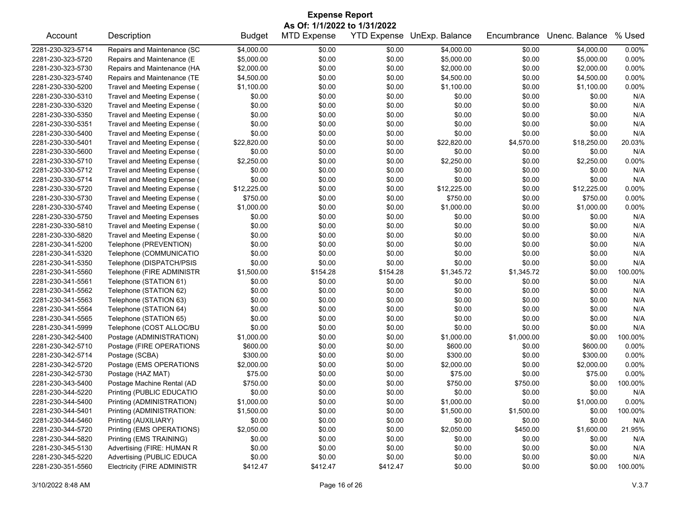| <b>Expense Report</b><br>As Of: 1/1/2022 to 1/31/2022 |                                    |               |                    |          |                            |             |                |         |
|-------------------------------------------------------|------------------------------------|---------------|--------------------|----------|----------------------------|-------------|----------------|---------|
| Account                                               | Description                        | <b>Budget</b> | <b>MTD Expense</b> |          | YTD Expense UnExp. Balance | Encumbrance | Unenc. Balance | % Used  |
| 2281-230-323-5714                                     | Repairs and Maintenance (SC        | \$4,000.00    | \$0.00             | \$0.00   | \$4,000.00                 | \$0.00      | \$4,000.00     | 0.00%   |
| 2281-230-323-5720                                     | Repairs and Maintenance (E         | \$5,000.00    | \$0.00             | \$0.00   | \$5,000.00                 | \$0.00      | \$5,000.00     | 0.00%   |
| 2281-230-323-5730                                     | Repairs and Maintenance (HA        | \$2,000.00    | \$0.00             | \$0.00   | \$2,000.00                 | \$0.00      | \$2,000.00     | 0.00%   |
| 2281-230-323-5740                                     | Repairs and Maintenance (TE        | \$4,500.00    | \$0.00             | \$0.00   | \$4,500.00                 | \$0.00      | \$4,500.00     | 0.00%   |
| 2281-230-330-5200                                     | Travel and Meeting Expense (       | \$1,100.00    | \$0.00             | \$0.00   | \$1,100.00                 | \$0.00      | \$1,100.00     | 0.00%   |
| 2281-230-330-5310                                     | Travel and Meeting Expense (       | \$0.00        | \$0.00             | \$0.00   | \$0.00                     | \$0.00      | \$0.00         | N/A     |
| 2281-230-330-5320                                     | Travel and Meeting Expense (       | \$0.00        | \$0.00             | \$0.00   | \$0.00                     | \$0.00      | \$0.00         | N/A     |
| 2281-230-330-5350                                     | Travel and Meeting Expense (       | \$0.00        | \$0.00             | \$0.00   | \$0.00                     | \$0.00      | \$0.00         | N/A     |
| 2281-230-330-5351                                     | Travel and Meeting Expense (       | \$0.00        | \$0.00             | \$0.00   | \$0.00                     | \$0.00      | \$0.00         | N/A     |
| 2281-230-330-5400                                     | Travel and Meeting Expense (       | \$0.00        | \$0.00             | \$0.00   | \$0.00                     | \$0.00      | \$0.00         | N/A     |
| 2281-230-330-5401                                     | Travel and Meeting Expense (       | \$22,820.00   | \$0.00             | \$0.00   | \$22,820.00                | \$4,570.00  | \$18,250.00    | 20.03%  |
| 2281-230-330-5600                                     | Travel and Meeting Expense (       | \$0.00        | \$0.00             | \$0.00   | \$0.00                     | \$0.00      | \$0.00         | N/A     |
| 2281-230-330-5710                                     | Travel and Meeting Expense (       | \$2,250.00    | \$0.00             | \$0.00   | \$2,250.00                 | \$0.00      | \$2,250.00     | 0.00%   |
| 2281-230-330-5712                                     | Travel and Meeting Expense (       | \$0.00        | \$0.00             | \$0.00   | \$0.00                     | \$0.00      | \$0.00         | N/A     |
| 2281-230-330-5714                                     | Travel and Meeting Expense (       | \$0.00        | \$0.00             | \$0.00   | \$0.00                     | \$0.00      | \$0.00         | N/A     |
| 2281-230-330-5720                                     | Travel and Meeting Expense (       | \$12,225.00   | \$0.00             | \$0.00   | \$12,225.00                | \$0.00      | \$12,225.00    | 0.00%   |
| 2281-230-330-5730                                     | Travel and Meeting Expense (       | \$750.00      | \$0.00             | \$0.00   | \$750.00                   | \$0.00      | \$750.00       | 0.00%   |
| 2281-230-330-5740                                     | Travel and Meeting Expense (       | \$1,000.00    | \$0.00             | \$0.00   | \$1,000.00                 | \$0.00      | \$1,000.00     | 0.00%   |
| 2281-230-330-5750                                     | <b>Travel and Meeting Expenses</b> | \$0.00        | \$0.00             | \$0.00   | \$0.00                     | \$0.00      | \$0.00         | N/A     |
| 2281-230-330-5810                                     | Travel and Meeting Expense (       | \$0.00        | \$0.00             | \$0.00   | \$0.00                     | \$0.00      | \$0.00         | N/A     |
| 2281-230-330-5820                                     | Travel and Meeting Expense (       | \$0.00        | \$0.00             | \$0.00   | \$0.00                     | \$0.00      | \$0.00         | N/A     |
| 2281-230-341-5200                                     | Telephone (PREVENTION)             | \$0.00        | \$0.00             | \$0.00   | \$0.00                     | \$0.00      | \$0.00         | N/A     |
|                                                       |                                    |               |                    |          |                            |             |                | N/A     |
| 2281-230-341-5320                                     | Telephone (COMMUNICATIO            | \$0.00        | \$0.00             | \$0.00   | \$0.00                     | \$0.00      | \$0.00         |         |
| 2281-230-341-5350                                     | Telephone (DISPATCH/PSIS           | \$0.00        | \$0.00             | \$0.00   | \$0.00                     | \$0.00      | \$0.00         | N/A     |
| 2281-230-341-5560                                     | Telephone (FIRE ADMINISTR          | \$1,500.00    | \$154.28           | \$154.28 | \$1,345.72                 | \$1,345.72  | \$0.00         | 100.00% |
| 2281-230-341-5561                                     | Telephone (STATION 61)             | \$0.00        | \$0.00             | \$0.00   | \$0.00                     | \$0.00      | \$0.00         | N/A     |
| 2281-230-341-5562                                     | Telephone (STATION 62)             | \$0.00        | \$0.00             | \$0.00   | \$0.00                     | \$0.00      | \$0.00         | N/A     |
| 2281-230-341-5563                                     | Telephone (STATION 63)             | \$0.00        | \$0.00             | \$0.00   | \$0.00                     | \$0.00      | \$0.00         | N/A     |
| 2281-230-341-5564                                     | Telephone (STATION 64)             | \$0.00        | \$0.00             | \$0.00   | \$0.00                     | \$0.00      | \$0.00         | N/A     |
| 2281-230-341-5565                                     | Telephone (STATION 65)             | \$0.00        | \$0.00             | \$0.00   | \$0.00                     | \$0.00      | \$0.00         | N/A     |
| 2281-230-341-5999                                     | Telephone (COST ALLOC/BU           | \$0.00        | \$0.00             | \$0.00   | \$0.00                     | \$0.00      | \$0.00         | N/A     |
| 2281-230-342-5400                                     | Postage (ADMINISTRATION)           | \$1,000.00    | \$0.00             | \$0.00   | \$1,000.00                 | \$1,000.00  | \$0.00         | 100.00% |
| 2281-230-342-5710                                     | Postage (FIRE OPERATIONS           | \$600.00      | \$0.00             | \$0.00   | \$600.00                   | \$0.00      | \$600.00       | 0.00%   |
| 2281-230-342-5714                                     | Postage (SCBA)                     | \$300.00      | \$0.00             | \$0.00   | \$300.00                   | \$0.00      | \$300.00       | 0.00%   |
| 2281-230-342-5720                                     | Postage (EMS OPERATIONS            | \$2,000.00    | \$0.00             | \$0.00   | \$2,000.00                 | \$0.00      | \$2,000.00     | 0.00%   |
| 2281-230-342-5730                                     | Postage (HAZ MAT)                  | \$75.00       | \$0.00             | \$0.00   | \$75.00                    | \$0.00      | \$75.00        | 0.00%   |
| 2281-230-343-5400                                     | Postage Machine Rental (AD         | \$750.00      | \$0.00             | \$0.00   | \$750.00                   | \$750.00    | \$0.00         | 100.00% |
| 2281-230-344-5220                                     | Printing (PUBLIC EDUCATIO          | \$0.00        | \$0.00             | \$0.00   | \$0.00                     | \$0.00      | \$0.00         | N/A     |
| 2281-230-344-5400                                     | Printing (ADMINISTRATION)          | \$1,000.00    | \$0.00             | \$0.00   | \$1,000.00                 | \$0.00      | \$1,000.00     | 0.00%   |
| 2281-230-344-5401                                     | Printing (ADMINISTRATION:          | \$1,500.00    | \$0.00             | \$0.00   | \$1,500.00                 | \$1,500.00  | \$0.00         | 100.00% |
| 2281-230-344-5460                                     | Printing (AUXILIARY)               | \$0.00        | \$0.00             | \$0.00   | \$0.00                     | \$0.00      | \$0.00         | N/A     |
| 2281-230-344-5720                                     | Printing (EMS OPERATIONS)          | \$2,050.00    | \$0.00             | \$0.00   | \$2,050.00                 | \$450.00    | \$1,600.00     | 21.95%  |
| 2281-230-344-5820                                     | Printing (EMS TRAINING)            | \$0.00        | \$0.00             | \$0.00   | \$0.00                     | \$0.00      | \$0.00         | N/A     |
| 2281-230-345-5130                                     | Advertising (FIRE: HUMAN R         | \$0.00        | \$0.00             | \$0.00   | \$0.00                     | \$0.00      | \$0.00         | N/A     |
| 2281-230-345-5220                                     | Advertising (PUBLIC EDUCA          | \$0.00        | \$0.00             | \$0.00   | \$0.00                     | \$0.00      | \$0.00         | N/A     |
| 2281-230-351-5560                                     | <b>Electricity (FIRE ADMINISTR</b> | \$412.47      | \$412.47           | \$412.47 | \$0.00                     | \$0.00      | \$0.00         | 100.00% |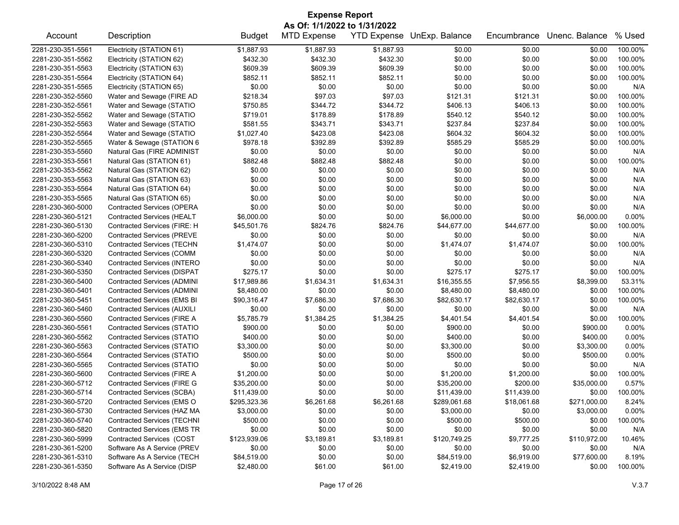| <b>Expense Report</b>        |                                    |               |                    |            |                            |             |                  |         |  |  |
|------------------------------|------------------------------------|---------------|--------------------|------------|----------------------------|-------------|------------------|---------|--|--|
| As Of: 1/1/2022 to 1/31/2022 |                                    |               |                    |            |                            |             |                  |         |  |  |
| Account                      | Description                        | <b>Budget</b> | <b>MTD Expense</b> |            | YTD Expense UnExp. Balance | Encumbrance | Unenc. Balance   | % Used  |  |  |
| 2281-230-351-5561            | Electricity (STATION 61)           | \$1,887.93    | \$1,887.93         | \$1,887.93 | \$0.00                     | \$0.00      | \$0.00           | 100.00% |  |  |
| 2281-230-351-5562            | Electricity (STATION 62)           | \$432.30      | \$432.30           | \$432.30   | \$0.00                     | \$0.00      | \$0.00           | 100.00% |  |  |
| 2281-230-351-5563            | Electricity (STATION 63)           | \$609.39      | \$609.39           | \$609.39   | \$0.00                     | \$0.00      | \$0.00           | 100.00% |  |  |
| 2281-230-351-5564            | Electricity (STATION 64)           | \$852.11      | \$852.11           | \$852.11   | \$0.00                     | \$0.00      | \$0.00           | 100.00% |  |  |
| 2281-230-351-5565            | Electricity (STATION 65)           | \$0.00        | \$0.00             | \$0.00     | \$0.00                     | \$0.00      | \$0.00           | N/A     |  |  |
| 2281-230-352-5560            | Water and Sewage (FIRE AD          | \$218.34      | \$97.03            | \$97.03    | \$121.31                   | \$121.31    | \$0.00           | 100.00% |  |  |
| 2281-230-352-5561            | Water and Sewage (STATIO           | \$750.85      | \$344.72           | \$344.72   | \$406.13                   | \$406.13    | \$0.00           | 100.00% |  |  |
| 2281-230-352-5562            | Water and Sewage (STATIO           | \$719.01      | \$178.89           | \$178.89   | \$540.12                   | \$540.12    | \$0.00           | 100.00% |  |  |
| 2281-230-352-5563            | Water and Sewage (STATIO           | \$581.55      | \$343.71           | \$343.71   | \$237.84                   | \$237.84    | \$0.00           | 100.00% |  |  |
| 2281-230-352-5564            | Water and Sewage (STATIO           | \$1,027.40    | \$423.08           | \$423.08   | \$604.32                   | \$604.32    | \$0.00           | 100.00% |  |  |
| 2281-230-352-5565            | Water & Sewage (STATION 6          | \$978.18      | \$392.89           | \$392.89   | \$585.29                   | \$585.29    | \$0.00           | 100.00% |  |  |
| 2281-230-353-5560            | Natural Gas (FIRE ADMINIST         | \$0.00        | \$0.00             | \$0.00     | \$0.00                     | \$0.00      | \$0.00           | N/A     |  |  |
| 2281-230-353-5561            | Natural Gas (STATION 61)           | \$882.48      | \$882.48           | \$882.48   | \$0.00                     | \$0.00      | \$0.00           | 100.00% |  |  |
| 2281-230-353-5562            | Natural Gas (STATION 62)           | \$0.00        | \$0.00             | \$0.00     | \$0.00                     | \$0.00      | \$0.00           | N/A     |  |  |
| 2281-230-353-5563            | Natural Gas (STATION 63)           | \$0.00        | \$0.00             | \$0.00     | \$0.00                     | \$0.00      | \$0.00           | N/A     |  |  |
| 2281-230-353-5564            | Natural Gas (STATION 64)           | \$0.00        | \$0.00             | \$0.00     | \$0.00                     | \$0.00      | \$0.00           | N/A     |  |  |
| 2281-230-353-5565            | Natural Gas (STATION 65)           | \$0.00        | \$0.00             | \$0.00     | \$0.00                     | \$0.00      | \$0.00           | N/A     |  |  |
| 2281-230-360-5000            | <b>Contracted Services (OPERA</b>  | \$0.00        | \$0.00             | \$0.00     | \$0.00                     | \$0.00      | \$0.00           | N/A     |  |  |
| 2281-230-360-5121            | <b>Contracted Services (HEALT</b>  | \$6,000.00    | \$0.00             | \$0.00     | \$6,000.00                 | \$0.00      | \$6,000.00       | 0.00%   |  |  |
|                              |                                    |               |                    |            |                            |             |                  |         |  |  |
| 2281-230-360-5130            | Contracted Services (FIRE: H       | \$45,501.76   | \$824.76           | \$824.76   | \$44,677.00                | \$44,677.00 | \$0.00<br>\$0.00 | 100.00% |  |  |
| 2281-230-360-5200            | <b>Contracted Services (PREVE</b>  | \$0.00        | \$0.00             | \$0.00     | \$0.00                     | \$0.00      |                  | N/A     |  |  |
| 2281-230-360-5310            | <b>Contracted Services (TECHN</b>  | \$1,474.07    | \$0.00             | \$0.00     | \$1,474.07                 | \$1,474.07  | \$0.00           | 100.00% |  |  |
| 2281-230-360-5320            | Contracted Services (COMM          | \$0.00        | \$0.00             | \$0.00     | \$0.00                     | \$0.00      | \$0.00           | N/A     |  |  |
| 2281-230-360-5340            | Contracted Services (INTERO        | \$0.00        | \$0.00             | \$0.00     | \$0.00                     | \$0.00      | \$0.00           | N/A     |  |  |
| 2281-230-360-5350            | <b>Contracted Services (DISPAT</b> | \$275.17      | \$0.00             | \$0.00     | \$275.17                   | \$275.17    | \$0.00           | 100.00% |  |  |
| 2281-230-360-5400            | <b>Contracted Services (ADMINI</b> | \$17,989.86   | \$1,634.31         | \$1,634.31 | \$16,355.55                | \$7,956.55  | \$8,399.00       | 53.31%  |  |  |
| 2281-230-360-5401            | <b>Contracted Services (ADMINI</b> | \$8,480.00    | \$0.00             | \$0.00     | \$8,480.00                 | \$8,480.00  | \$0.00           | 100.00% |  |  |
| 2281-230-360-5451            | Contracted Services (EMS BI        | \$90,316.47   | \$7,686.30         | \$7,686.30 | \$82,630.17                | \$82,630.17 | \$0.00           | 100.00% |  |  |
| 2281-230-360-5460            | Contracted Services (AUXILI        | \$0.00        | \$0.00             | \$0.00     | \$0.00                     | \$0.00      | \$0.00           | N/A     |  |  |
| 2281-230-360-5560            | Contracted Services (FIRE A        | \$5,785.79    | \$1,384.25         | \$1,384.25 | \$4,401.54                 | \$4,401.54  | \$0.00           | 100.00% |  |  |
| 2281-230-360-5561            | Contracted Services (STATIO        | \$900.00      | \$0.00             | \$0.00     | \$900.00                   | \$0.00      | \$900.00         | 0.00%   |  |  |
| 2281-230-360-5562            | Contracted Services (STATIO        | \$400.00      | \$0.00             | \$0.00     | \$400.00                   | \$0.00      | \$400.00         | 0.00%   |  |  |
| 2281-230-360-5563            | <b>Contracted Services (STATIO</b> | \$3,300.00    | \$0.00             | \$0.00     | \$3,300.00                 | \$0.00      | \$3,300.00       | 0.00%   |  |  |
| 2281-230-360-5564            | <b>Contracted Services (STATIO</b> | \$500.00      | \$0.00             | \$0.00     | \$500.00                   | \$0.00      | \$500.00         | 0.00%   |  |  |
| 2281-230-360-5565            | <b>Contracted Services (STATIO</b> | \$0.00        | \$0.00             | \$0.00     | \$0.00                     | \$0.00      | \$0.00           | N/A     |  |  |
| 2281-230-360-5600            | Contracted Services (FIRE A        | \$1,200.00    | \$0.00             | \$0.00     | \$1,200.00                 | \$1,200.00  | \$0.00           | 100.00% |  |  |
| 2281-230-360-5712            | <b>Contracted Services (FIRE G</b> | \$35,200.00   | \$0.00             | \$0.00     | \$35,200.00                | \$200.00    | \$35,000.00      | 0.57%   |  |  |
| 2281-230-360-5714            | <b>Contracted Services (SCBA)</b>  | \$11,439.00   | \$0.00             | \$0.00     | \$11,439.00                | \$11,439.00 | \$0.00           | 100.00% |  |  |
| 2281-230-360-5720            | Contracted Services (EMS O         | \$295,323.36  | \$6,261.68         | \$6,261.68 | \$289,061.68               | \$18,061.68 | \$271,000.00     | 8.24%   |  |  |
| 2281-230-360-5730            | Contracted Services (HAZ MA        | \$3,000.00    | \$0.00             | \$0.00     | \$3,000.00                 | \$0.00      | \$3,000.00       | 0.00%   |  |  |
| 2281-230-360-5740            | <b>Contracted Services (TECHNI</b> | \$500.00      | \$0.00             | \$0.00     | \$500.00                   | \$500.00    | \$0.00           | 100.00% |  |  |
| 2281-230-360-5820            | <b>Contracted Services (EMS TR</b> | \$0.00        | \$0.00             | \$0.00     | \$0.00                     | \$0.00      | \$0.00           | N/A     |  |  |
| 2281-230-360-5999            | Contracted Services (COST          | \$123,939.06  | \$3,189.81         | \$3,189.81 | \$120,749.25               | \$9,777.25  | \$110,972.00     | 10.46%  |  |  |
| 2281-230-361-5200            | Software As A Service (PREV        | \$0.00        | \$0.00             | \$0.00     | \$0.00                     | \$0.00      | \$0.00           | N/A     |  |  |
| 2281-230-361-5310            | Software As A Service (TECH        | \$84,519.00   | \$0.00             | \$0.00     | \$84,519.00                | \$6,919.00  | \$77,600.00      | 8.19%   |  |  |
| 2281-230-361-5350            | Software As A Service (DISP        | \$2,480.00    | \$61.00            | \$61.00    | \$2,419.00                 | \$2,419.00  | \$0.00           | 100.00% |  |  |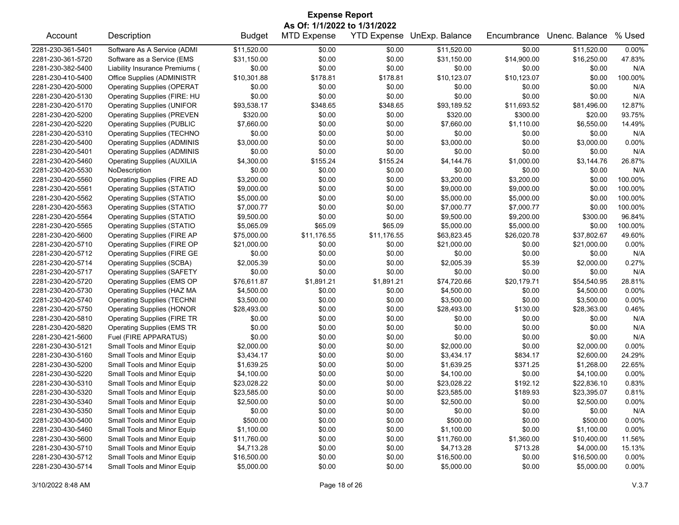| <b>Expense Report</b><br>As Of: 1/1/2022 to 1/31/2022 |                                    |               |                    |             |                            |             |                |         |  |
|-------------------------------------------------------|------------------------------------|---------------|--------------------|-------------|----------------------------|-------------|----------------|---------|--|
| Account                                               | Description                        | <b>Budget</b> | <b>MTD Expense</b> |             | YTD Expense UnExp. Balance | Encumbrance | Unenc. Balance | % Used  |  |
| 2281-230-361-5401                                     | Software As A Service (ADMI        | \$11,520.00   | \$0.00             | \$0.00      | \$11,520.00                | \$0.00      | \$11,520.00    | 0.00%   |  |
| 2281-230-361-5720                                     | Software as a Service (EMS         | \$31,150.00   | \$0.00             | \$0.00      | \$31,150.00                | \$14,900.00 | \$16,250.00    | 47.83%  |  |
| 2281-230-382-5400                                     | Liability Insurance Premiums (     | \$0.00        | \$0.00             | \$0.00      | \$0.00                     | \$0.00      | \$0.00         | N/A     |  |
| 2281-230-410-5400                                     | Office Supplies (ADMINISTR         | \$10,301.88   | \$178.81           | \$178.81    | \$10,123.07                | \$10,123.07 | \$0.00         | 100.00% |  |
| 2281-230-420-5000                                     | <b>Operating Supplies (OPERAT</b>  | \$0.00        | \$0.00             | \$0.00      | \$0.00                     | \$0.00      | \$0.00         | N/A     |  |
| 2281-230-420-5130                                     | Operating Supplies (FIRE: HU       | \$0.00        | \$0.00             | \$0.00      | \$0.00                     | \$0.00      | \$0.00         | N/A     |  |
| 2281-230-420-5170                                     | <b>Operating Supplies (UNIFOR</b>  | \$93,538.17   | \$348.65           | \$348.65    | \$93,189.52                | \$11,693.52 | \$81,496.00    | 12.87%  |  |
| 2281-230-420-5200                                     | <b>Operating Supplies (PREVEN</b>  | \$320.00      | \$0.00             | \$0.00      | \$320.00                   | \$300.00    | \$20.00        | 93.75%  |  |
| 2281-230-420-5220                                     | <b>Operating Supplies (PUBLIC</b>  | \$7,660.00    | \$0.00             | \$0.00      | \$7,660.00                 | \$1,110.00  | \$6,550.00     | 14.49%  |  |
| 2281-230-420-5310                                     | <b>Operating Supplies (TECHNO</b>  | \$0.00        | \$0.00             | \$0.00      | \$0.00                     | \$0.00      | \$0.00         | N/A     |  |
| 2281-230-420-5400                                     | <b>Operating Supplies (ADMINIS</b> | \$3,000.00    | \$0.00             | \$0.00      | \$3,000.00                 | \$0.00      | \$3,000.00     | 0.00%   |  |
| 2281-230-420-5401                                     | <b>Operating Supplies (ADMINIS</b> | \$0.00        | \$0.00             | \$0.00      | \$0.00                     | \$0.00      | \$0.00         | N/A     |  |
| 2281-230-420-5460                                     | <b>Operating Supplies (AUXILIA</b> | \$4,300.00    | \$155.24           | \$155.24    | \$4,144.76                 | \$1,000.00  | \$3,144.76     | 26.87%  |  |
| 2281-230-420-5530                                     | NoDescription                      | \$0.00        | \$0.00             | \$0.00      | \$0.00                     | \$0.00      | \$0.00         | N/A     |  |
| 2281-230-420-5560                                     | <b>Operating Supplies (FIRE AD</b> | \$3,200.00    | \$0.00             | \$0.00      | \$3,200.00                 | \$3,200.00  | \$0.00         | 100.00% |  |
| 2281-230-420-5561                                     | <b>Operating Supplies (STATIO</b>  | \$9,000.00    | \$0.00             | \$0.00      | \$9,000.00                 | \$9,000.00  | \$0.00         | 100.00% |  |
| 2281-230-420-5562                                     | <b>Operating Supplies (STATIO</b>  | \$5,000.00    | \$0.00             | \$0.00      | \$5,000.00                 | \$5,000.00  | \$0.00         | 100.00% |  |
| 2281-230-420-5563                                     | <b>Operating Supplies (STATIO</b>  | \$7,000.77    | \$0.00             | \$0.00      | \$7,000.77                 | \$7,000.77  | \$0.00         | 100.00% |  |
| 2281-230-420-5564                                     | <b>Operating Supplies (STATIO</b>  | \$9,500.00    | \$0.00             | \$0.00      | \$9,500.00                 | \$9,200.00  | \$300.00       | 96.84%  |  |
| 2281-230-420-5565                                     | <b>Operating Supplies (STATIO</b>  | \$5,065.09    | \$65.09            | \$65.09     | \$5,000.00                 | \$5,000.00  | \$0.00         | 100.00% |  |
| 2281-230-420-5600                                     | <b>Operating Supplies (FIRE AP</b> | \$75,000.00   | \$11,176.55        | \$11,176.55 | \$63,823.45                | \$26,020.78 | \$37,802.67    | 49.60%  |  |
| 2281-230-420-5710                                     | Operating Supplies (FIRE OP        | \$21,000.00   | \$0.00             | \$0.00      | \$21,000.00                | \$0.00      | \$21,000.00    | 0.00%   |  |
| 2281-230-420-5712                                     | <b>Operating Supplies (FIRE GE</b> | \$0.00        | \$0.00             | \$0.00      | \$0.00                     | \$0.00      | \$0.00         | N/A     |  |
| 2281-230-420-5714                                     | <b>Operating Supplies (SCBA)</b>   | \$2,005.39    | \$0.00             | \$0.00      | \$2,005.39                 | \$5.39      | \$2,000.00     | 0.27%   |  |
| 2281-230-420-5717                                     | <b>Operating Supplies (SAFETY</b>  | \$0.00        | \$0.00             | \$0.00      | \$0.00                     | \$0.00      | \$0.00         | N/A     |  |
| 2281-230-420-5720                                     | Operating Supplies (EMS OP         | \$76,611.87   | \$1,891.21         | \$1,891.21  | \$74,720.66                | \$20,179.71 | \$54,540.95    | 28.81%  |  |
| 2281-230-420-5730                                     | Operating Supplies (HAZ MA         | \$4,500.00    | \$0.00             | \$0.00      | \$4,500.00                 | \$0.00      | \$4,500.00     | 0.00%   |  |
| 2281-230-420-5740                                     | <b>Operating Supplies (TECHNI</b>  | \$3,500.00    | \$0.00             | \$0.00      | \$3,500.00                 | \$0.00      | \$3,500.00     | 0.00%   |  |
| 2281-230-420-5750                                     | <b>Operating Supplies (HONOR</b>   | \$28,493.00   | \$0.00             | \$0.00      | \$28,493.00                | \$130.00    | \$28,363.00    | 0.46%   |  |
| 2281-230-420-5810                                     | <b>Operating Supplies (FIRE TR</b> | \$0.00        | \$0.00             | \$0.00      | \$0.00                     | \$0.00      | \$0.00         | N/A     |  |
| 2281-230-420-5820                                     | <b>Operating Supplies (EMS TR</b>  | \$0.00        | \$0.00             | \$0.00      | \$0.00                     | \$0.00      | \$0.00         | N/A     |  |
| 2281-230-421-5600                                     | Fuel (FIRE APPARATUS)              | \$0.00        | \$0.00             | \$0.00      | \$0.00                     | \$0.00      | \$0.00         | N/A     |  |
| 2281-230-430-5121                                     | Small Tools and Minor Equip        | \$2,000.00    | \$0.00             | \$0.00      | \$2,000.00                 | \$0.00      | \$2,000.00     | 0.00%   |  |
| 2281-230-430-5160                                     | Small Tools and Minor Equip        | \$3,434.17    | \$0.00             | \$0.00      | \$3,434.17                 | \$834.17    | \$2,600.00     | 24.29%  |  |
| 2281-230-430-5200                                     | Small Tools and Minor Equip        | \$1,639.25    | \$0.00             | \$0.00      | \$1,639.25                 | \$371.25    | \$1,268.00     | 22.65%  |  |
| 2281-230-430-5220                                     | Small Tools and Minor Equip        | \$4,100.00    | \$0.00             | \$0.00      | \$4,100.00                 | \$0.00      | \$4,100.00     | 0.00%   |  |
| 2281-230-430-5310                                     | Small Tools and Minor Equip        | \$23,028.22   | \$0.00             | \$0.00      | \$23.028.22                | \$192.12    | \$22,836.10    | 0.83%   |  |
| 2281-230-430-5320                                     | Small Tools and Minor Equip        | \$23,585.00   | \$0.00             | \$0.00      | \$23,585.00                | \$189.93    | \$23,395.07    | 0.81%   |  |
| 2281-230-430-5340                                     | Small Tools and Minor Equip        | \$2,500.00    | \$0.00             | \$0.00      | \$2,500.00                 | \$0.00      | \$2,500.00     | 0.00%   |  |
| 2281-230-430-5350                                     | Small Tools and Minor Equip        | \$0.00        | \$0.00             | \$0.00      | \$0.00                     | \$0.00      | \$0.00         | N/A     |  |
| 2281-230-430-5400                                     | Small Tools and Minor Equip        | \$500.00      | \$0.00             | \$0.00      | \$500.00                   | \$0.00      | \$500.00       | 0.00%   |  |
| 2281-230-430-5460                                     | Small Tools and Minor Equip        | \$1,100.00    | \$0.00             | \$0.00      | \$1,100.00                 | \$0.00      | \$1,100.00     | 0.00%   |  |
| 2281-230-430-5600                                     | Small Tools and Minor Equip        | \$11,760.00   | \$0.00             | \$0.00      | \$11,760.00                | \$1,360.00  | \$10,400.00    | 11.56%  |  |
| 2281-230-430-5710                                     | Small Tools and Minor Equip        | \$4,713.28    | \$0.00             | \$0.00      | \$4,713.28                 | \$713.28    | \$4,000.00     | 15.13%  |  |
| 2281-230-430-5712                                     | Small Tools and Minor Equip        | \$16,500.00   | \$0.00             | \$0.00      | \$16,500.00                | \$0.00      | \$16,500.00    | 0.00%   |  |
| 2281-230-430-5714                                     | Small Tools and Minor Equip        | \$5,000.00    | \$0.00             | \$0.00      | \$5,000.00                 | \$0.00      | \$5,000.00     | 0.00%   |  |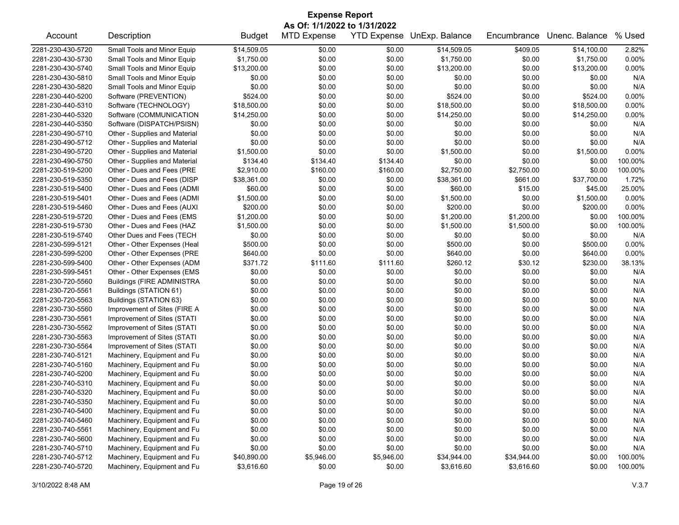| <b>Expense Report</b>        |                                   |               |                    |            |                            |             |                |         |  |
|------------------------------|-----------------------------------|---------------|--------------------|------------|----------------------------|-------------|----------------|---------|--|
| As Of: 1/1/2022 to 1/31/2022 |                                   |               |                    |            |                            |             |                |         |  |
| Account                      | Description                       | <b>Budget</b> | <b>MTD Expense</b> |            | YTD Expense UnExp. Balance | Encumbrance | Unenc. Balance | % Used  |  |
| 2281-230-430-5720            | Small Tools and Minor Equip       | \$14,509.05   | \$0.00             | \$0.00     | \$14,509.05                | \$409.05    | \$14,100.00    | 2.82%   |  |
| 2281-230-430-5730            | Small Tools and Minor Equip       | \$1,750.00    | \$0.00             | \$0.00     | \$1,750.00                 | \$0.00      | \$1,750.00     | 0.00%   |  |
| 2281-230-430-5740            | Small Tools and Minor Equip       | \$13,200.00   | \$0.00             | \$0.00     | \$13,200.00                | \$0.00      | \$13,200.00    | 0.00%   |  |
| 2281-230-430-5810            | Small Tools and Minor Equip       | \$0.00        | \$0.00             | \$0.00     | \$0.00                     | \$0.00      | \$0.00         | N/A     |  |
| 2281-230-430-5820            | Small Tools and Minor Equip       | \$0.00        | \$0.00             | \$0.00     | \$0.00                     | \$0.00      | \$0.00         | N/A     |  |
| 2281-230-440-5200            | Software (PREVENTION)             | \$524.00      | \$0.00             | \$0.00     | \$524.00                   | \$0.00      | \$524.00       | 0.00%   |  |
| 2281-230-440-5310            | Software (TECHNOLOGY)             | \$18,500.00   | \$0.00             | \$0.00     | \$18,500.00                | \$0.00      | \$18,500.00    | 0.00%   |  |
| 2281-230-440-5320            | Software (COMMUNICATION           | \$14,250.00   | \$0.00             | \$0.00     | \$14,250.00                | \$0.00      | \$14,250.00    | 0.00%   |  |
| 2281-230-440-5350            | Software (DISPATCH/PSISN)         | \$0.00        | \$0.00             | \$0.00     | \$0.00                     | \$0.00      | \$0.00         | N/A     |  |
| 2281-230-490-5710            | Other - Supplies and Material     | \$0.00        | \$0.00             | \$0.00     | \$0.00                     | \$0.00      | \$0.00         | N/A     |  |
| 2281-230-490-5712            | Other - Supplies and Material     | \$0.00        | \$0.00             | \$0.00     | \$0.00                     | \$0.00      | \$0.00         | N/A     |  |
| 2281-230-490-5720            | Other - Supplies and Material     | \$1,500.00    | \$0.00             | \$0.00     | \$1,500.00                 | \$0.00      | \$1,500.00     | 0.00%   |  |
| 2281-230-490-5750            | Other - Supplies and Material     | \$134.40      | \$134.40           | \$134.40   | \$0.00                     | \$0.00      | \$0.00         | 100.00% |  |
| 2281-230-519-5200            | Other - Dues and Fees (PRE        | \$2,910.00    | \$160.00           | \$160.00   | \$2,750.00                 | \$2,750.00  | \$0.00         | 100.00% |  |
| 2281-230-519-5350            | Other - Dues and Fees (DISP       | \$38,361.00   | \$0.00             | \$0.00     | \$38,361.00                | \$661.00    | \$37,700.00    | 1.72%   |  |
| 2281-230-519-5400            | Other - Dues and Fees (ADMI       | \$60.00       | \$0.00             | \$0.00     | \$60.00                    | \$15.00     | \$45.00        | 25.00%  |  |
| 2281-230-519-5401            | Other - Dues and Fees (ADMI       | \$1,500.00    | \$0.00             | \$0.00     | \$1,500.00                 | \$0.00      | \$1,500.00     | 0.00%   |  |
| 2281-230-519-5460            | Other - Dues and Fees (AUXI       | \$200.00      | \$0.00             | \$0.00     | \$200.00                   | \$0.00      | \$200.00       | 0.00%   |  |
| 2281-230-519-5720            | Other - Dues and Fees (EMS        | \$1,200.00    | \$0.00             | \$0.00     | \$1,200.00                 | \$1,200.00  | \$0.00         | 100.00% |  |
| 2281-230-519-5730            | Other - Dues and Fees (HAZ        | \$1,500.00    | \$0.00             | \$0.00     | \$1,500.00                 | \$1,500.00  | \$0.00         | 100.00% |  |
| 2281-230-519-5740            | Other Dues and Fees (TECH         | \$0.00        | \$0.00             | \$0.00     | \$0.00                     | \$0.00      | \$0.00         | N/A     |  |
| 2281-230-599-5121            | Other - Other Expenses (Heal      | \$500.00      | \$0.00             | \$0.00     | \$500.00                   | \$0.00      | \$500.00       | 0.00%   |  |
| 2281-230-599-5200            | Other - Other Expenses (PRE       | \$640.00      | \$0.00             | \$0.00     | \$640.00                   | \$0.00      | \$640.00       | 0.00%   |  |
| 2281-230-599-5400            | Other - Other Expenses (ADM       | \$371.72      | \$111.60           | \$111.60   | \$260.12                   | \$30.12     | \$230.00       | 38.13%  |  |
| 2281-230-599-5451            | Other - Other Expenses (EMS       | \$0.00        | \$0.00             | \$0.00     | \$0.00                     | \$0.00      | \$0.00         | N/A     |  |
| 2281-230-720-5560            | <b>Buildings (FIRE ADMINISTRA</b> | \$0.00        | \$0.00             | \$0.00     | \$0.00                     | \$0.00      | \$0.00         | N/A     |  |
| 2281-230-720-5561            | Buildings (STATION 61)            | \$0.00        | \$0.00             | \$0.00     | \$0.00                     | \$0.00      | \$0.00         | N/A     |  |
| 2281-230-720-5563            | Buildings (STATION 63)            | \$0.00        | \$0.00             | \$0.00     | \$0.00                     | \$0.00      | \$0.00         | N/A     |  |
| 2281-230-730-5560            | Improvement of Sites (FIRE A      | \$0.00        | \$0.00             | \$0.00     | \$0.00                     | \$0.00      | \$0.00         | N/A     |  |
| 2281-230-730-5561            | Improvement of Sites (STATI       | \$0.00        | \$0.00             | \$0.00     | \$0.00                     | \$0.00      | \$0.00         | N/A     |  |
| 2281-230-730-5562            | Improvement of Sites (STATI       | \$0.00        | \$0.00             | \$0.00     | \$0.00                     | \$0.00      | \$0.00         | N/A     |  |
| 2281-230-730-5563            | Improvement of Sites (STATI       | \$0.00        | \$0.00             | \$0.00     | \$0.00                     | \$0.00      | \$0.00         | N/A     |  |
| 2281-230-730-5564            | Improvement of Sites (STATI       | \$0.00        | \$0.00             | \$0.00     | \$0.00                     | \$0.00      | \$0.00         | N/A     |  |
| 2281-230-740-5121            | Machinery, Equipment and Fu       | \$0.00        | \$0.00             | \$0.00     | \$0.00                     | \$0.00      | \$0.00         | N/A     |  |
| 2281-230-740-5160            | Machinery, Equipment and Fu       | \$0.00        | \$0.00             | \$0.00     | \$0.00                     | \$0.00      | \$0.00         | N/A     |  |
| 2281-230-740-5200            | Machinery, Equipment and Fu       | \$0.00        | \$0.00             | \$0.00     | \$0.00                     | \$0.00      | \$0.00         | N/A     |  |
| 2281-230-740-5310            | Machinery, Equipment and Fu       | \$0.00        | \$0.00             | \$0.00     | \$0.00                     | \$0.00      | \$0.00         | N/A     |  |
| 2281-230-740-5320            | Machinery, Equipment and Fu       | \$0.00        | \$0.00             | \$0.00     | \$0.00                     | \$0.00      | \$0.00         | N/A     |  |
| 2281-230-740-5350            | Machinery, Equipment and Fu       | \$0.00        | \$0.00             | \$0.00     | \$0.00                     | \$0.00      | \$0.00         | N/A     |  |
| 2281-230-740-5400            | Machinery, Equipment and Fu       | \$0.00        | \$0.00             | \$0.00     | \$0.00                     | \$0.00      | \$0.00         | N/A     |  |
| 2281-230-740-5460            | Machinery, Equipment and Fu       | \$0.00        | \$0.00             | \$0.00     | \$0.00                     | \$0.00      | \$0.00         | N/A     |  |
| 2281-230-740-5561            | Machinery, Equipment and Fu       | \$0.00        | \$0.00             | \$0.00     | \$0.00                     | \$0.00      | \$0.00         | N/A     |  |
| 2281-230-740-5600            | Machinery, Equipment and Fu       | \$0.00        | \$0.00             | \$0.00     | \$0.00                     | \$0.00      | \$0.00         | N/A     |  |
| 2281-230-740-5710            | Machinery, Equipment and Fu       | \$0.00        | \$0.00             | \$0.00     | \$0.00                     | \$0.00      | \$0.00         | N/A     |  |
| 2281-230-740-5712            | Machinery, Equipment and Fu       | \$40,890.00   | \$5,946.00         | \$5,946.00 | \$34,944.00                | \$34,944.00 | \$0.00         | 100.00% |  |
| 2281-230-740-5720            | Machinery, Equipment and Fu       | \$3,616.60    | \$0.00             | \$0.00     | \$3,616.60                 | \$3,616.60  | \$0.00         | 100.00% |  |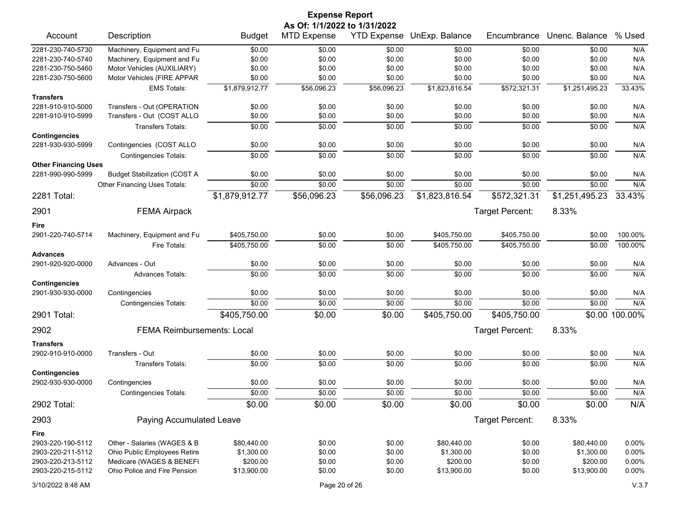|                                                  | <b>Expense Report</b>                                      |                |                                                    |                    |                  |                 |                |                |  |  |
|--------------------------------------------------|------------------------------------------------------------|----------------|----------------------------------------------------|--------------------|------------------|-----------------|----------------|----------------|--|--|
| Account                                          | Description                                                | <b>Budget</b>  | As Of: 1/1/2022 to 1/31/2022<br><b>MTD Expense</b> | <b>YTD Expense</b> | UnExp. Balance   | Encumbrance     | Unenc. Balance | % Used         |  |  |
| 2281-230-740-5730                                |                                                            | \$0.00         |                                                    |                    |                  | \$0.00          | \$0.00         | N/A            |  |  |
| 2281-230-740-5740                                | Machinery, Equipment and Fu<br>Machinery, Equipment and Fu | \$0.00         | \$0.00<br>\$0.00                                   | \$0.00<br>\$0.00   | \$0.00<br>\$0.00 | \$0.00          | \$0.00         | N/A            |  |  |
| 2281-230-750-5460                                | Motor Vehicles (AUXILIARY)                                 | \$0.00         | \$0.00                                             | \$0.00             | \$0.00           | \$0.00          | \$0.00         | N/A            |  |  |
| 2281-230-750-5600                                | Motor Vehicles (FIRE APPAR                                 | \$0.00         | \$0.00                                             | \$0.00             | \$0.00           | \$0.00          | \$0.00         | N/A            |  |  |
|                                                  | <b>EMS Totals:</b>                                         | \$1,879,912.77 | \$56,096.23                                        | \$56,096.23        | \$1,823,816.54   | \$572,321.31    | \$1,251,495.23 | 33.43%         |  |  |
| <b>Transfers</b>                                 |                                                            |                |                                                    |                    |                  |                 |                |                |  |  |
| 2281-910-910-5000                                | Transfers - Out (OPERATION                                 | \$0.00         | \$0.00                                             | \$0.00             | \$0.00           | \$0.00          | \$0.00         | N/A            |  |  |
| 2281-910-910-5999                                | Transfers - Out (COST ALLO                                 | \$0.00         | \$0.00                                             | \$0.00             | \$0.00           | \$0.00          | \$0.00         | N/A            |  |  |
|                                                  | <b>Transfers Totals:</b>                                   | \$0.00         | \$0.00                                             | \$0.00             | \$0.00           | \$0.00          | \$0.00         | N/A            |  |  |
| <b>Contingencies</b>                             |                                                            |                |                                                    |                    |                  |                 |                |                |  |  |
| 2281-930-930-5999                                | Contingencies (COST ALLO                                   | \$0.00         | \$0.00                                             | \$0.00             | \$0.00           | \$0.00          | \$0.00         | N/A            |  |  |
|                                                  | <b>Contingencies Totals:</b>                               | \$0.00         | \$0.00                                             | \$0.00             | \$0.00           | \$0.00          | \$0.00         | N/A            |  |  |
| <b>Other Financing Uses</b><br>2281-990-990-5999 |                                                            | \$0.00         | \$0.00                                             | \$0.00             | \$0.00           | \$0.00          | \$0.00         | N/A            |  |  |
|                                                  | <b>Budget Stabilization (COST A</b>                        | \$0.00         | \$0.00                                             | \$0.00             | \$0.00           | \$0.00          | \$0.00         |                |  |  |
|                                                  | Other Financing Uses Totals:                               |                |                                                    |                    |                  |                 |                | N/A            |  |  |
| 2281 Total:                                      |                                                            | \$1,879,912.77 | \$56,096.23                                        | \$56,096.23        | \$1,823,816.54   | \$572,321.31    | \$1,251,495.23 | 33.43%         |  |  |
| 2901                                             | <b>FEMA Airpack</b>                                        |                |                                                    |                    |                  | Target Percent: | 8.33%          |                |  |  |
| Fire                                             |                                                            |                |                                                    |                    |                  |                 |                |                |  |  |
| 2901-220-740-5714                                | Machinery, Equipment and Fu                                | \$405,750.00   | \$0.00                                             | \$0.00             | \$405,750.00     | \$405,750.00    | \$0.00         | 100.00%        |  |  |
|                                                  | Fire Totals:                                               | \$405,750.00   | \$0.00                                             | \$0.00             | \$405,750.00     | \$405,750.00    | \$0.00         | 100.00%        |  |  |
| <b>Advances</b>                                  |                                                            |                |                                                    |                    |                  |                 |                |                |  |  |
| 2901-920-920-0000                                | Advances - Out                                             | \$0.00         | \$0.00                                             | \$0.00             | \$0.00           | \$0.00          | \$0.00         | N/A            |  |  |
|                                                  | <b>Advances Totals:</b>                                    | \$0.00         | \$0.00                                             | \$0.00             | \$0.00           | \$0.00          | \$0.00         | N/A            |  |  |
| <b>Contingencies</b><br>2901-930-930-0000        | Contingencies                                              | \$0.00         | \$0.00                                             | \$0.00             | \$0.00           | \$0.00          | \$0.00         | N/A            |  |  |
|                                                  | <b>Contingencies Totals:</b>                               | \$0.00         | \$0.00                                             | \$0.00             | \$0.00           | \$0.00          | \$0.00         | N/A            |  |  |
| 2901 Total:                                      |                                                            | \$405,750.00   | \$0.00                                             | \$0.00             | \$405,750.00     | \$405,750.00    |                | \$0.00 100.00% |  |  |
|                                                  |                                                            |                |                                                    |                    |                  |                 |                |                |  |  |
| 2902                                             | <b>FEMA Reimbursements: Local</b>                          |                |                                                    |                    |                  | Target Percent: | 8.33%          |                |  |  |
| <b>Transfers</b>                                 |                                                            |                |                                                    |                    |                  |                 |                |                |  |  |
| 2902-910-910-0000                                | Transfers - Out                                            | \$0.00         | \$0.00                                             | \$0.00             | \$0.00           | \$0.00          | \$0.00         | N/A            |  |  |
| <b>Contingencies</b>                             | <b>Transfers Totals:</b>                                   | \$0.00         | \$0.00                                             | \$0.00             | \$0.00           | \$0.00          | \$0.00         | N/A            |  |  |
| 2902-930-930-0000                                | Contingencies                                              | \$0.00         | \$0.00                                             | \$0.00             | \$0.00           | \$0.00          | \$0.00         | N/A            |  |  |
|                                                  | <b>Contingencies Totals:</b>                               | \$0.00         | \$0.00                                             | \$0.00             | \$0.00           | \$0.00          | \$0.00         | N/A            |  |  |
| 2902 Total:                                      |                                                            | \$0.00         | \$0.00                                             | \$0.00             | \$0.00           | \$0.00          | \$0.00         | N/A            |  |  |
|                                                  |                                                            |                |                                                    |                    |                  |                 |                |                |  |  |
| 2903                                             | Paying Accumulated Leave                                   |                |                                                    |                    |                  | Target Percent: | 8.33%          |                |  |  |
| Fire                                             |                                                            |                |                                                    |                    |                  |                 |                |                |  |  |
| 2903-220-190-5112                                | Other - Salaries (WAGES & B                                | \$80,440.00    | \$0.00                                             | \$0.00             | \$80,440.00      | \$0.00          | \$80,440.00    | 0.00%          |  |  |
| 2903-220-211-5112                                | Ohio Public Employees Retire                               | \$1,300.00     | \$0.00                                             | \$0.00             | \$1,300.00       | \$0.00          | \$1,300.00     | 0.00%          |  |  |
| 2903-220-213-5112<br>2903-220-215-5112           | Medicare (WAGES & BENEFI<br>Ohio Police and Fire Pension   | \$200.00       | \$0.00<br>\$0.00                                   | \$0.00             | \$200.00         | \$0.00          | \$200.00       | 0.00%          |  |  |
|                                                  |                                                            | \$13,900.00    |                                                    | \$0.00             | \$13,900.00      | \$0.00          | \$13,900.00    | 0.00%          |  |  |
| 3/10/2022 8:48 AM                                |                                                            |                | Page 20 of 26                                      |                    |                  |                 |                | V.3.7          |  |  |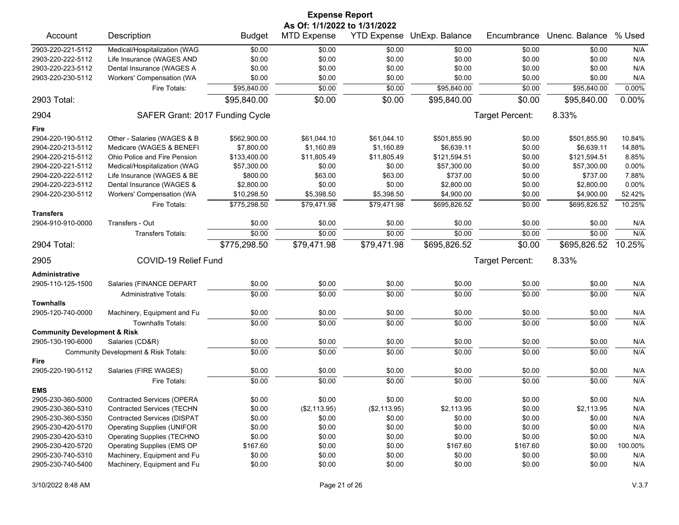|                                                                      | <b>Expense Report</b>                |               |                    |              |              |                 |                |          |  |  |
|----------------------------------------------------------------------|--------------------------------------|---------------|--------------------|--------------|--------------|-----------------|----------------|----------|--|--|
| As Of: 1/1/2022 to 1/31/2022<br>% Used<br>YTD Expense UnExp. Balance |                                      |               |                    |              |              |                 |                |          |  |  |
| Account                                                              | Description                          | <b>Budget</b> | <b>MTD Expense</b> |              |              | Encumbrance     | Unenc. Balance |          |  |  |
| 2903-220-221-5112                                                    | Medical/Hospitalization (WAG         | \$0.00        | \$0.00             | \$0.00       | \$0.00       | \$0.00          | \$0.00         | N/A      |  |  |
| 2903-220-222-5112                                                    | Life Insurance (WAGES AND            | \$0.00        | \$0.00             | \$0.00       | \$0.00       | \$0.00          | \$0.00         | N/A      |  |  |
| 2903-220-223-5112                                                    | Dental Insurance (WAGES A            | \$0.00        | \$0.00             | \$0.00       | \$0.00       | \$0.00          | \$0.00         | N/A      |  |  |
| 2903-220-230-5112                                                    | Workers' Compensation (WA            | \$0.00        | \$0.00             | \$0.00       | \$0.00       | \$0.00          | \$0.00         | N/A      |  |  |
|                                                                      | Fire Totals:                         | \$95,840.00   | \$0.00             | \$0.00       | \$95,840.00  | \$0.00          | \$95,840.00    | 0.00%    |  |  |
| 2903 Total:                                                          |                                      | \$95,840.00   | \$0.00             | \$0.00       | \$95,840.00  | \$0.00          | \$95,840.00    | $0.00\%$ |  |  |
| 2904                                                                 | SAFER Grant: 2017 Funding Cycle      |               |                    |              |              | Target Percent: | 8.33%          |          |  |  |
| Fire                                                                 |                                      |               |                    |              |              |                 |                |          |  |  |
| 2904-220-190-5112                                                    | Other - Salaries (WAGES & B          | \$562,900.00  | \$61,044.10        | \$61,044.10  | \$501,855.90 | \$0.00          | \$501,855.90   | 10.84%   |  |  |
| 2904-220-213-5112                                                    | Medicare (WAGES & BENEFI             | \$7,800.00    | \$1,160.89         | \$1,160.89   | \$6,639.11   | \$0.00          | \$6,639.11     | 14.88%   |  |  |
| 2904-220-215-5112                                                    | Ohio Police and Fire Pension         | \$133,400.00  | \$11,805.49        | \$11,805.49  | \$121,594.51 | \$0.00          | \$121,594.51   | 8.85%    |  |  |
| 2904-220-221-5112                                                    | Medical/Hospitalization (WAG         | \$57,300.00   | \$0.00             | \$0.00       | \$57,300.00  | \$0.00          | \$57,300.00    | 0.00%    |  |  |
| 2904-220-222-5112                                                    | Life Insurance (WAGES & BE           | \$800.00      | \$63.00            | \$63.00      | \$737.00     | \$0.00          | \$737.00       | 7.88%    |  |  |
| 2904-220-223-5112                                                    | Dental Insurance (WAGES &            | \$2,800.00    | \$0.00             | \$0.00       | \$2,800.00   | \$0.00          | \$2,800.00     | 0.00%    |  |  |
| 2904-220-230-5112                                                    | Workers' Compensation (WA            | \$10,298.50   | \$5,398.50         | \$5,398.50   | \$4,900.00   | \$0.00          | \$4,900.00     | 52.42%   |  |  |
|                                                                      | Fire Totals:                         | \$775,298.50  | \$79,471.98        | \$79,471.98  | \$695,826.52 | \$0.00          | \$695,826.52   | 10.25%   |  |  |
| <b>Transfers</b>                                                     |                                      |               |                    |              |              |                 |                |          |  |  |
| 2904-910-910-0000                                                    | Transfers - Out                      | \$0.00        | \$0.00             | \$0.00       | \$0.00       | \$0.00          | \$0.00         | N/A      |  |  |
|                                                                      | Transfers Totals:                    | \$0.00        | \$0.00             | \$0.00       | \$0.00       | \$0.00          | \$0.00         | N/A      |  |  |
| 2904 Total:                                                          |                                      | \$775,298.50  | \$79,471.98        | \$79,471.98  | \$695,826.52 | \$0.00          | \$695,826.52   | 10.25%   |  |  |
| 2905                                                                 | COVID-19 Relief Fund                 |               |                    |              |              | Target Percent: | 8.33%          |          |  |  |
| <b>Administrative</b>                                                |                                      |               |                    |              |              |                 |                |          |  |  |
| 2905-110-125-1500                                                    | Salaries (FINANCE DEPART             | \$0.00        | \$0.00             | \$0.00       | \$0.00       | \$0.00          | \$0.00         | N/A      |  |  |
|                                                                      | <b>Administrative Totals:</b>        | \$0.00        | \$0.00             | \$0.00       | \$0.00       | \$0.00          | \$0.00         | N/A      |  |  |
| <b>Townhalls</b>                                                     |                                      |               |                    |              |              |                 |                |          |  |  |
| 2905-120-740-0000                                                    | Machinery, Equipment and Fu          | \$0.00        | \$0.00             | \$0.00       | \$0.00       | \$0.00          | \$0.00         | N/A      |  |  |
|                                                                      | <b>Townhalls Totals:</b>             | \$0.00        | \$0.00             | \$0.00       | \$0.00       | \$0.00          | \$0.00         | N/A      |  |  |
| <b>Community Development &amp; Risk</b>                              |                                      |               |                    |              |              |                 |                |          |  |  |
| 2905-130-190-6000                                                    | Salaries (CD&R)                      | \$0.00        | \$0.00             | \$0.00       | \$0.00       | \$0.00          | \$0.00         | N/A      |  |  |
|                                                                      | Community Development & Risk Totals: | \$0.00        | \$0.00             | \$0.00       | \$0.00       | \$0.00          | \$0.00         | N/A      |  |  |
| Fire                                                                 |                                      |               |                    |              |              |                 |                |          |  |  |
| 2905-220-190-5112                                                    | Salaries (FIRE WAGES)                | \$0.00        | \$0.00             | \$0.00       | \$0.00       | \$0.00          | \$0.00         | N/A      |  |  |
|                                                                      | Fire Totals:                         | \$0.00        | \$0.00             | \$0.00       | \$0.00       | \$0.00          | \$0.00         | N/A      |  |  |
| <b>EMS</b>                                                           |                                      |               |                    |              |              |                 |                |          |  |  |
| 2905-230-360-5000                                                    | <b>Contracted Services (OPERA</b>    | \$0.00        | \$0.00             | \$0.00       | \$0.00       | \$0.00          | \$0.00         | N/A      |  |  |
| 2905-230-360-5310                                                    | <b>Contracted Services (TECHN</b>    | \$0.00        | (\$2,113.95)       | (\$2,113.95) | \$2,113.95   | \$0.00          | \$2,113.95     | N/A      |  |  |
| 2905-230-360-5350                                                    | <b>Contracted Services (DISPAT</b>   | \$0.00        | \$0.00             | \$0.00       | \$0.00       | \$0.00          | \$0.00         | N/A      |  |  |
| 2905-230-420-5170                                                    | <b>Operating Supplies (UNIFOR</b>    | \$0.00        | \$0.00             | \$0.00       | \$0.00       | \$0.00          | \$0.00         | N/A      |  |  |
| 2905-230-420-5310                                                    | <b>Operating Supplies (TECHNO</b>    | \$0.00        | \$0.00             | \$0.00       | \$0.00       | \$0.00          | \$0.00         | N/A      |  |  |
| 2905-230-420-5720                                                    | Operating Supplies (EMS OP           | \$167.60      | \$0.00             | \$0.00       | \$167.60     | \$167.60        | \$0.00         | 100.00%  |  |  |
| 2905-230-740-5310                                                    | Machinery, Equipment and Fu          | \$0.00        | \$0.00             | \$0.00       | \$0.00       | \$0.00          | \$0.00         | N/A      |  |  |
| 2905-230-740-5400                                                    | Machinery, Equipment and Fu          | \$0.00        | \$0.00             | \$0.00       | \$0.00       | \$0.00          | \$0.00         | N/A      |  |  |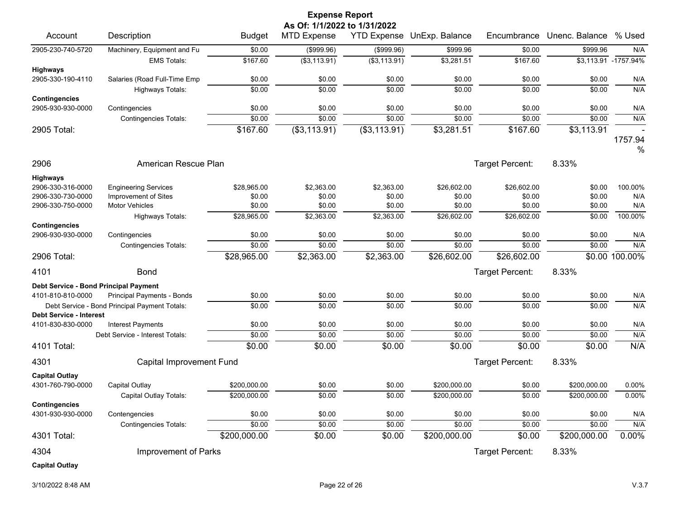|                                                     | <b>Expense Report</b><br>As Of: 1/1/2022 to 1/31/2022 |               |                    |                    |                 |                 |                |                       |  |  |  |
|-----------------------------------------------------|-------------------------------------------------------|---------------|--------------------|--------------------|-----------------|-----------------|----------------|-----------------------|--|--|--|
| Account                                             | Description                                           | <b>Budget</b> | <b>MTD Expense</b> | <b>YTD Expense</b> | UnExp. Balance  | Encumbrance     | Unenc. Balance | % Used                |  |  |  |
| 2905-230-740-5720                                   | Machinery, Equipment and Fu                           | \$0.00        | (\$999.96)         | (\$999.96)         | \$999.96        | \$0.00          | \$999.96       | N/A                   |  |  |  |
|                                                     | <b>EMS Totals:</b>                                    | \$167.60      | (\$3,113.91)       | (\$3,113.91)       | \$3,281.51      | \$167.60        |                | \$3,113.91 - 1757.94% |  |  |  |
| <b>Highways</b><br>2905-330-190-4110                | Salaries (Road Full-Time Emp                          | \$0.00        | \$0.00             | \$0.00             | \$0.00          | \$0.00          | \$0.00         | N/A                   |  |  |  |
|                                                     | Highways Totals:                                      | \$0.00        | \$0.00             | \$0.00             | \$0.00          | \$0.00          | \$0.00         | N/A                   |  |  |  |
| <b>Contingencies</b>                                |                                                       |               |                    |                    |                 |                 |                |                       |  |  |  |
| 2905-930-930-0000                                   | Contingencies                                         | \$0.00        | \$0.00             | \$0.00             | \$0.00          | \$0.00          | \$0.00         | N/A                   |  |  |  |
|                                                     | <b>Contingencies Totals:</b>                          | \$0.00        | \$0.00             | \$0.00             | \$0.00          | \$0.00          | \$0.00         | N/A                   |  |  |  |
| 2905 Total:                                         |                                                       | \$167.60      | (\$3,113.91)       | (\$3,113.91)       | \$3,281.51      | \$167.60        | \$3,113.91     |                       |  |  |  |
|                                                     |                                                       |               |                    |                    |                 |                 |                | 1757.94<br>%          |  |  |  |
| 2906                                                | American Rescue Plan                                  |               |                    |                    |                 | Target Percent: | 8.33%          |                       |  |  |  |
| <b>Highways</b>                                     |                                                       |               |                    |                    |                 |                 |                |                       |  |  |  |
| 2906-330-316-0000                                   | <b>Engineering Services</b>                           | \$28,965.00   | \$2,363.00         | \$2,363.00         | \$26,602.00     | \$26,602.00     | \$0.00         | 100.00%               |  |  |  |
| 2906-330-730-0000                                   | Improvement of Sites                                  | \$0.00        | \$0.00             | \$0.00             | \$0.00          | \$0.00          | \$0.00         | N/A                   |  |  |  |
| 2906-330-750-0000                                   | <b>Motor Vehicles</b>                                 | \$0.00        | \$0.00             | \$0.00             | \$0.00          | \$0.00          | \$0.00         | N/A                   |  |  |  |
| <b>Contingencies</b>                                | Highways Totals:                                      | \$28,965.00   | \$2,363.00         | \$2,363.00         | \$26,602.00     | \$26,602.00     | \$0.00         | 100.00%               |  |  |  |
| 2906-930-930-0000                                   | Contingencies                                         | \$0.00        | \$0.00             | \$0.00             | \$0.00          | \$0.00          | \$0.00         | N/A                   |  |  |  |
|                                                     | <b>Contingencies Totals:</b>                          | \$0.00        | \$0.00             | \$0.00             | \$0.00          | \$0.00          | \$0.00         | N/A                   |  |  |  |
| 2906 Total:                                         |                                                       | \$28,965.00   | \$2,363.00         | \$2,363.00         | \$26,602.00     | \$26,602.00     |                | \$0.00 100.00%        |  |  |  |
| 4101                                                | <b>Bond</b>                                           |               |                    |                    |                 | Target Percent: | 8.33%          |                       |  |  |  |
| Debt Service - Bond Principal Payment               |                                                       |               |                    |                    |                 |                 |                |                       |  |  |  |
| 4101-810-810-0000                                   | Principal Payments - Bonds                            | \$0.00        | \$0.00             | \$0.00             | \$0.00          | \$0.00          | \$0.00         | N/A                   |  |  |  |
|                                                     | Debt Service - Bond Principal Payment Totals:         | \$0.00        | \$0.00             | \$0.00             | \$0.00          | \$0.00          | \$0.00         | N/A                   |  |  |  |
| <b>Debt Service - Interest</b><br>4101-830-830-0000 | Interest Payments                                     | \$0.00        | \$0.00             | \$0.00             | \$0.00          | \$0.00          | \$0.00         | N/A                   |  |  |  |
|                                                     | Debt Service - Interest Totals:                       | \$0.00        | \$0.00             | \$0.00             | \$0.00          | \$0.00          | \$0.00         | N/A                   |  |  |  |
| 4101 Total:                                         |                                                       | \$0.00        | \$0.00             | \$0.00             | \$0.00          | \$0.00          | \$0.00         | N/A                   |  |  |  |
| 4301                                                | Capital Improvement Fund                              |               |                    |                    |                 | Target Percent: | 8.33%          |                       |  |  |  |
| <b>Capital Outlay</b>                               |                                                       |               |                    |                    |                 |                 |                |                       |  |  |  |
| 4301-760-790-0000                                   | Capital Outlay                                        | \$200,000.00  | \$0.00             | \$0.00             | \$200,000.00    | \$0.00          | \$200,000.00   | 0.00%                 |  |  |  |
|                                                     | Capital Outlay Totals:                                | \$200,000.00  | \$0.00             | \$0.00             | \$200,000.00    | \$0.00          | \$200,000.00   | 0.00%                 |  |  |  |
| <b>Contingencies</b>                                |                                                       |               |                    |                    |                 |                 |                |                       |  |  |  |
| 4301-930-930-0000                                   | Contengencies                                         | \$0.00        | \$0.00             | \$0.00             | \$0.00          | \$0.00          | \$0.00         | N/A                   |  |  |  |
|                                                     | <b>Contingencies Totals:</b>                          | \$0.00        | \$0.00             | \$0.00             | \$0.00          | \$0.00          | \$0.00         | N/A                   |  |  |  |
| 4301 Total:                                         |                                                       | \$200,000.00  | \$0.00             | \$0.00             | \$200,000.00    | \$0.00          | \$200,000.00   | 0.00%                 |  |  |  |
| 4304                                                | Improvement of Parks                                  |               |                    |                    | Target Percent: | 8.33%           |                |                       |  |  |  |
| <b>Capital Outlay</b>                               |                                                       |               |                    |                    |                 |                 |                |                       |  |  |  |

3/10/2022 8:48 AM Page 22 of 26 V.3.7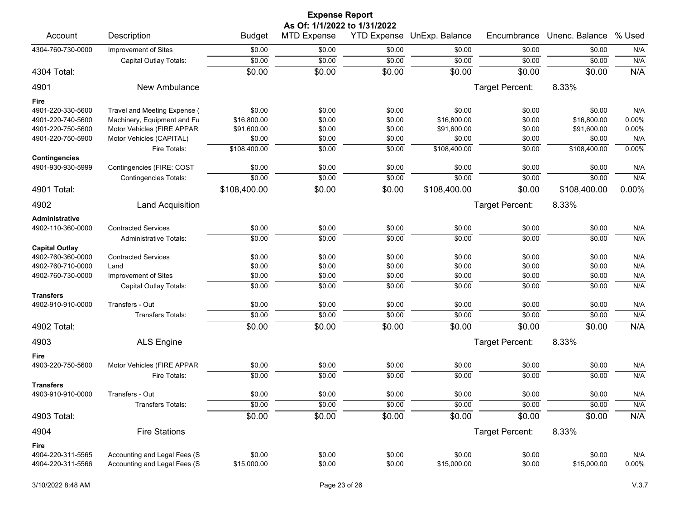|                                           | <b>Expense Report</b>         |                |                                                    |        |                            |                 |                |          |  |  |  |
|-------------------------------------------|-------------------------------|----------------|----------------------------------------------------|--------|----------------------------|-----------------|----------------|----------|--|--|--|
| Account                                   | Description                   | <b>Budget</b>  | As Of: 1/1/2022 to 1/31/2022<br><b>MTD Expense</b> |        | YTD Expense UnExp. Balance | Encumbrance     | Unenc. Balance | % Used   |  |  |  |
| 4304-760-730-0000                         | Improvement of Sites          | \$0.00         | \$0.00                                             | \$0.00 | \$0.00                     | \$0.00          | \$0.00         | N/A      |  |  |  |
|                                           |                               | \$0.00         | \$0.00                                             | \$0.00 | \$0.00                     | \$0.00          | \$0.00         | N/A      |  |  |  |
| 4304 Total:                               | Capital Outlay Totals:        | \$0.00         | \$0.00                                             | \$0.00 | \$0.00                     | \$0.00          | \$0.00         | N/A      |  |  |  |
|                                           |                               |                |                                                    |        |                            |                 |                |          |  |  |  |
| 4901                                      | New Ambulance                 |                |                                                    |        |                            | Target Percent: | 8.33%          |          |  |  |  |
| Fire                                      |                               |                |                                                    |        |                            |                 |                |          |  |  |  |
| 4901-220-330-5600                         | Travel and Meeting Expense (  | \$0.00         | \$0.00                                             | \$0.00 | \$0.00                     | \$0.00          | \$0.00         | N/A      |  |  |  |
| 4901-220-740-5600                         | Machinery, Equipment and Fu   | \$16,800.00    | \$0.00                                             | \$0.00 | \$16,800.00                | \$0.00          | \$16,800.00    | 0.00%    |  |  |  |
| 4901-220-750-5600                         | Motor Vehicles (FIRE APPAR    | \$91,600.00    | \$0.00                                             | \$0.00 | \$91,600.00                | \$0.00          | \$91,600.00    | 0.00%    |  |  |  |
| 4901-220-750-5900                         | Motor Vehicles (CAPITAL)      | \$0.00         | \$0.00                                             | \$0.00 | \$0.00                     | \$0.00          | \$0.00         | N/A      |  |  |  |
|                                           | Fire Totals:                  | \$108,400.00   | \$0.00                                             | \$0.00 | \$108,400.00               | \$0.00          | \$108,400.00   | 0.00%    |  |  |  |
| <b>Contingencies</b><br>4901-930-930-5999 | Contingencies (FIRE: COST     | \$0.00         | \$0.00                                             | \$0.00 | \$0.00                     | \$0.00          | \$0.00         | N/A      |  |  |  |
|                                           | <b>Contingencies Totals:</b>  | \$0.00         | \$0.00                                             | \$0.00 | \$0.00                     | \$0.00          | \$0.00         | N/A      |  |  |  |
| 4901 Total:                               |                               | \$108,400.00   | \$0.00                                             | \$0.00 | \$108,400.00               | \$0.00          | \$108,400.00   | 0.00%    |  |  |  |
| 4902                                      | <b>Land Acquisition</b>       |                |                                                    |        |                            | Target Percent: | 8.33%          |          |  |  |  |
| Administrative                            |                               |                |                                                    |        |                            |                 |                |          |  |  |  |
| 4902-110-360-0000                         | <b>Contracted Services</b>    | \$0.00         | \$0.00                                             | \$0.00 | \$0.00                     | \$0.00          | \$0.00         | N/A      |  |  |  |
|                                           | <b>Administrative Totals:</b> | \$0.00         | \$0.00                                             | \$0.00 | \$0.00                     | \$0.00          | \$0.00         | N/A      |  |  |  |
| <b>Capital Outlay</b>                     |                               |                |                                                    |        |                            |                 |                |          |  |  |  |
| 4902-760-360-0000                         | <b>Contracted Services</b>    | \$0.00         | \$0.00                                             | \$0.00 | \$0.00                     | \$0.00          | \$0.00         | N/A      |  |  |  |
| 4902-760-710-0000                         | Land                          | \$0.00         | \$0.00                                             | \$0.00 | \$0.00                     | \$0.00          | \$0.00         | N/A      |  |  |  |
| 4902-760-730-0000                         | Improvement of Sites          | \$0.00         | \$0.00                                             | \$0.00 | \$0.00                     | \$0.00          | \$0.00         | N/A      |  |  |  |
|                                           | Capital Outlay Totals:        | \$0.00         | \$0.00                                             | \$0.00 | \$0.00                     | \$0.00          | \$0.00         | N/A      |  |  |  |
| <b>Transfers</b>                          |                               |                |                                                    |        |                            |                 |                |          |  |  |  |
| 4902-910-910-0000                         | Transfers - Out               | \$0.00         | \$0.00                                             | \$0.00 | \$0.00                     | \$0.00          | \$0.00         | N/A      |  |  |  |
|                                           | Transfers Totals:             | \$0.00         | \$0.00                                             | \$0.00 | \$0.00                     | \$0.00          | \$0.00         | N/A      |  |  |  |
| 4902 Total:                               |                               | \$0.00         | \$0.00                                             | \$0.00 | \$0.00                     | \$0.00          | \$0.00         | N/A      |  |  |  |
| 4903                                      | <b>ALS Engine</b>             |                |                                                    |        |                            | Target Percent: | 8.33%          |          |  |  |  |
| Fire                                      |                               |                |                                                    |        |                            |                 |                |          |  |  |  |
| 4903-220-750-5600                         | Motor Vehicles (FIRE APPAR    | \$0.00         | \$0.00                                             | \$0.00 | \$0.00                     | \$0.00          | \$0.00         | N/A      |  |  |  |
|                                           | Fire Totals:                  | \$0.00         | \$0.00                                             | \$0.00 | \$0.00                     | \$0.00          | \$0.00         | N/A      |  |  |  |
| <b>Transfers</b>                          |                               |                |                                                    |        |                            |                 |                |          |  |  |  |
| 4903-910-910-0000                         | Transfers - Out               | \$0.00         | \$0.00                                             | \$0.00 | \$0.00                     | \$0.00          | \$0.00         | N/A      |  |  |  |
|                                           | Transfers Totals:             | $\sqrt{$0.00}$ | \$0.00                                             | \$0.00 | \$0.00                     | \$0.00          | \$0.00         | N/A      |  |  |  |
| 4903 Total:                               |                               | \$0.00         | \$0.00                                             | \$0.00 | \$0.00                     | \$0.00          | \$0.00         | N/A      |  |  |  |
| 4904                                      | <b>Fire Stations</b>          |                |                                                    |        |                            | Target Percent: | 8.33%          |          |  |  |  |
| Fire                                      |                               |                |                                                    |        |                            |                 |                |          |  |  |  |
| 4904-220-311-5565                         | Accounting and Legal Fees (S  | \$0.00         | \$0.00                                             | \$0.00 | \$0.00                     | \$0.00          | \$0.00         | N/A      |  |  |  |
| 4904-220-311-5566                         | Accounting and Legal Fees (S  | \$15,000.00    | \$0.00                                             | \$0.00 | \$15,000.00                | \$0.00          | \$15,000.00    | $0.00\%$ |  |  |  |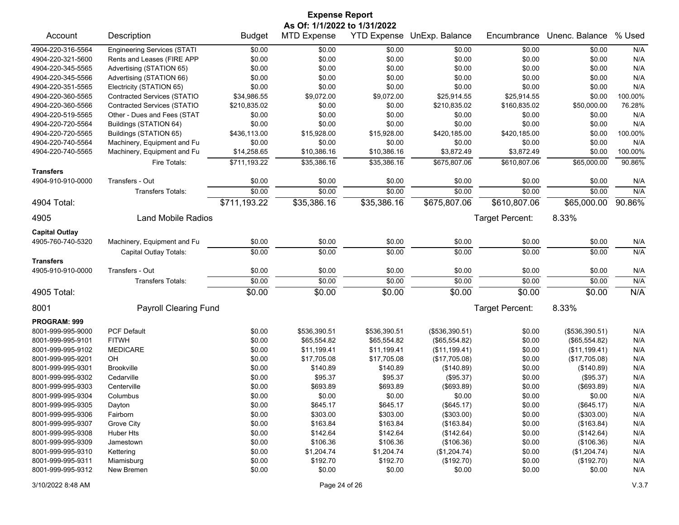| <b>Expense Report</b>        |                                                       |               |                    |                    |                |                 |                |         |  |
|------------------------------|-------------------------------------------------------|---------------|--------------------|--------------------|----------------|-----------------|----------------|---------|--|
| As Of: 1/1/2022 to 1/31/2022 |                                                       |               |                    |                    |                |                 |                |         |  |
| Account                      | Description                                           | <b>Budget</b> | <b>MTD Expense</b> | <b>YTD Expense</b> | UnExp. Balance | Encumbrance     | Unenc. Balance | % Used  |  |
| 4904-220-316-5564            | <b>Engineering Services (STATI</b>                    | \$0.00        | \$0.00             | \$0.00             | \$0.00         | \$0.00          | \$0.00         | N/A     |  |
| 4904-220-321-5600            | Rents and Leases (FIRE APP                            | \$0.00        | \$0.00             | \$0.00             | \$0.00         | \$0.00          | \$0.00         | N/A     |  |
| 4904-220-345-5565            | Advertising (STATION 65)                              | \$0.00        | \$0.00             | \$0.00             | \$0.00         | \$0.00          | \$0.00         | N/A     |  |
| 4904-220-345-5566            | Advertising (STATION 66)                              | \$0.00        | \$0.00             | \$0.00             | \$0.00         | \$0.00          | \$0.00         | N/A     |  |
| 4904-220-351-5565            | Electricity (STATION 65)                              | \$0.00        | \$0.00             | \$0.00             | \$0.00         | \$0.00          | \$0.00         | N/A     |  |
| 4904-220-360-5565            | Contracted Services (STATIO                           | \$34,986.55   | \$9,072.00         | \$9,072.00         | \$25,914.55    | \$25,914.55     | \$0.00         | 100.00% |  |
| 4904-220-360-5566            | Contracted Services (STATIO                           | \$210,835.02  | \$0.00             | \$0.00             | \$210,835.02   | \$160,835.02    | \$50,000.00    | 76.28%  |  |
| 4904-220-519-5565            | Other - Dues and Fees (STAT                           | \$0.00        | \$0.00             | \$0.00             | \$0.00         | \$0.00          | \$0.00         | N/A     |  |
| 4904-220-720-5564            | Buildings (STATION 64)                                | \$0.00        | \$0.00             | \$0.00             | \$0.00         | \$0.00          | \$0.00         | N/A     |  |
| 4904-220-720-5565            | Buildings (STATION 65)                                | \$436,113.00  | \$15,928.00        | \$15,928.00        | \$420,185.00   | \$420,185.00    | \$0.00         | 100.00% |  |
| 4904-220-740-5564            | Machinery, Equipment and Fu                           | \$0.00        | \$0.00             | \$0.00             | \$0.00         | \$0.00          | \$0.00         | N/A     |  |
| 4904-220-740-5565            | Machinery, Equipment and Fu                           | \$14,258.65   | \$10,386.16        | \$10,386.16        | \$3,872.49     | \$3,872.49      | \$0.00         | 100.00% |  |
|                              | Fire Totals:                                          | \$711,193.22  | \$35,386.16        | \$35,386.16        | \$675,807.06   | \$610,807.06    | \$65,000.00    | 90.86%  |  |
| <b>Transfers</b>             |                                                       |               |                    |                    |                |                 |                |         |  |
| 4904-910-910-0000            | Transfers - Out                                       | \$0.00        | \$0.00             | \$0.00             | \$0.00         | \$0.00          | \$0.00         | N/A     |  |
|                              | <b>Transfers Totals:</b>                              | \$0.00        | \$0.00             | \$0.00             | \$0.00         | \$0.00          | \$0.00         | N/A     |  |
| 4904 Total:                  |                                                       | \$711,193.22  | \$35,386.16        | \$35,386.16        | \$675,807.06   | \$610,807.06    | \$65,000.00    | 90.86%  |  |
| 4905                         | Target Percent:<br>8.33%<br><b>Land Mobile Radios</b> |               |                    |                    |                |                 |                |         |  |
| <b>Capital Outlay</b>        |                                                       |               |                    |                    |                |                 |                |         |  |
| 4905-760-740-5320            | Machinery, Equipment and Fu                           | \$0.00        | \$0.00             | \$0.00             | \$0.00         | \$0.00          | \$0.00         | N/A     |  |
|                              | Capital Outlay Totals:                                | \$0.00        | \$0.00             | \$0.00             | \$0.00         | \$0.00          | \$0.00         | N/A     |  |
| <b>Transfers</b>             |                                                       |               |                    |                    |                |                 |                |         |  |
| 4905-910-910-0000            | Transfers - Out                                       | \$0.00        | \$0.00             | \$0.00             | \$0.00         | \$0.00          | \$0.00         | N/A     |  |
|                              | <b>Transfers Totals:</b>                              | \$0.00        | \$0.00             | \$0.00             | \$0.00         | \$0.00          | \$0.00         | N/A     |  |
| 4905 Total:                  |                                                       | \$0.00        | \$0.00             | \$0.00             | \$0.00         | \$0.00          | \$0.00         | N/A     |  |
| 8001                         | <b>Payroll Clearing Fund</b>                          |               |                    |                    |                | Target Percent: | 8.33%          |         |  |
| PROGRAM: 999                 |                                                       |               |                    |                    |                |                 |                |         |  |
| 8001-999-995-9000            | <b>PCF Default</b>                                    | \$0.00        | \$536,390.51       | \$536,390.51       | (\$536,390.51) | \$0.00          | (\$536,390.51) | N/A     |  |
| 8001-999-995-9101            | <b>FITWH</b>                                          | \$0.00        | \$65,554.82        | \$65.554.82        | (\$65,554.82)  | \$0.00          | (\$65,554.82)  | N/A     |  |
| 8001-999-995-9102            | <b>MEDICARE</b>                                       | \$0.00        | \$11,199.41        | \$11,199.41        | (\$11,199.41)  | \$0.00          | (\$11,199.41)  | N/A     |  |
| 8001-999-995-9201            | OH                                                    | \$0.00        | \$17,705.08        | \$17,705.08        | (\$17,705.08)  | \$0.00          | (\$17,705.08)  | N/A     |  |
| 8001-999-995-9301            | <b>Brookville</b>                                     | \$0.00        | \$140.89           | \$140.89           | (\$140.89)     | \$0.00          | (\$140.89)     | N/A     |  |
| 8001-999-995-9302            | Cedarville                                            | \$0.00        | \$95.37            | \$95.37            | (\$95.37)      | \$0.00          | (\$95.37)      | N/A     |  |
| 8001-999-995-9303            | Centerville                                           | \$0.00        | \$693.89           | \$693.89           | (\$693.89)     | \$0.00          | (\$693.89)     | N/A     |  |
| 8001-999-995-9304            | Columbus                                              | \$0.00        | \$0.00             | \$0.00             | \$0.00         | \$0.00          | \$0.00         | N/A     |  |
| 8001-999-995-9305            | Dayton                                                | \$0.00        | \$645.17           | \$645.17           | (\$645.17)     | \$0.00          | (\$645.17)     | N/A     |  |
| 8001-999-995-9306            | Fairborn                                              | \$0.00        | \$303.00           | \$303.00           | (\$303.00)     | \$0.00          | (\$303.00)     | N/A     |  |
| 8001-999-995-9307            | Grove City                                            | \$0.00        | \$163.84           | \$163.84           | (\$163.84)     | \$0.00          | (\$163.84)     | N/A     |  |
| 8001-999-995-9308            | Huber Hts                                             | \$0.00        | \$142.64           | \$142.64           | (\$142.64)     | \$0.00          | (\$142.64)     | N/A     |  |
| 8001-999-995-9309            | Jamestown                                             | \$0.00        | \$106.36           | \$106.36           | (\$106.36)     | \$0.00          | (\$106.36)     | N/A     |  |
| 8001-999-995-9310            | Kettering                                             | \$0.00        | \$1,204.74         | \$1,204.74         | (\$1,204.74)   | \$0.00          | (\$1,204.74)   | N/A     |  |
| 8001-999-995-9311            | Miamisburg                                            | \$0.00        | \$192.70           | \$192.70           | (\$192.70)     | \$0.00          | (\$192.70)     | N/A     |  |
| 8001-999-995-9312            | New Bremen                                            | \$0.00        | \$0.00             | \$0.00             | \$0.00         | \$0.00          | \$0.00         | N/A     |  |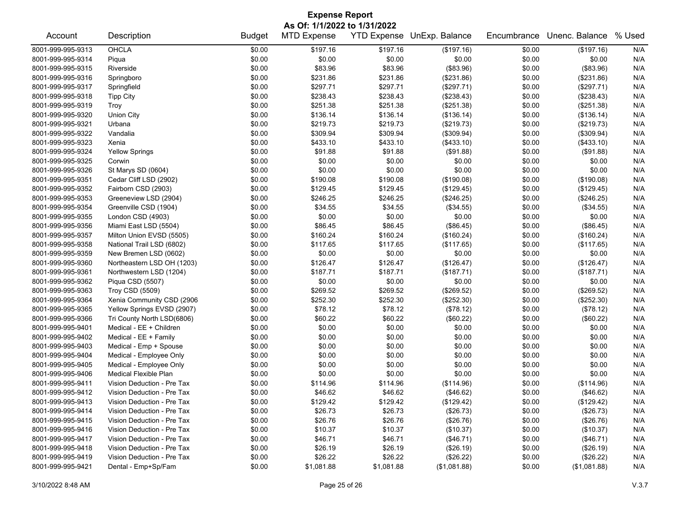| <b>Expense Report</b>                                                                  |                            |               |                    |            |              |             |              |     |  |  |  |  |  |
|----------------------------------------------------------------------------------------|----------------------------|---------------|--------------------|------------|--------------|-------------|--------------|-----|--|--|--|--|--|
| As Of: 1/1/2022 to 1/31/2022<br>YTD Expense UnExp. Balance<br>Unenc. Balance<br>% Used |                            |               |                    |            |              |             |              |     |  |  |  |  |  |
| Account                                                                                | Description                | <b>Budget</b> | <b>MTD Expense</b> |            |              | Encumbrance |              |     |  |  |  |  |  |
| 8001-999-995-9313                                                                      | OHCLA                      | \$0.00        | \$197.16           | \$197.16   | (\$197.16)   | \$0.00      | (\$197.16)   | N/A |  |  |  |  |  |
| 8001-999-995-9314                                                                      | Piqua                      | \$0.00        | \$0.00             | \$0.00     | \$0.00       | \$0.00      | \$0.00       | N/A |  |  |  |  |  |
| 8001-999-995-9315                                                                      | Riverside                  | \$0.00        | \$83.96            | \$83.96    | (\$83.96)    | \$0.00      | (\$83.96)    | N/A |  |  |  |  |  |
| 8001-999-995-9316                                                                      | Springboro                 | \$0.00        | \$231.86           | \$231.86   | (\$231.86)   | \$0.00      | (\$231.86)   | N/A |  |  |  |  |  |
| 8001-999-995-9317                                                                      | Springfield                | \$0.00        | \$297.71           | \$297.71   | (\$297.71)   | \$0.00      | (\$297.71)   | N/A |  |  |  |  |  |
| 8001-999-995-9318                                                                      | <b>Tipp City</b>           | \$0.00        | \$238.43           | \$238.43   | (\$238.43)   | \$0.00      | (\$238.43)   | N/A |  |  |  |  |  |
| 8001-999-995-9319                                                                      | Troy                       | \$0.00        | \$251.38           | \$251.38   | (\$251.38)   | \$0.00      | (\$251.38)   | N/A |  |  |  |  |  |
| 8001-999-995-9320                                                                      | Union City                 | \$0.00        | \$136.14           | \$136.14   | (\$136.14)   | \$0.00      | (\$136.14)   | N/A |  |  |  |  |  |
| 8001-999-995-9321                                                                      | Urbana                     | \$0.00        | \$219.73           | \$219.73   | (\$219.73)   | \$0.00      | (\$219.73)   | N/A |  |  |  |  |  |
| 8001-999-995-9322                                                                      | Vandalia                   | \$0.00        | \$309.94           | \$309.94   | (\$309.94)   | \$0.00      | (\$309.94)   | N/A |  |  |  |  |  |
| 8001-999-995-9323                                                                      | Xenia                      | \$0.00        | \$433.10           | \$433.10   | (\$433.10)   | \$0.00      | (\$433.10)   | N/A |  |  |  |  |  |
| 8001-999-995-9324                                                                      | <b>Yellow Springs</b>      | \$0.00        | \$91.88            | \$91.88    | (\$91.88)    | \$0.00      | (\$91.88)    | N/A |  |  |  |  |  |
| 8001-999-995-9325                                                                      | Corwin                     | \$0.00        | \$0.00             | \$0.00     | \$0.00       | \$0.00      | \$0.00       | N/A |  |  |  |  |  |
| 8001-999-995-9326                                                                      | St Marys SD (0604)         | \$0.00        | \$0.00             | \$0.00     | \$0.00       | \$0.00      | \$0.00       | N/A |  |  |  |  |  |
| 8001-999-995-9351                                                                      | Cedar Cliff LSD (2902)     | \$0.00        | \$190.08           | \$190.08   | (\$190.08)   | \$0.00      | (\$190.08)   | N/A |  |  |  |  |  |
| 8001-999-995-9352                                                                      | Fairborn CSD (2903)        | \$0.00        | \$129.45           | \$129.45   | (\$129.45)   | \$0.00      | (\$129.45)   | N/A |  |  |  |  |  |
| 8001-999-995-9353                                                                      | Greeneview LSD (2904)      | \$0.00        | \$246.25           | \$246.25   | (\$246.25)   | \$0.00      | (\$246.25)   | N/A |  |  |  |  |  |
| 8001-999-995-9354                                                                      | Greenville CSD (1904)      | \$0.00        | \$34.55            | \$34.55    | (\$34.55)    | \$0.00      | (\$34.55)    | N/A |  |  |  |  |  |
| 8001-999-995-9355                                                                      | London CSD (4903)          | \$0.00        | \$0.00             | \$0.00     | \$0.00       | \$0.00      | \$0.00       | N/A |  |  |  |  |  |
| 8001-999-995-9356                                                                      | Miami East LSD (5504)      | \$0.00        | \$86.45            | \$86.45    | (\$86.45)    | \$0.00      | (\$86.45)    | N/A |  |  |  |  |  |
| 8001-999-995-9357                                                                      | Milton Union EVSD (5505)   | \$0.00        | \$160.24           | \$160.24   | (\$160.24)   | \$0.00      | (\$160.24)   | N/A |  |  |  |  |  |
| 8001-999-995-9358                                                                      | National Trail LSD (6802)  | \$0.00        | \$117.65           | \$117.65   | (\$117.65)   | \$0.00      | (\$117.65)   | N/A |  |  |  |  |  |
| 8001-999-995-9359                                                                      | New Bremen LSD (0602)      | \$0.00        | \$0.00             | \$0.00     | \$0.00       | \$0.00      | \$0.00       | N/A |  |  |  |  |  |
| 8001-999-995-9360                                                                      | Northeastern LSD OH (1203) | \$0.00        | \$126.47           | \$126.47   | (\$126.47)   | \$0.00      | (\$126.47)   | N/A |  |  |  |  |  |
| 8001-999-995-9361                                                                      | Northwestern LSD (1204)    | \$0.00        | \$187.71           | \$187.71   | (\$187.71)   | \$0.00      | (\$187.71)   | N/A |  |  |  |  |  |
| 8001-999-995-9362                                                                      | Piqua CSD (5507)           | \$0.00        | \$0.00             | \$0.00     | \$0.00       | \$0.00      | \$0.00       | N/A |  |  |  |  |  |
| 8001-999-995-9363                                                                      | Troy CSD (5509)            | \$0.00        | \$269.52           | \$269.52   | (\$269.52)   | \$0.00      | (\$269.52)   | N/A |  |  |  |  |  |
| 8001-999-995-9364                                                                      | Xenia Community CSD (2906  | \$0.00        | \$252.30           | \$252.30   | (\$252.30)   | \$0.00      | (\$252.30)   | N/A |  |  |  |  |  |
| 8001-999-995-9365                                                                      | Yellow Springs EVSD (2907) | \$0.00        | \$78.12            | \$78.12    | (\$78.12)    | \$0.00      | (\$78.12)    | N/A |  |  |  |  |  |
| 8001-999-995-9366                                                                      | Tri County North LSD(6806) | \$0.00        | \$60.22            | \$60.22    | (\$60.22)    | \$0.00      | (\$60.22)    | N/A |  |  |  |  |  |
| 8001-999-995-9401                                                                      | Medical - EE + Children    | \$0.00        | \$0.00             | \$0.00     | \$0.00       | \$0.00      | \$0.00       | N/A |  |  |  |  |  |
| 8001-999-995-9402                                                                      | Medical - EE + Family      | \$0.00        | \$0.00             | \$0.00     | \$0.00       | \$0.00      | \$0.00       | N/A |  |  |  |  |  |
| 8001-999-995-9403                                                                      | Medical - Emp + Spouse     | \$0.00        | \$0.00             | \$0.00     | \$0.00       | \$0.00      | \$0.00       | N/A |  |  |  |  |  |
| 8001-999-995-9404                                                                      | Medical - Employee Only    | \$0.00        | \$0.00             | \$0.00     | \$0.00       | \$0.00      | \$0.00       | N/A |  |  |  |  |  |
| 8001-999-995-9405                                                                      | Medical - Employee Only    | \$0.00        | \$0.00             | \$0.00     | \$0.00       | \$0.00      | \$0.00       | N/A |  |  |  |  |  |
| 8001-999-995-9406                                                                      | Medical Flexible Plan      | \$0.00        | \$0.00             | \$0.00     | \$0.00       | \$0.00      | \$0.00       | N/A |  |  |  |  |  |
| 8001-999-995-9411                                                                      | Vision Deduction - Pre Tax | \$0.00        | \$114.96           | \$114.96   | (\$114.96)   | \$0.00      | (\$114.96)   | N/A |  |  |  |  |  |
| 8001-999-995-9412                                                                      | Vision Deduction - Pre Tax | \$0.00        | \$46.62            | \$46.62    | (\$46.62)    | \$0.00      | (\$46.62)    | N/A |  |  |  |  |  |
| 8001-999-995-9413                                                                      | Vision Deduction - Pre Tax | \$0.00        | \$129.42           | \$129.42   | (\$129.42)   | \$0.00      | (\$129.42)   | N/A |  |  |  |  |  |
| 8001-999-995-9414                                                                      | Vision Deduction - Pre Tax | \$0.00        | \$26.73            | \$26.73    | (\$26.73)    | \$0.00      | (\$26.73)    | N/A |  |  |  |  |  |
| 8001-999-995-9415                                                                      | Vision Deduction - Pre Tax | \$0.00        | \$26.76            | \$26.76    | (\$26.76)    | \$0.00      | (\$26.76)    | N/A |  |  |  |  |  |
| 8001-999-995-9416                                                                      | Vision Deduction - Pre Tax | \$0.00        | \$10.37            | \$10.37    | (\$10.37)    | \$0.00      | (\$10.37)    | N/A |  |  |  |  |  |
| 8001-999-995-9417                                                                      | Vision Deduction - Pre Tax | \$0.00        | \$46.71            | \$46.71    | (\$46.71)    | \$0.00      | (\$46.71)    | N/A |  |  |  |  |  |
| 8001-999-995-9418                                                                      | Vision Deduction - Pre Tax | \$0.00        | \$26.19            | \$26.19    | (\$26.19)    | \$0.00      | (\$26.19)    | N/A |  |  |  |  |  |
| 8001-999-995-9419                                                                      | Vision Deduction - Pre Tax | \$0.00        | \$26.22            | \$26.22    | (\$26.22)    | \$0.00      | (\$26.22)    | N/A |  |  |  |  |  |
| 8001-999-995-9421                                                                      | Dental - Emp+Sp/Fam        | \$0.00        | \$1,081.88         | \$1,081.88 | (\$1,081.88) | \$0.00      | (\$1,081.88) | N/A |  |  |  |  |  |